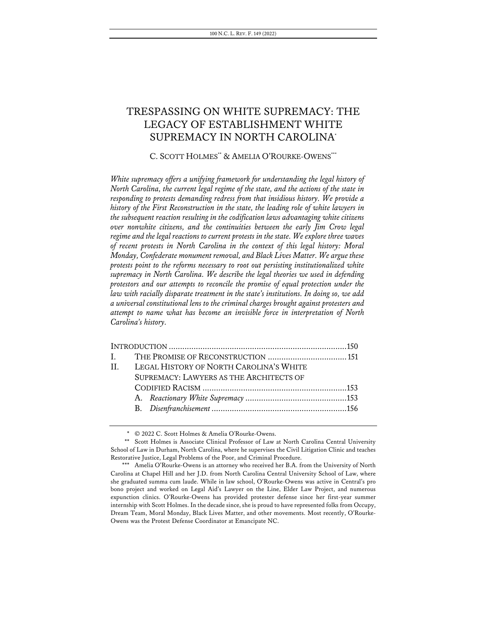# TRESPASSING ON WHITE SUPREMACY: THE LEGACY OF ESTABLISHMENT WHITE SUPREMACY IN NORTH CAROLINA\*

# C. SCOTT HOLMES\*\* & AMELIA O'ROURKE-OWENS\*\*\*

*White supremacy offers a unifying framework for understanding the legal history of North Carolina, the current legal regime of the state, and the actions of the state in responding to protests demanding redress from that insidious history. We provide a history of the First Reconstruction in the state, the leading role of white lawyers in the subsequent reaction resulting in the codification laws advantaging white citizens over nonwhite citizens, and the continuities between the early Jim Crow legal regime and the legal reactions to current protests in the state. We explore three waves of recent protests in North Carolina in the context of this legal history: Moral Monday, Confederate monument removal, and Black Lives Matter. We argue these protests point to the reforms necessary to root out persisting institutionalized white supremacy in North Carolina. We describe the legal theories we used in defending protestors and our attempts to reconcile the promise of equal protection under the law with racially disparate treatment in the state's institutions. In doing so, we add a universal constitutional lens to the criminal charges brought against protesters and attempt to name what has become an invisible force in interpretation of North Carolina's history.*

|  | II. LEGAL HISTORY OF NORTH CAROLINA'S WHITE |  |
|--|---------------------------------------------|--|
|  | SUPREMACY: LAWYERS AS THE ARCHITECTS OF     |  |
|  |                                             |  |
|  |                                             |  |
|  |                                             |  |
|  |                                             |  |

<sup>\*</sup> © 2022 C. Scott Holmes & Amelia O'Rourke-Owens.

<sup>\*\*</sup> Scott Holmes is Associate Clinical Professor of Law at North Carolina Central University School of Law in Durham, North Carolina, where he supervises the Civil Litigation Clinic and teaches Restorative Justice, Legal Problems of the Poor, and Criminal Procedure.

<sup>\*\*\*</sup> Amelia O'Rourke-Owens is an attorney who received her B.A. from the University of North Carolina at Chapel Hill and her J.D. from North Carolina Central University School of Law, where she graduated summa cum laude. While in law school, O'Rourke-Owens was active in Central's pro bono project and worked on Legal Aid's Lawyer on the Line, Elder Law Project, and numerous expunction clinics. O'Rourke-Owens has provided protester defense since her first-year summer internship with Scott Holmes. In the decade since, she is proud to have represented folks from Occupy, Dream Team, Moral Monday, Black Lives Matter, and other movements. Most recently, O'Rourke-Owens was the Protest Defense Coordinator at Emancipate NC.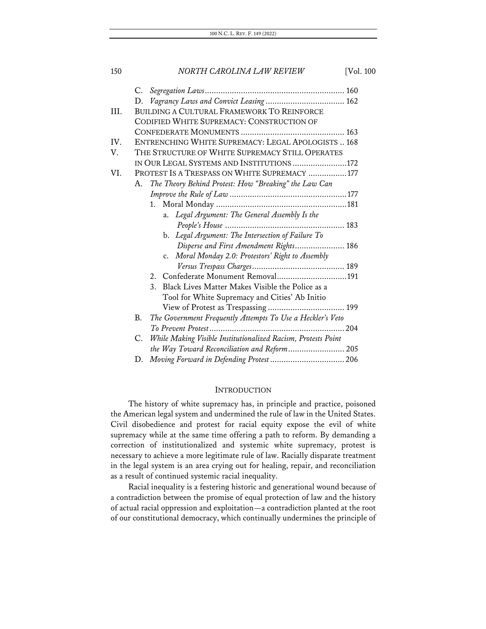| 150  |    | NORTH CAROLINA LAW REVIEW                                     | [Vol. 100] |
|------|----|---------------------------------------------------------------|------------|
|      | C. |                                                               |            |
|      | D. |                                                               |            |
| III. |    | <b>BUILDING A CULTURAL FRAMEWORK TO REINFORCE</b>             |            |
|      |    | CODIFIED WHITE SUPREMACY: CONSTRUCTION OF                     |            |
|      |    |                                                               |            |
| IV.  |    | ENTRENCHING WHITE SUPREMACY: LEGAL APOLOGISTS  168            |            |
| V.   |    | THE STRUCTURE OF WHITE SUPREMACY STILL OPERATES               |            |
|      |    | IN OUR LEGAL SYSTEMS AND INSTITUTIONS172                      |            |
| VI.  |    | PROTEST IS A TRESPASS ON WHITE SUPREMACY 177                  |            |
|      | А. | The Theory Behind Protest: How "Breaking" the Law Can         |            |
|      |    |                                                               |            |
|      |    | 1.                                                            |            |
|      |    | Legal Argument: The General Assembly Is the<br>a.             |            |
|      |    |                                                               |            |
|      |    | Legal Argument: The Intersection of Failure To<br>b.          |            |
|      |    | Disperse and First Amendment Rights 186                       |            |
|      |    | c. Moral Monday 2.0: Protestors' Right to Assembly            |            |
|      |    |                                                               |            |
|      |    | 2.                                                            |            |
|      |    | 3.<br>Black Lives Matter Makes Visible the Police as a        |            |
|      |    | Tool for White Supremacy and Cities' Ab Initio                |            |
|      |    |                                                               |            |
|      | B. | The Government Frequently Attempts To Use a Heckler's Veto    |            |
|      |    |                                                               |            |
|      | C. | While Making Visible Institutionalized Racism, Protests Point |            |
|      |    | the Way Toward Reconciliation and Reform 205                  |            |
|      | D. |                                                               |            |

### **INTRODUCTION**

The history of white supremacy has, in principle and practice, poisoned the American legal system and undermined the rule of law in the United States. Civil disobedience and protest for racial equity expose the evil of white supremacy while at the same time offering a path to reform. By demanding a correction of institutionalized and systemic white supremacy, protest is necessary to achieve a more legitimate rule of law. Racially disparate treatment in the legal system is an area crying out for healing, repair, and reconciliation as a result of continued systemic racial inequality.

Racial inequality is a festering historic and generational wound because of a contradiction between the promise of equal protection of law and the history of actual racial oppression and exploitation—a contradiction planted at the root of our constitutional democracy, which continually undermines the principle of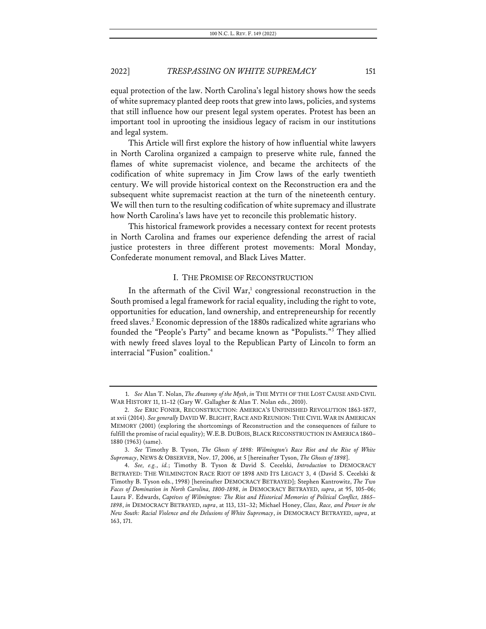equal protection of the law. North Carolina's legal history shows how the seeds of white supremacy planted deep roots that grew into laws, policies, and systems that still influence how our present legal system operates. Protest has been an important tool in uprooting the insidious legacy of racism in our institutions and legal system.

This Article will first explore the history of how influential white lawyers in North Carolina organized a campaign to preserve white rule, fanned the flames of white supremacist violence, and became the architects of the codification of white supremacy in Jim Crow laws of the early twentieth century. We will provide historical context on the Reconstruction era and the subsequent white supremacist reaction at the turn of the nineteenth century. We will then turn to the resulting codification of white supremacy and illustrate how North Carolina's laws have yet to reconcile this problematic history.

This historical framework provides a necessary context for recent protests in North Carolina and frames our experience defending the arrest of racial justice protesters in three different protest movements: Moral Monday, Confederate monument removal, and Black Lives Matter.

### I. THE PROMISE OF RECONSTRUCTION

In the aftermath of the Civil War,<sup>1</sup> congressional reconstruction in the South promised a legal framework for racial equality, including the right to vote, opportunities for education, land ownership, and entrepreneurship for recently freed slaves.<sup>2</sup> Economic depression of the 1880s radicalized white agrarians who founded the "People's Party" and became known as "Populists."3 They allied with newly freed slaves loyal to the Republican Party of Lincoln to form an interracial "Fusion" coalition.4

<sup>1.</sup> *See* Alan T. Nolan, *The Anatomy of the Myth*, *in* THE MYTH OF THE LOST CAUSE AND CIVIL WAR HISTORY 11, 11–12 (Gary W. Gallagher & Alan T. Nolan eds., 2010).

<sup>2.</sup> *See* ERIC FONER, RECONSTRUCTION: AMERICA'S UNFINISHED REVOLUTION 1863-1877, at xvii (2014). *See generally* DAVID W. BLIGHT, RACE AND REUNION: THE CIVIL WAR IN AMERICAN MEMORY (2001) (exploring the shortcomings of Reconstruction and the consequences of failure to fulfill the promise of racial equality); W.E.B. DUBOIS, BLACK RECONSTRUCTION IN AMERICA 1860– 1880 (1963) (same).

<sup>3.</sup> *See* Timothy B. Tyson, *The Ghosts of 1898: Wilmington's Race Riot and the Rise of White Supremacy*, NEWS & OBSERVER, Nov. 17, 2006, at 5 [hereinafter Tyson, *The Ghosts of 1898*].

<sup>4.</sup> *See, e.g.*, *id.*; Timothy B. Tyson & David S. Cecelski, *Introduction* to DEMOCRACY BETRAYED: THE WILMINGTON RACE RIOT OF 1898 AND ITS LEGACY 3, 4 (David S. Cecelski & Timothy B. Tyson eds., 1998) [hereinafter DEMOCRACY BETRAYED]; Stephen Kantrowitz, *The Two Faces of Domination in North Carolina, 1800-1898*, *in* DEMOCRACY BETRAYED, *supra*, at 95, 105–06; Laura F. Edwards, *Captives of Wilmington: The Riot and Historical Memories of Political Conflict, 1865– 1898*, *in* DEMOCRACY BETRAYED, *supra*, at 113, 131–32; Michael Honey, *Class, Race, and Power in the New South: Racial Violence and the Delusions of White Supremacy*, *in* DEMOCRACY BETRAYED, *supra*, at 163, 171.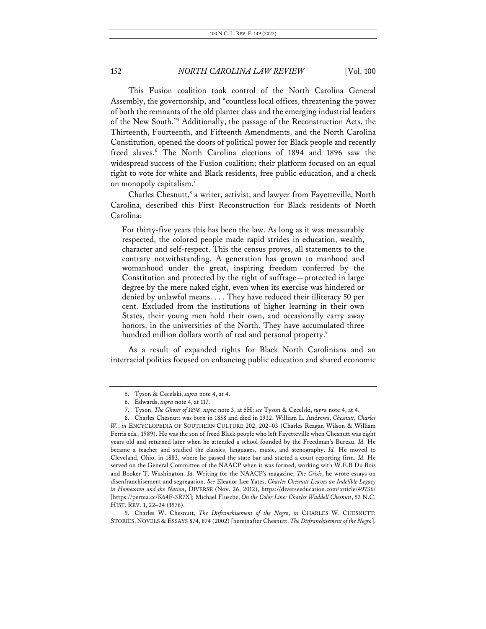This Fusion coalition took control of the North Carolina General Assembly, the governorship, and "countless local offices, threatening the power of both the remnants of the old planter class and the emerging industrial leaders of the New South."5 Additionally, the passage of the Reconstruction Acts, the Thirteenth, Fourteenth, and Fifteenth Amendments, and the North Carolina Constitution, opened the doors of political power for Black people and recently freed slaves.<sup>6</sup> The North Carolina elections of 1894 and 1896 saw the widespread success of the Fusion coalition; their platform focused on an equal right to vote for white and Black residents, free public education, and a check on monopoly capitalism.<sup>7</sup>

Charles Chesnutt,<sup>8</sup> a writer, activist, and lawyer from Fayetteville, North Carolina, described this First Reconstruction for Black residents of North Carolina:

For thirty-five years this has been the law. As long as it was measurably respected, the colored people made rapid strides in education, wealth, character and self-respect. This the census proves, all statements to the contrary notwithstanding. A generation has grown to manhood and womanhood under the great, inspiring freedom conferred by the Constitution and protected by the right of suffrage—protected in large degree by the mere naked right, even when its exercise was hindered or denied by unlawful means. . . . They have reduced their illiteracy 50 per cent. Excluded from the institutions of higher learning in their own States, their young men hold their own, and occasionally carry away honors, in the universities of the North. They have accumulated three hundred million dollars worth of real and personal property.<sup>9</sup>

As a result of expanded rights for Black North Carolinians and an interracial politics focused on enhancing public education and shared economic

<sup>5.</sup> Tyson & Cecelski, *supra* note 4, at 4.

<sup>6.</sup> Edwards, *supra* note 4, at 117.

<sup>7.</sup> Tyson, *The Ghosts of 1898*, *supra* note 3, at 5H; *see* Tyson & Cecelski, *supra* note 4, at 4.

<sup>8.</sup> Charles Chesnutt was born in 1858 and died in 1932. William L. Andrews, *Chesnutt, Charles W.*, *in* ENCYCLOPEDIA OF SOUTHERN CULTURE 202, 202–03 (Charles Reagan Wilson & William Ferris eds., 1989). He was the son of freed Black people who left Fayetteville when Chesnutt was eight years old and returned later when he attended a school founded by the Freedman's Bureau. *Id.* He became a teacher and studied the classics, languages, music, and stenography. *Id.* He moved to Cleveland, Ohio, in 1883, where he passed the state bar and started a court reporting firm. *Id.* He served on the General Committee of the NAACP when it was formed, working with W.E.B Du Bois and Booker T. Washington. *Id.* Writing for the NAACP's magazine, *The Crisis*, he wrote essays on disenfranchisement and segregation. *See* Eleanor Lee Yates, *Charles Chesnutt Leaves an Indelible Legacy in Hometown and the Nation*, DIVERSE (Nov. 26, 2012), https://diverseeducation.com/article/49736/ [https://perma.cc/K64F-3R7X]; Michael Flusche, *On the Color Line: Charles Waddell Chesnutt*, 53 N.C. HIST. REV. 1, 22–24 (1976).

<sup>9.</sup> Charles W. Chesnutt, *The Disfranchisement of the Negro*, *in* CHARLES W. CHESNUTT: STORIES, NOVELS & ESSAYS 874, 874 (2002) [hereinafter Chesnutt, *The Disfranchisement of the Negro*].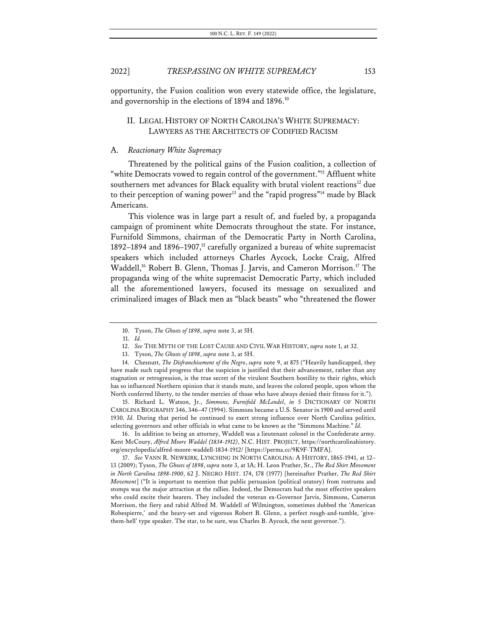opportunity, the Fusion coalition won every statewide office, the legislature, and governorship in the elections of 1894 and 1896.<sup>10</sup>

# II. LEGAL HISTORY OF NORTH CAROLINA'S WHITE SUPREMACY: LAWYERS AS THE ARCHITECTS OF CODIFIED RACISM

### A. *Reactionary White Supremacy*

Threatened by the political gains of the Fusion coalition, a collection of "white Democrats vowed to regain control of the government."<sup>11</sup> Affluent white southerners met advances for Black equality with brutal violent reactions<sup>12</sup> due to their perception of waning power<sup>13</sup> and the "rapid progress"<sup>14</sup> made by Black Americans.

This violence was in large part a result of, and fueled by, a propaganda campaign of prominent white Democrats throughout the state. For instance, Furnifold Simmons, chairman of the Democratic Party in North Carolina, 1892–1894 and 1896–1907,<sup>15</sup> carefully organized a bureau of white supremacist speakers which included attorneys Charles Aycock, Locke Craig, Alfred Waddell,<sup>16</sup> Robert B. Glenn, Thomas J. Jarvis, and Cameron Morrison.<sup>17</sup> The propaganda wing of the white supremacist Democratic Party, which included all the aforementioned lawyers, focused its message on sexualized and criminalized images of Black men as "black beasts" who "threatened the flower

15. Richard L. Watson, Jr., *Simmons, Furnifold McLendel*, *in* 5 DICTIONARY OF NORTH CAROLINA BIOGRAPHY 346, 346–47 (1994). Simmons became a U.S. Senator in 1900 and served until 1930. *Id.* During that period he continued to exert strong influence over North Carolina politics, selecting governors and other officials in what came to be known as the "Simmons Machine." *Id.*

16. In addition to being an attorney, Waddell was a lieutenant colonel in the Confederate army. Kent McCoury, *Alfred Moore Waddel (1834-1912)*, N.C. HIST. PROJECT, https://northcarolinahistory. org/encyclopedia/alfred-moore-waddell-1834-1912/ [https://perma.cc/9K9F-TMFA].

17. *See* VANN R. NEWKIRK, LYNCHING IN NORTH CAROLINA: A HISTORY, 1865-1941, at 12– 13 (2009); Tyson, *The Ghosts of 1898*, *supra* note 3, at 1A; H. Leon Prather, Sr., *The Red Shirt Movement in North Carolina 1898-1900*, 62 J. NEGRO HIST. 174, 178 (1977) [hereinafter Prather, *The Red Shirt Movement*] ("It is important to mention that public persuasion (political oratory) from rostrums and stomps was the major attraction at the rallies. Indeed, the Democrats had the most effective speakers who could excite their hearers. They included the veteran ex-Governor Jarvis, Simmons, Cameron Morrison, the fiery and rabid Alfred M. Waddell of Wilmington, sometimes dubbed the 'American Robespierre,' and the heavy-set and vigorous Robert B. Glenn, a perfect rough-and-tumble, 'givethem-hell' type speaker. The star, to be sure, was Charles B. Aycock, the next governor.").

<sup>10.</sup> Tyson, *The Ghosts of 1898*, *supra* note 3, at 5H.

<sup>11.</sup> *Id.*

<sup>12.</sup> *See* THE MYTH OF THE LOST CAUSE AND CIVIL WAR HISTORY, *supra* note 1, at 32.

<sup>13.</sup> Tyson, *The Ghosts of 1898*, *supra* note 3, at 5H.

<sup>14.</sup> Chesnutt, *The Disfranchisement of the Negro*, *supra* note 9, at 875 ("Heavily handicapped, they have made such rapid progress that the suspicion is justified that their advancement, rather than any stagnation or retrogression, is the true secret of the virulent Southern hostility to their rights, which has so influenced Northern opinion that it stands mute, and leaves the colored people, upon whom the North conferred liberty, to the tender mercies of those who have always denied their fitness for it.").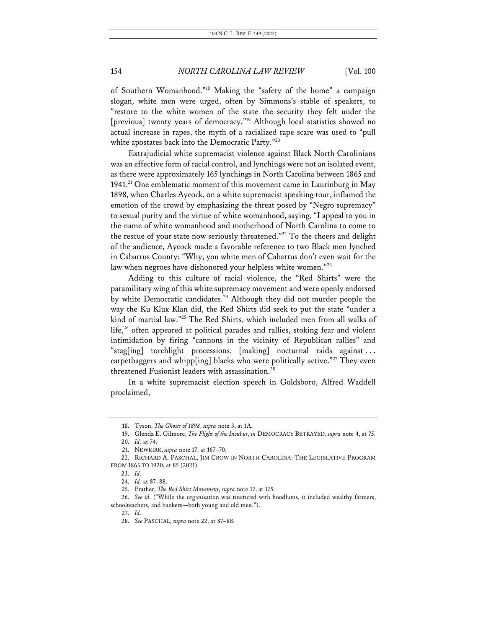of Southern Womanhood."18 Making the "safety of the home" a campaign slogan, white men were urged, often by Simmons's stable of speakers, to "restore to the white women of the state the security they felt under the [previous] twenty years of democracy."<sup>19</sup> Although local statistics showed no actual increase in rapes, the myth of a racialized rape scare was used to "pull white apostates back into the Democratic Party."<sup>20</sup>

Extrajudicial white supremacist violence against Black North Carolinians was an effective form of racial control, and lynchings were not an isolated event, as there were approximately 165 lynchings in North Carolina between 1865 and 1941.21 One emblematic moment of this movement came in Laurinburg in May 1898, when Charles Aycock, on a white supremacist speaking tour, inflamed the emotion of the crowd by emphasizing the threat posed by "Negro supremacy" to sexual purity and the virtue of white womanhood, saying, "I appeal to you in the name of white womanhood and motherhood of North Carolina to come to the rescue of your state now seriously threatened."<sup>22</sup> To the cheers and delight of the audience, Aycock made a favorable reference to two Black men lynched in Cabarrus County: "Why, you white men of Cabarrus don't even wait for the law when negroes have dishonored your helpless white women."23

Adding to this culture of racial violence, the "Red Shirts" were the paramilitary wing of this white supremacy movement and were openly endorsed by white Democratic candidates.<sup>24</sup> Although they did not murder people the way the Ku Klux Klan did, the Red Shirts did seek to put the state "under a kind of martial law."25 The Red Shirts, which included men from all walks of life, $26$  often appeared at political parades and rallies, stoking fear and violent intimidation by firing "cannons in the vicinity of Republican rallies" and "stag[ing] torchlight processions, [making] nocturnal raids against . . . carpetbaggers and whipp[ing] blacks who were politically active."<sup>27</sup> They even threatened Fusionist leaders with assassination.<sup>28</sup>

In a white supremacist election speech in Goldsboro, Alfred Waddell proclaimed,

26. *See id.* ("While the organization was tinctured with hoodlums, it included wealthy farmers, schoolteachers, and bankers—both young and old men.").

27. *Id.*

<sup>18.</sup> Tyson, *The Ghosts of 1898*, *supra* note 3, at 1A.

<sup>19.</sup> Glenda E. Gilmore, *The Flight of the Incubus*, *in* DEMOCRACY BETRAYED, *supra* note 4, at 75.

<sup>20.</sup> *Id.* at 74.

<sup>21.</sup> NEWKIRK, *supra* note 17, at 167–70.

<sup>22.</sup> RICHARD A. PASCHAL, JIM CROW IN NORTH CAROLINA: THE LEGISLATIVE PROGRAM FROM 1865 TO 1920, at 85 (2021).

<sup>23.</sup> *Id.*

<sup>24.</sup> *Id.* at 87–88.

<sup>25.</sup> Prather, *The Red Shirt Movement*, *supra* note 17, at 175.

<sup>28.</sup> *See* PASCHAL, *supra* note 22, at 87–88.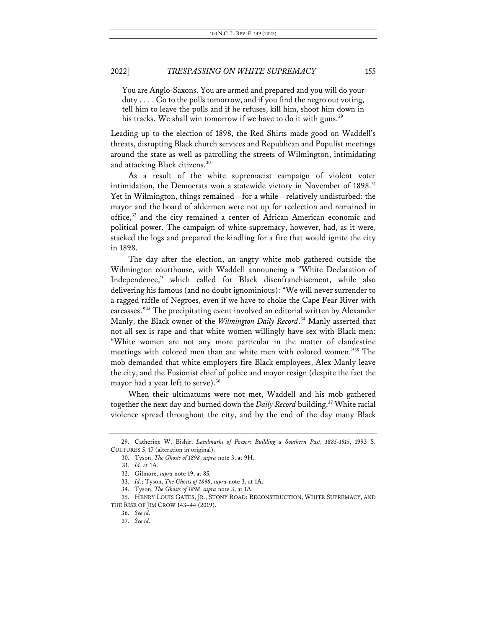You are Anglo-Saxons. You are armed and prepared and you will do your duty . . . . Go to the polls tomorrow, and if you find the negro out voting, tell him to leave the polls and if he refuses, kill him, shoot him down in his tracks. We shall win tomorrow if we have to do it with guns.<sup>29</sup>

Leading up to the election of 1898, the Red Shirts made good on Waddell's threats, disrupting Black church services and Republican and Populist meetings around the state as well as patrolling the streets of Wilmington, intimidating and attacking Black citizens.30

As a result of the white supremacist campaign of violent voter intimidation, the Democrats won a statewide victory in November of 1898.<sup>31</sup> Yet in Wilmington, things remained—for a while—relatively undisturbed: the mayor and the board of aldermen were not up for reelection and remained in office,<sup>32</sup> and the city remained a center of African American economic and political power. The campaign of white supremacy, however, had, as it were, stacked the logs and prepared the kindling for a fire that would ignite the city in 1898.

The day after the election, an angry white mob gathered outside the Wilmington courthouse, with Waddell announcing a "White Declaration of Independence," which called for Black disenfranchisement, while also delivering his famous (and no doubt ignominious): "We will never surrender to a ragged raffle of Negroes, even if we have to choke the Cape Fear River with carcasses."33 The precipitating event involved an editorial written by Alexander Manly, the Black owner of the *Wilmington Daily Record*. <sup>34</sup> Manly asserted that not all sex is rape and that white women willingly have sex with Black men: "White women are not any more particular in the matter of clandestine meetings with colored men than are white men with colored women."35 The mob demanded that white employers fire Black employees, Alex Manly leave the city, and the Fusionist chief of police and mayor resign (despite the fact the mayor had a year left to serve). 36

When their ultimatums were not met, Waddell and his mob gathered together the next day and burned down the *Daily Record* building. <sup>37</sup> White racial violence spread throughout the city, and by the end of the day many Black

<sup>29.</sup> Catherine W. Bishir, *Landmarks of Power: Building a Southern Past, 1885-1915*, 1993 S. CULTURES 5, 17 (alteration in original).

<sup>30.</sup> Tyson, *The Ghosts of 1898*, *supra* note 3, at 9H.

<sup>31.</sup> *Id.* at 1A.

<sup>32.</sup> Gilmore, *supra* note 19, at 85.

<sup>33.</sup> *Id.*; Tyson, *The Ghosts of 1898*, *supra* note 3, at 1A.

<sup>34.</sup> Tyson, *The Ghosts of 1898*, *supra* note 3, at 1A.

<sup>35.</sup> HENRY LOUIS GATES, JR., STONY ROAD: RECONSTRUCTION, WHITE SUPREMACY, AND THE RISE OF JIM CROW 143–44 (2019).

<sup>36.</sup> *See id.*

<sup>37.</sup> *See id.*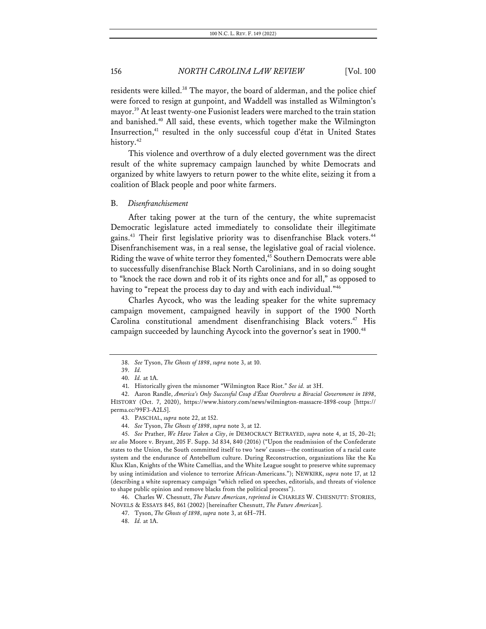residents were killed.<sup>38</sup> The mayor, the board of alderman, and the police chief were forced to resign at gunpoint, and Waddell was installed as Wilmington's mayor.<sup>39</sup> At least twenty-one Fusionist leaders were marched to the train station and banished.<sup>40</sup> All said, these events, which together make the Wilmington Insurrection, <sup>41</sup> resulted in the only successful coup d'état in United States history.<sup>42</sup>

This violence and overthrow of a duly elected government was the direct result of the white supremacy campaign launched by white Democrats and organized by white lawyers to return power to the white elite, seizing it from a coalition of Black people and poor white farmers.

#### B. *Disenfranchisement*

After taking power at the turn of the century, the white supremacist Democratic legislature acted immediately to consolidate their illegitimate gains.<sup>43</sup> Their first legislative priority was to disenfranchise Black voters.<sup>44</sup> Disenfranchisement was, in a real sense, the legislative goal of racial violence. Riding the wave of white terror they fomented,<sup>45</sup> Southern Democrats were able to successfully disenfranchise Black North Carolinians, and in so doing sought to "knock the race down and rob it of its rights once and for all," as opposed to having to "repeat the process day to day and with each individual."<sup>46</sup>

Charles Aycock, who was the leading speaker for the white supremacy campaign movement, campaigned heavily in support of the 1900 North Carolina constitutional amendment disenfranchising Black voters.<sup>47</sup> His campaign succeeded by launching Aycock into the governor's seat in 1900.<sup>48</sup>

46. Charles W. Chesnutt, *The Future American*, *reprinted in* CHARLES W. CHESNUTT: STORIES, NOVELS & ESSAYS 845, 861 (2002) [hereinafter Chesnutt, *The Future American*].

<sup>38.</sup> *See* Tyson, *The Ghosts of 1898*, *supra* note 3, at 10.

<sup>39.</sup> *Id.*

<sup>40.</sup> *Id.* at 1A.

<sup>41.</sup> Historically given the misnomer "Wilmington Race Riot." *See id.* at 3H.

<sup>42.</sup> Aaron Randle, *America's Only Successful Coup d'État Overthrew a Biracial Government in 1898*, HISTORY (Oct. 7, 2020), https://www.history.com/news/wilmington-massacre-1898-coup [https:// perma.cc/99F3-A2L5].

<sup>43.</sup> PASCHAL, *supra* note 22, at 152.

<sup>44.</sup> *See* Tyson, *The Ghosts of 1898*, *supra* note 3, at 12.

<sup>45.</sup> *See* Prather, *We Have Taken a City*, *in* DEMOCRACY BETRAYED, *supra* note 4, at 15, 20–21; *see also* Moore v. Bryant, 205 F. Supp. 3d 834, 840 (2016) ("Upon the readmission of the Confederate states to the Union, the South committed itself to two 'new' causes—the continuation of a racial caste system and the endurance of Antebellum culture. During Reconstruction, organizations like the Ku Klux Klan, Knights of the White Camellias, and the White League sought to preserve white supremacy by using intimidation and violence to terrorize African-Americans."); NEWKIRK, *supra* note 17, at 12 (describing a white supremacy campaign "which relied on speeches, editorials, and threats of violence to shape public opinion and remove blacks from the political process").

<sup>47.</sup> Tyson, *The Ghosts of 1898*, *supra* note 3, at 6H–7H.

<sup>48.</sup> *Id.* at 1A.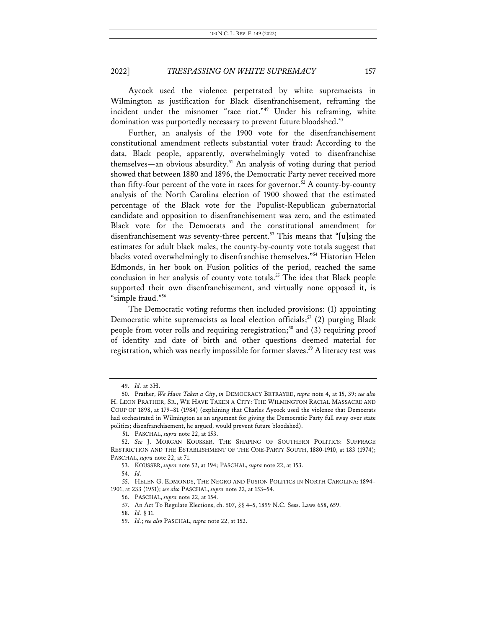Aycock used the violence perpetrated by white supremacists in Wilmington as justification for Black disenfranchisement, reframing the incident under the misnomer "race riot."49 Under his reframing, white domination was purportedly necessary to prevent future bloodshed.<sup>50</sup>

Further, an analysis of the 1900 vote for the disenfranchisement constitutional amendment reflects substantial voter fraud: According to the data, Black people, apparently, overwhelmingly voted to disenfranchise themselves—an obvious absurdity. <sup>51</sup> An analysis of voting during that period showed that between 1880 and 1896, the Democratic Party never received more than fifty-four percent of the vote in races for governor.<sup>52</sup> A county-by-county analysis of the North Carolina election of 1900 showed that the estimated percentage of the Black vote for the Populist-Republican gubernatorial candidate and opposition to disenfranchisement was zero, and the estimated Black vote for the Democrats and the constitutional amendment for disenfranchisement was seventy-three percent. <sup>53</sup> This means that "[u]sing the estimates for adult black males, the county-by-county vote totals suggest that blacks voted overwhelmingly to disenfranchise themselves."54 Historian Helen Edmonds, in her book on Fusion politics of the period, reached the same conclusion in her analysis of county vote totals.<sup>55</sup> The idea that Black people supported their own disenfranchisement, and virtually none opposed it, is "simple fraud."56

The Democratic voting reforms then included provisions: (1) appointing Democratic white supremacists as local election officials;<sup>57</sup> (2) purging Black people from voter rolls and requiring reregistration; <sup>58</sup> and (3) requiring proof of identity and date of birth and other questions deemed material for registration, which was nearly impossible for former slaves.<sup>59</sup> A literacy test was

<sup>49.</sup> *Id.* at 3H.

<sup>50.</sup> Prather, *We Have Taken a City*, *in* DEMOCRACY BETRAYED, *supra* note 4, at 15, 39; *see also* H. LEON PRATHER, SR., WE HAVE TAKEN A CITY: THE WILMINGTON RACIAL MASSACRE AND COUP OF 1898, at 179–81 (1984) (explaining that Charles Aycock used the violence that Democrats had orchestrated in Wilmington as an argument for giving the Democratic Party full sway over state politics; disenfranchisement, he argued, would prevent future bloodshed).

<sup>51.</sup> PASCHAL, *supra* note 22, at 153.

<sup>52.</sup> *See* J. MORGAN KOUSSER, THE SHAPING OF SOUTHERN POLITICS: SUFFRAGE RESTRICTION AND THE ESTABLISHMENT OF THE ONE-PARTY SOUTH, 1880-1910, at 183 (1974); PASCHAL, *supra* note 22, at 71.

<sup>53.</sup> KOUSSER, *supra* note 52, at 194; PASCHAL, *supra* note 22, at 153.

<sup>54.</sup> *Id.*

<sup>55.</sup> HELEN G. EDMONDS, THE NEGRO AND FUSION POLITICS IN NORTH CAROLINA: 1894– 1901, at 233 (1951); *see also* PASCHAL, *supra* note 22, at 153–54.

<sup>56.</sup> PASCHAL, *supra* note 22, at 154.

<sup>57.</sup> An Act To Regulate Elections, ch. 507, §§ 4–5, 1899 N.C. Sess. Laws 658, 659.

<sup>58.</sup> *Id.* § 11.

<sup>59.</sup> *Id.*; *see also* PASCHAL, *supra* note 22, at 152.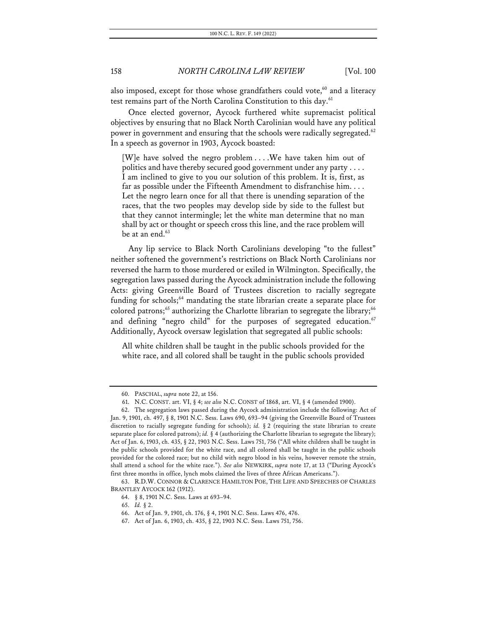also imposed, except for those whose grandfathers could vote,<sup>60</sup> and a literacy test remains part of the North Carolina Constitution to this day.<sup>61</sup>

Once elected governor, Aycock furthered white supremacist political objectives by ensuring that no Black North Carolinian would have any political power in government and ensuring that the schools were radically segregated.<sup>62</sup> In a speech as governor in 1903, Aycock boasted:

[W]e have solved the negro problem . . . .We have taken him out of politics and have thereby secured good government under any party . . . . I am inclined to give to you our solution of this problem. It is, first, as far as possible under the Fifteenth Amendment to disfranchise him. . . . Let the negro learn once for all that there is unending separation of the races, that the two peoples may develop side by side to the fullest but that they cannot intermingle; let the white man determine that no man shall by act or thought or speech cross this line, and the race problem will be at an end. $63$ 

Any lip service to Black North Carolinians developing "to the fullest" neither softened the government's restrictions on Black North Carolinians nor reversed the harm to those murdered or exiled in Wilmington. Specifically, the segregation laws passed during the Aycock administration include the following Acts: giving Greenville Board of Trustees discretion to racially segregate funding for schools;<sup>64</sup> mandating the state librarian create a separate place for colored patrons; <sup>65</sup> authorizing the Charlotte librarian to segregate the library; 66 and defining "negro child" for the purposes of segregated education. $67$ Additionally, Aycock oversaw legislation that segregated all public schools:

All white children shall be taught in the public schools provided for the white race, and all colored shall be taught in the public schools provided

<sup>60.</sup> PASCHAL, *supra* note 22, at 156.

<sup>61.</sup> N.C. CONST. art. VI, § 4; *see also* N.C. CONST of 1868, art. VI, § 4 (amended 1900).

<sup>62.</sup> The segregation laws passed during the Aycock administration include the following: Act of Jan. 9, 1901, ch. 497, § 8, 1901 N.C. Sess. Laws 690, 693–94 (giving the Greenville Board of Trustees discretion to racially segregate funding for schools); *id.* § 2 (requiring the state librarian to create separate place for colored patrons); *id.* § 4 (authorizing the Charlotte librarian to segregate the library); Act of Jan. 6, 1903, ch. 435, § 22, 1903 N.C. Sess. Laws 751, 756 ("All white children shall be taught in the public schools provided for the white race, and all colored shall be taught in the public schools provided for the colored race; but no child with negro blood in his veins, however remote the strain, shall attend a school for the white race."). *See also* NEWKIRK, *supra* note 17, at 13 ("During Aycock's first three months in office, lynch mobs claimed the lives of three African Americans.").

<sup>63.</sup> R.D.W. CONNOR & CLARENCE HAMILTON POE, THE LIFE AND SPEECHES OF CHARLES BRANTLEY AYCOCK 162 (1912).

<sup>64.</sup> § 8, 1901 N.C. Sess. Laws at 693–94.

<sup>65.</sup> *Id.* § 2.

<sup>66.</sup> Act of Jan. 9, 1901, ch. 176, § 4, 1901 N.C. Sess. Laws 476, 476.

<sup>67.</sup> Act of Jan. 6, 1903, ch. 435, § 22, 1903 N.C. Sess. Laws 751, 756.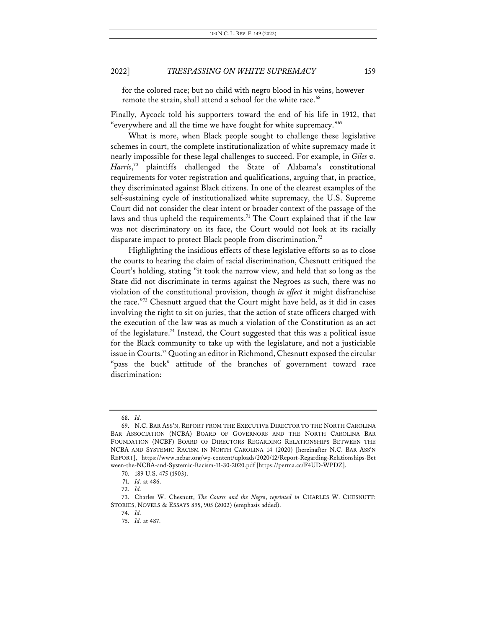for the colored race; but no child with negro blood in his veins, however remote the strain, shall attend a school for the white race.<sup>68</sup>

Finally, Aycock told his supporters toward the end of his life in 1912, that "everywhere and all the time we have fought for white supremacy."69

What is more, when Black people sought to challenge these legislative schemes in court, the complete institutionalization of white supremacy made it nearly impossible for these legal challenges to succeed. For example, in *Giles v. Harris*, <sup>70</sup> plaintiffs challenged the State of Alabama's constitutional requirements for voter registration and qualifications, arguing that, in practice, they discriminated against Black citizens. In one of the clearest examples of the self-sustaining cycle of institutionalized white supremacy, the U.S. Supreme Court did not consider the clear intent or broader context of the passage of the laws and thus upheld the requirements.<sup>71</sup> The Court explained that if the law was not discriminatory on its face, the Court would not look at its racially disparate impact to protect Black people from discrimination.<sup>72</sup>

Highlighting the insidious effects of these legislative efforts so as to close the courts to hearing the claim of racial discrimination, Chesnutt critiqued the Court's holding, stating "it took the narrow view, and held that so long as the State did not discriminate in terms against the Negroes as such, there was no violation of the constitutional provision, though *in effect* it might disfranchise the race."73 Chesnutt argued that the Court might have held, as it did in cases involving the right to sit on juries, that the action of state officers charged with the execution of the law was as much a violation of the Constitution as an act of the legislature.74 Instead, the Court suggested that this was a political issue for the Black community to take up with the legislature, and not a justiciable issue in Courts.75 Quoting an editor in Richmond, Chesnutt exposed the circular "pass the buck" attitude of the branches of government toward race discrimination:

<sup>68.</sup> *Id.*

<sup>69.</sup> N.C. BAR ASS'N, REPORT FROM THE EXECUTIVE DIRECTOR TO THE NORTH CAROLINA BAR ASSOCIATION (NCBA) BOARD OF GOVERNORS AND THE NORTH CAROLINA BAR FOUNDATION (NCBF) BOARD OF DIRECTORS REGARDING RELATIONSHIPS BETWEEN THE NCBA AND SYSTEMIC RACISM IN NORTH CAROLINA 14 (2020) [hereinafter N.C. BAR ASS'N REPORT], https://www.ncbar.org/wp-content/uploads/2020/12/Report-Regarding-Relationships-Bet ween-the-NCBA-and-Systemic-Racism-11-30-2020.pdf [https://perma.cc/F4UD-WPDZ].

<sup>70.</sup> 189 U.S. 475 (1903).

<sup>71.</sup> *Id.* at 486.

<sup>72.</sup> *Id.*

<sup>73.</sup> Charles W. Chesnutt, *The Courts and the Negro*, *reprinted in* CHARLES W. CHESNUTT: STORIES, NOVELS & ESSAYS 895, 905 (2002) (emphasis added).

<sup>74.</sup> *Id.*

<sup>75.</sup> *Id.* at 487.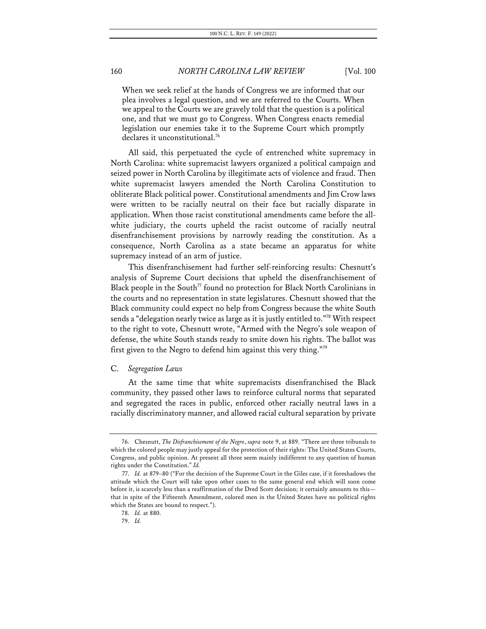When we seek relief at the hands of Congress we are informed that our plea involves a legal question, and we are referred to the Courts. When we appeal to the Courts we are gravely told that the question is a political one, and that we must go to Congress. When Congress enacts remedial legislation our enemies take it to the Supreme Court which promptly declares it unconstitutional.<sup>76</sup>

All said, this perpetuated the cycle of entrenched white supremacy in North Carolina: white supremacist lawyers organized a political campaign and seized power in North Carolina by illegitimate acts of violence and fraud. Then white supremacist lawyers amended the North Carolina Constitution to obliterate Black political power. Constitutional amendments and Jim Crow laws were written to be racially neutral on their face but racially disparate in application. When those racist constitutional amendments came before the allwhite judiciary, the courts upheld the racist outcome of racially neutral disenfranchisement provisions by narrowly reading the constitution. As a consequence, North Carolina as a state became an apparatus for white supremacy instead of an arm of justice.

This disenfranchisement had further self-reinforcing results: Chesnutt's analysis of Supreme Court decisions that upheld the disenfranchisement of Black people in the South<sup>77</sup> found no protection for Black North Carolinians in the courts and no representation in state legislatures. Chesnutt showed that the Black community could expect no help from Congress because the white South sends a "delegation nearly twice as large as it is justly entitled to."78 With respect to the right to vote, Chesnutt wrote, "Armed with the Negro's sole weapon of defense, the white South stands ready to smite down his rights. The ballot was first given to the Negro to defend him against this very thing."79

#### C. *Segregation Laws*

At the same time that white supremacists disenfranchised the Black community, they passed other laws to reinforce cultural norms that separated and segregated the races in public, enforced other racially neutral laws in a racially discriminatory manner, and allowed racial cultural separation by private

<sup>76.</sup> Chesnutt, *The Disfranchisement of the Negro*, *supra* note 9, at 889. "There are three tribunals to which the colored people may justly appeal for the protection of their rights: The United States Courts, Congress, and public opinion. At present all three seem mainly indifferent to any question of human rights under the Constitution." *Id.*

<sup>77.</sup> *Id.* at 879–80 ("For the decision of the Supreme Court in the Giles case, if it foreshadows the attitude which the Court will take upon other cases to the same general end which will soon come before it, is scarcely less than a reaffirmation of the Dred Scott decision; it certainly amounts to this that in spite of the Fifteenth Amendment, colored men in the United States have no political rights which the States are bound to respect.").

<sup>78.</sup> *Id.* at 880.

<sup>79.</sup> *Id.*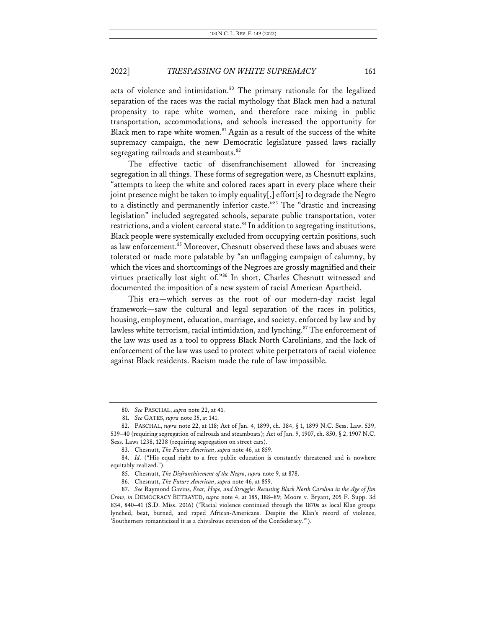acts of violence and intimidation.<sup>80</sup> The primary rationale for the legalized separation of the races was the racial mythology that Black men had a natural propensity to rape white women, and therefore race mixing in public transportation, accommodations, and schools increased the opportunity for Black men to rape white women. $81$  Again as a result of the success of the white supremacy campaign, the new Democratic legislature passed laws racially segregating railroads and steamboats.<sup>82</sup>

The effective tactic of disenfranchisement allowed for increasing segregation in all things. These forms of segregation were, as Chesnutt explains, "attempts to keep the white and colored races apart in every place where their joint presence might be taken to imply equality[,] effort[s] to degrade the Negro to a distinctly and permanently inferior caste."83 The "drastic and increasing legislation" included segregated schools, separate public transportation, voter restrictions, and a violent carceral state.<sup>84</sup> In addition to segregating institutions, Black people were systemically excluded from occupying certain positions, such as law enforcement.<sup>85</sup> Moreover, Chesnutt observed these laws and abuses were tolerated or made more palatable by "an unflagging campaign of calumny, by which the vices and shortcomings of the Negroes are grossly magnified and their virtues practically lost sight of."86 In short, Charles Chesnutt witnessed and documented the imposition of a new system of racial American Apartheid.

This era—which serves as the root of our modern-day racist legal framework—saw the cultural and legal separation of the races in politics, housing, employment, education, marriage, and society, enforced by law and by lawless white terrorism, racial intimidation, and lynching.<sup>87</sup> The enforcement of the law was used as a tool to oppress Black North Carolinians, and the lack of enforcement of the law was used to protect white perpetrators of racial violence against Black residents. Racism made the rule of law impossible.

<sup>80.</sup> *See* PASCHAL, *supra* note 22, at 41.

<sup>81.</sup> *See* GATES, *supra* note 35, at 141.

<sup>82.</sup> PASCHAL, *supra* note 22, at 118; Act of Jan. 4, 1899, ch. 384, § 1, 1899 N.C. Sess. Law. 539, 539–40 (requiring segregation of railroads and steamboats); Act of Jan. 9, 1907, ch. 850, § 2, 1907 N.C. Sess. Laws 1238, 1238 (requiring segregation on street cars).

<sup>83.</sup> Chesnutt, *The Future American*, *supra* note 46, at 859.

<sup>84.</sup> *Id.* ("His equal right to a free public education is constantly threatened and is nowhere equitably realized.").

<sup>85.</sup> Chesnutt, *The Disfranchisement of the Negro*, *supra* note 9, at 878.

<sup>86.</sup> Chesnutt, *The Future American*, *supra* note 46, at 859.

<sup>87.</sup> *See* Raymond Gavins, *Fear, Hope, and Struggle: Recasting Black North Carolina in the Age of Jim Crow*, *in* DEMOCRACY BETRAYED, *supra* note 4, at 185, 188–89; Moore v. Bryant, 205 F. Supp. 3d 834, 840–41 (S.D. Miss. 2016) ("Racial violence continued through the 1870s as local Klan groups lynched, beat, burned, and raped African-Americans. Despite the Klan's record of violence, 'Southerners romanticized it as a chivalrous extension of the Confederacy.'").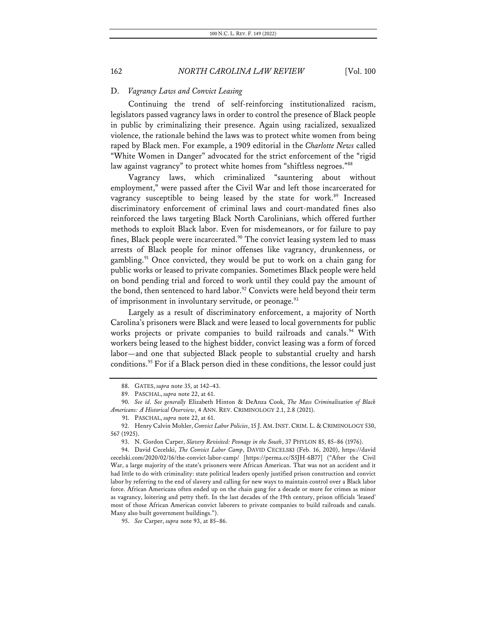#### D. *Vagrancy Laws and Convict Leasing*

Continuing the trend of self-reinforcing institutionalized racism, legislators passed vagrancy laws in order to control the presence of Black people in public by criminalizing their presence. Again using racialized, sexualized violence, the rationale behind the laws was to protect white women from being raped by Black men. For example, a 1909 editorial in the *Charlotte News* called "White Women in Danger" advocated for the strict enforcement of the "rigid law against vagrancy" to protect white homes from "shiftless negroes."<sup>88</sup>

Vagrancy laws, which criminalized "sauntering about without employment," were passed after the Civil War and left those incarcerated for vagrancy susceptible to being leased by the state for work.<sup>89</sup> Increased discriminatory enforcement of criminal laws and court-mandated fines also reinforced the laws targeting Black North Carolinians, which offered further methods to exploit Black labor. Even for misdemeanors, or for failure to pay fines, Black people were incarcerated.<sup>90</sup> The convict leasing system led to mass arrests of Black people for minor offenses like vagrancy, drunkenness, or gambling.<sup>91</sup> Once convicted, they would be put to work on a chain gang for public works or leased to private companies. Sometimes Black people were held on bond pending trial and forced to work until they could pay the amount of the bond, then sentenced to hard labor.<sup>92</sup> Convicts were held beyond their term of imprisonment in involuntary servitude, or peonage.<sup>93</sup>

Largely as a result of discriminatory enforcement, a majority of North Carolina's prisoners were Black and were leased to local governments for public works projects or private companies to build railroads and canals.<sup>94</sup> With workers being leased to the highest bidder, convict leasing was a form of forced labor—and one that subjected Black people to substantial cruelty and harsh conditions. <sup>95</sup> For if a Black person died in these conditions, the lessor could just

95. *See* Carper, *supra* note 93, at 85–86.

<sup>88.</sup> GATES, *supra* note 35, at 142–43.

<sup>89.</sup> PASCHAL, *supra* note 22, at 61.

<sup>90.</sup> *See id. See generally* Elizabeth Hinton & DeAnza Cook, *The Mass Criminalization of Black Americans: A Historical Overview*, 4 ANN. REV. CRIMINOLOGY 2.1, 2.8 (2021).

<sup>91.</sup> PASCHAL, *supra* note 22, at 61.

<sup>92.</sup> Henry Calvin Mohler, *Convict Labor Policies*, 15 J. AM.INST.CRIM. L. & CRIMINOLOGY 530, 567 (1925).

<sup>93.</sup> N. Gordon Carper, *Slavery Revisited: Peonage in the South*, 37 PHYLON 85, 85–86 (1976).

<sup>94.</sup> David Cecelski, *The Convict Labor Camp*, DAVID CECELSKI (Feb. 16, 2020), https://david cecelski.com/2020/02/16/the-convict-labor-camp/ [https://perma.cc/S5JH-6B77] ("After the Civil War, a large majority of the state's prisoners were African American. That was not an accident and it had little to do with criminality: state political leaders openly justified prison construction and convict labor by referring to the end of slavery and calling for new ways to maintain control over a Black labor force. African Americans often ended up on the chain gang for a decade or more for crimes as minor as vagrancy, loitering and petty theft. In the last decades of the 19th century, prison officials 'leased' most of those African American convict laborers to private companies to build railroads and canals. Many also built government buildings.").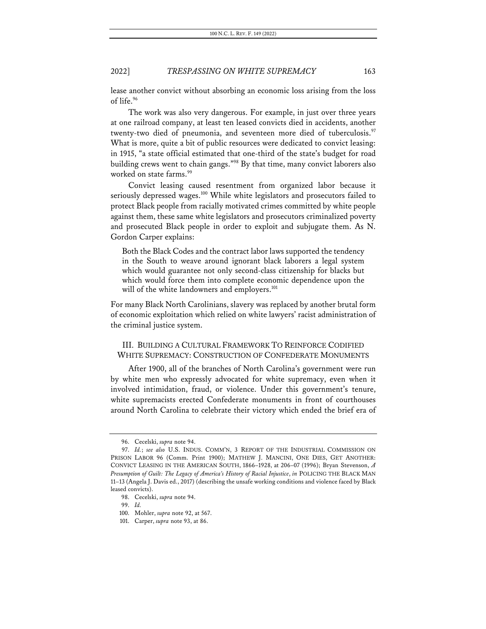lease another convict without absorbing an economic loss arising from the loss of life.96

The work was also very dangerous. For example, in just over three years at one railroad company, at least ten leased convicts died in accidents, another twenty-two died of pneumonia, and seventeen more died of tuberculosis.<sup>97</sup> What is more, quite a bit of public resources were dedicated to convict leasing: in 1915, "a state official estimated that one-third of the state's budget for road building crews went to chain gangs."98 By that time, many convict laborers also worked on state farms.<sup>99</sup>

Convict leasing caused resentment from organized labor because it seriously depressed wages.<sup>100</sup> While white legislators and prosecutors failed to protect Black people from racially motivated crimes committed by white people against them, these same white legislators and prosecutors criminalized poverty and prosecuted Black people in order to exploit and subjugate them. As N. Gordon Carper explains:

Both the Black Codes and the contract labor laws supported the tendency in the South to weave around ignorant black laborers a legal system which would guarantee not only second-class citizenship for blacks but which would force them into complete economic dependence upon the will of the white landowners and employers.<sup>101</sup>

For many Black North Carolinians, slavery was replaced by another brutal form of economic exploitation which relied on white lawyers' racist administration of the criminal justice system.

# III. BUILDING A CULTURAL FRAMEWORK TO REINFORCE CODIFIED WHITE SUPREMACY: CONSTRUCTION OF CONFEDERATE MONUMENTS

After 1900, all of the branches of North Carolina's government were run by white men who expressly advocated for white supremacy, even when it involved intimidation, fraud, or violence. Under this government's tenure, white supremacists erected Confederate monuments in front of courthouses around North Carolina to celebrate their victory which ended the brief era of

<sup>96.</sup> Cecelski, *supra* note 94.

<sup>97.</sup> *Id.*; *see also* U.S. INDUS. COMM'N, 3 REPORT OF THE INDUSTRIAL COMMISSION ON PRISON LABOR 96 (Comm. Print 1900); MATHEW J. MANCINI, ONE DIES, GET ANOTHER: CONVICT LEASING IN THE AMERICAN SOUTH, 1866–1928, at 206–07 (1996); Bryan Stevenson, *A Presumption of Guilt: The Legacy of America's History of Racial Injustice*, *in* POLICING THE BLACK MAN 11–13 (Angela J. Davis ed., 2017) (describing the unsafe working conditions and violence faced by Black leased convicts).

<sup>98.</sup> Cecelski, *supra* note 94.

<sup>99.</sup> *Id.*

<sup>100.</sup> Mohler, *supra* note 92, at 567.

<sup>101.</sup> Carper, *supra* note 93, at 86.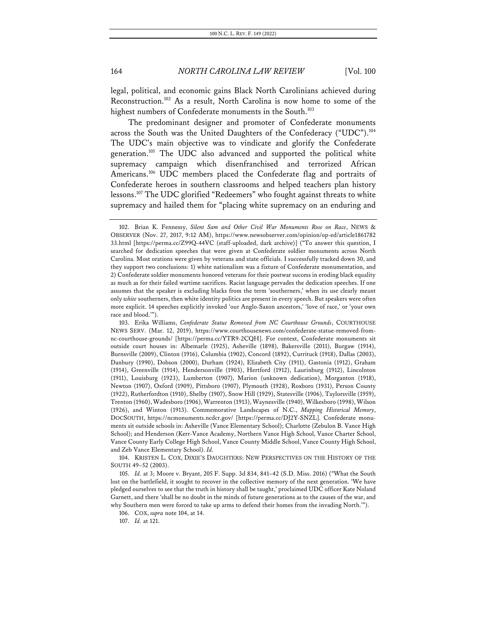legal, political, and economic gains Black North Carolinians achieved during Reconstruction.102 As a result, North Carolina is now home to some of the highest numbers of Confederate monuments in the South.<sup>103</sup>

The predominant designer and promoter of Confederate monuments across the South was the United Daughters of the Confederacy ("UDC").<sup>104</sup> The UDC's main objective was to vindicate and glorify the Confederate generation.<sup>105</sup> The UDC also advanced and supported the political white supremacy campaign which disenfranchised and terrorized African Americans.<sup>106</sup> UDC members placed the Confederate flag and portraits of Confederate heroes in southern classrooms and helped teachers plan history lessons.107 The UDC glorified "Redeemers" who fought against threats to white supremacy and hailed them for "placing white supremacy on an enduring and

104. KRISTEN L. COX, DIXIE'S DAUGHTERS: NEW PERSPECTIVES ON THE HISTORY OF THE SOUTH 49–52 (2003).

105. *Id.* at 3; Moore v. Bryant, 205 F. Supp. 3d 834, 841–42 (S.D. Miss. 2016) ("What the South lost on the battlefield, it sought to recover in the collective memory of the next generation. 'We have pledged ourselves to see that the truth in history shall be taught,' proclaimed UDC officer Kate Noland Garnett, and there 'shall be no doubt in the minds of future generations as to the causes of the war, and why Southern men were forced to take up arms to defend their homes from the invading North.'").

106. COX, *supra* note 104, at 14.

107. *Id.* at 121.

<sup>102.</sup> Brian K. Fennessy, *Silent Sam and Other Civil War Monuments Rose on Race*, NEWS & OBSERVER (Nov. 27, 2017, 9:12 AM), https://www.newsobserver.com/opinion/op-ed/article1861782 33.html [https://perma.cc/Z99Q-44VC (staff-uploaded, dark archive)] ("To answer this question, I searched for dedication speeches that were given at Confederate soldier monuments across North Carolina. Most orations were given by veterans and state officials. I successfully tracked down 30, and they support two conclusions: 1) white nationalism was a fixture of Confederate monumentation, and 2) Confederate soldier monuments honored veterans for their postwar success in eroding black equality as much as for their failed wartime sacrifices. Racist language pervades the dedication speeches. If one assumes that the speaker is excluding blacks from the term 'southerners,' when its use clearly meant only *white* southerners, then white identity politics are present in every speech. But speakers were often more explicit. 14 speeches explicitly invoked 'our Anglo-Saxon ancestors,' 'love of race,' or 'your own race and blood.'").

<sup>103.</sup> Erika Williams, *Confederate Statue Removed from NC Courthouse Grounds*, COURTHOUSE NEWS SERV. (Mar. 12, 2019), https://www.courthousenews.com/confederate-statue-removed-fromnc-courthouse-grounds/ [https://perma.cc/YTR9-2CQH]. For context, Confederate monuments sit outside court houses in: Albemarle (1925), Asheville (1898), Bakersville (2011), Burgaw (1914), Burnsville (2009), Clinton (1916), Columbia (1902), Concord (1892), Currituck (1918), Dallas (2003), Danbury (1990), Dobson (2000), Durham (1924), Elizabeth City (1911), Gastonia (1912), Graham (1914), Greenville (1914), Hendersonville (1903), Hertford (1912), Laurinburg (1912), Lincolnton (1911), Louisburg (1923), Lumberton (1907), Marion (unknown dedication), Morganton (1918), Newton (1907), Oxford (1909), Pittsboro (1907), Plymouth (1928), Roxboro (1931), Person County (1922), Rutherfordton (1910), Shelby (1907), Snow Hill (1929), Statesville (1906), Taylorsville (1959), Trenton (1960), Wadesboro (1906), Warrenton (1913), Waynesville (1940), Wilkesboro (1998), Wilson (1926), and Winton (1913). Commemorative Landscapes of N.C., *Mapping Historical Memory*, DOCSOUTH, https://ncmonuments.ncdcr.gov/ [https://perma.cc/DJ2Y-SNZL]. Confederate monuments sit outside schools in: Asheville (Vance Elementary School); Charlotte (Zebulon B. Vance High School); and Henderson (Kerr-Vance Academy, Northern Vance High School, Vance Charter School, Vance County Early College High School, Vance County Middle School, Vance County High School, and Zeb Vance Elementary School). *Id.*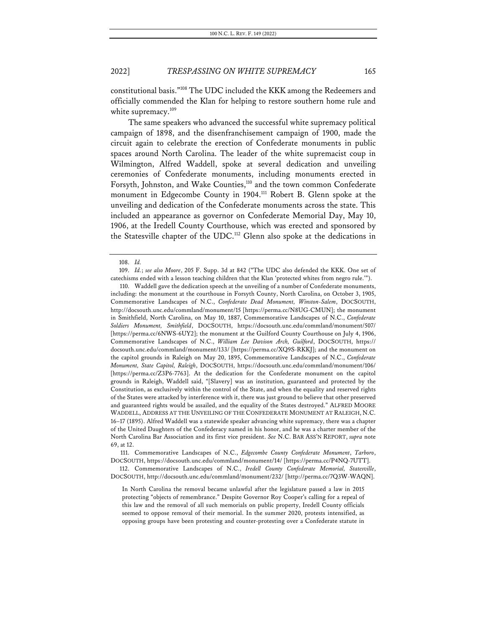constitutional basis."108 The UDC included the KKK among the Redeemers and officially commended the Klan for helping to restore southern home rule and white supremacy.<sup>109</sup>

The same speakers who advanced the successful white supremacy political campaign of 1898, and the disenfranchisement campaign of 1900, made the circuit again to celebrate the erection of Confederate monuments in public spaces around North Carolina. The leader of the white supremacist coup in Wilmington, Alfred Waddell, spoke at several dedication and unveiling ceremonies of Confederate monuments, including monuments erected in Forsyth, Johnston, and Wake Counties,<sup>110</sup> and the town common Confederate monument in Edgecombe County in 1904.<sup>111</sup> Robert B. Glenn spoke at the unveiling and dedication of the Confederate monuments across the state. This included an appearance as governor on Confederate Memorial Day, May 10, 1906, at the Iredell County Courthouse, which was erected and sponsored by the Statesville chapter of the UDC. <sup>112</sup> Glenn also spoke at the dedications in

<sup>108.</sup> *Id.*

<sup>109.</sup> *Id.*; *see also Moore*, 205 F. Supp. 3d at 842 ("The UDC also defended the KKK. One set of catechisms ended with a lesson teaching children that the Klan 'protected whites from negro rule.'").

<sup>110.</sup> Waddell gave the dedication speech at the unveiling of a number of Confederate monuments, including: the monument at the courthouse in Forsyth County, North Carolina, on October 3, 1905, Commemorative Landscapes of N.C., *Confederate Dead Monument, Winston-Salem*, DOCSOUTH, http://docsouth.unc.edu/commland/monument/15 [https://perma.cc/N8UG-CMUN]; the monument in Smithfield, North Carolina, on May 10, 1887, Commemorative Landscapes of N.C., *Confederate Soldiers Monument, Smithfield*, DOCSOUTH, https://docsouth.unc.edu/commland/monument/507/ [https://perma.cc/6NWS-6UY2]; the monument at the Guilford County Courthouse on July 4, 1906, Commemorative Landscapes of N.C., *William Lee Davison Arch, Guilford*, DOCSOUTH, https:// docsouth.unc.edu/commland/monument/133/ [https://perma.cc/XQ9S-RKKJ]; and the monument on the capitol grounds in Raleigh on May 20, 1895, Commemorative Landscapes of N.C., *Confederate Monument, State Capitol, Raleigh*, DOCSOUTH, https://docsouth.unc.edu/commland/monument/106/ [https://perma.cc/Z3P6-7763]. At the dedication for the Confederate monument on the capitol grounds in Raleigh, Waddell said, "[Slavery] was an institution, guaranteed and protected by the Constitution, as exclusively within the control of the State, and when the equality and reserved rights of the States were attacked by interference with it, there was just ground to believe that other preserved and guaranteed rights would be assailed, and the equality of the States destroyed." ALFRED MOORE WADDELL, ADDRESS AT THE UNVEILING OF THE CONFEDERATE MONUMENT AT RALEIGH, N.C. 16–17 (1895). Alfred Waddell was a statewide speaker advancing white supremacy, there was a chapter of the United Daughters of the Confederacy named in his honor, and he was a charter member of the North Carolina Bar Association and its first vice president. *See* N.C. BAR ASS'N REPORT, *supra* note 69, at 12.

<sup>111.</sup> Commemorative Landscapes of N.C., *Edgecombe County Confederate Monument*, *Tarboro*, DOCSOUTH, https://docsouth.unc.edu/commland/monument/14/ [https://perma.cc/P4NQ-7UTT].

<sup>112.</sup> Commemorative Landscapes of N.C., *Iredell County Confederate Memorial, Statesville*, DOCSOUTH, http://docsouth.unc.edu/commland/monument/232/ [http://perma.cc/7Q3W-WAQN].

In North Carolina the removal became unlawful after the legislature passed a law in 2015 protecting "objects of remembrance." Despite Governor Roy Cooper's calling for a repeal of this law and the removal of all such memorials on public property, Iredell County officials seemed to oppose removal of their memorial. In the summer 2020, protests intensified, as opposing groups have been protesting and counter-protesting over a Confederate statute in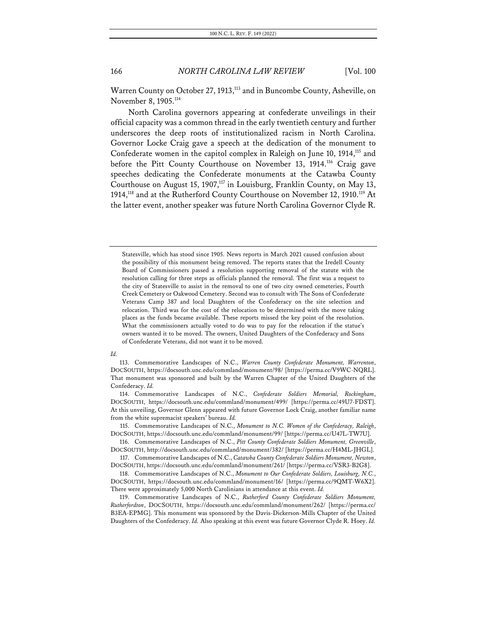Warren County on October 27, 1913,<sup>113</sup> and in Buncombe County, Asheville, on November 8, 1905.114

North Carolina governors appearing at confederate unveilings in their official capacity was a common thread in the early twentieth century and further underscores the deep roots of institutionalized racism in North Carolina. Governor Locke Craig gave a speech at the dedication of the monument to Confederate women in the capitol complex in Raleigh on June 10, 1914,<sup>115</sup> and before the Pitt County Courthouse on November 13, 1914.<sup>116</sup> Craig gave speeches dedicating the Confederate monuments at the Catawba County Courthouse on August 15, 1907,<sup>117</sup> in Louisburg, Franklin County, on May 13, 1914,<sup>118</sup> and at the Rutherford County Courthouse on November 12, 1910.<sup>119</sup> At the latter event, another speaker was future North Carolina Governor Clyde R.

#### *Id.*

Statesville, which has stood since 1905. News reports in March 2021 caused confusion about the possibility of this monument being removed. The reports states that the Iredell County Board of Commissioners passed a resolution supporting removal of the statute with the resolution calling for three steps as officials planned the removal. The first was a request to the city of Statesville to assist in the removal to one of two city owned cemeteries, Fourth Creek Cemetery or Oakwood Cemetery. Second was to consult with The Sons of Confederate Veterans Camp 387 and local Daughters of the Confederacy on the site selection and relocation. Third was for the cost of the relocation to be determined with the move taking places as the funds became available. These reports missed the key point of the resolution. What the commissioners actually voted to do was to pay for the relocation if the statue's owners wanted it to be moved. The owners, United Daughters of the Confederacy and Sons of Confederate Veterans, did not want it to be moved.

<sup>113.</sup> Commemorative Landscapes of N.C., *Warren County Confederate Monument, Warrenton*, DOCSOUTH, https://docsouth.unc.edu/commland/monument/98/ [https://perma.cc/V9WC-NQRL]. That monument was sponsored and built by the Warren Chapter of the United Daughters of the Confederacy. *Id.*

<sup>114.</sup> Commemorative Landscapes of N.C., *Confederate Soldiers Memorial, Rockingham*, DOCSOUTH, https://docsouth.unc.edu/commland/monument/499/ [https://perma.cc/49U7-FDST]. At this unveiling, Governor Glenn appeared with future Governor Lock Craig, another familiar name from the white supremacist speakers' bureau. *Id.*

<sup>115.</sup> Commemorative Landscapes of N.C., *Monument to N.C. Women of the Confederacy, Raleigh*, DOCSOUTH, https://docsouth.unc.edu/commland/monument/99/ [https://perma.cc/U47L-TW7U].

<sup>116.</sup> Commemorative Landscapes of N.C., *Pitt County Confederate Soldiers Monument, Greenville*, DOCSOUTH, http://docsouth.unc.edu/commland/monument/382/ [https://perma.cc/H4ML-JHGL].

<sup>117.</sup> Commemorative Landscapes of N.C., *Catawba County Confederate Soldiers Monument, Newton*, DOCSOUTH, https://docsouth.unc.edu/commland/monument/261/ [https://perma.cc/VSR3-B2G8].

<sup>118.</sup> Commemorative Landscapes of N.C., *Monument to Our Confederate Soldiers, Louisburg, N.C.*, DOCSOUTH, https://docsouth.unc.edu/commland/monument/16/ [https://perma.cc/9QMT-W6X2]. There were approximately 5,000 North Carolinians in attendance at this event. *Id.*

<sup>119.</sup> Commemorative Landscapes of N.C., *Rutherford County Confederate Soldiers Monument, Rutherfordton*, DOCSOUTH, https://docsouth.unc.edu/commland/monument/262/ [https://perma.cc/ B3EA-EPMG]. This monument was sponsored by the Davis-Dickerson-Mills Chapter of the United Daughters of the Confederacy. *Id.* Also speaking at this event was future Governor Clyde R. Hoey. *Id.*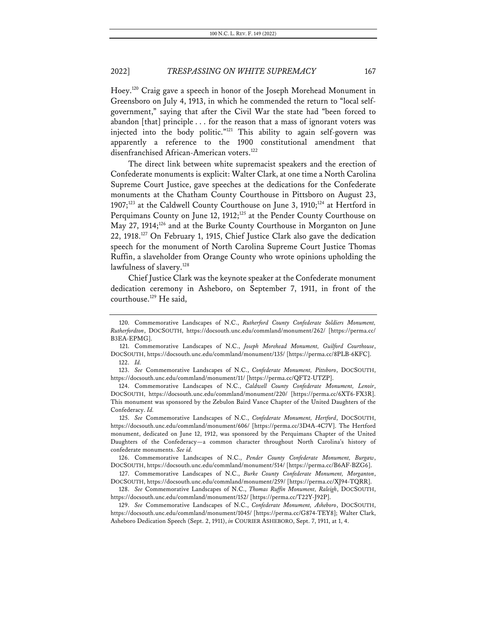Hoey.120 Craig gave a speech in honor of the Joseph Morehead Monument in Greensboro on July 4, 1913, in which he commended the return to "local selfgovernment," saying that after the Civil War the state had "been forced to abandon [that] principle . . . for the reason that a mass of ignorant voters was injected into the body politic."121 This ability to again self-govern was apparently a reference to the 1900 constitutional amendment that disenfranchised African-American voters.<sup>122</sup>

The direct link between white supremacist speakers and the erection of Confederate monuments is explicit: Walter Clark, at one time a North Carolina Supreme Court Justice, gave speeches at the dedications for the Confederate monuments at the Chatham County Courthouse in Pittsboro on August 23, 1907;<sup>123</sup> at the Caldwell County Courthouse on June 3, 1910;<sup>124</sup> at Hertford in Perquimans County on June 12, 1912;<sup>125</sup> at the Pender County Courthouse on May 27, 1914;<sup>126</sup> and at the Burke County Courthouse in Morganton on June 22, 1918. <sup>127</sup> On February 1, 1915, Chief Justice Clark also gave the dedication speech for the monument of North Carolina Supreme Court Justice Thomas Ruffin, a slaveholder from Orange County who wrote opinions upholding the lawfulness of slavery.<sup>128</sup>

Chief Justice Clark was the keynote speaker at the Confederate monument dedication ceremony in Asheboro, on September 7, 1911, in front of the courthouse.<sup>129</sup> He said,

<sup>120.</sup> Commemorative Landscapes of N.C., *Rutherford County Confederate Soldiers Monument, Rutherfordton*, DOCSOUTH, https://docsouth.unc.edu/commland/monument/262/ [https://perma.cc/ B3EA-EPMG].

<sup>121.</sup> Commemorative Landscapes of N.C., *Joseph Morehead Monument, Guilford Courthouse*, DOCSOUTH, https://docsouth.unc.edu/commland/monument/135/ [https://perma.cc/8PLB-6KFC]. 122. *Id.*

<sup>123.</sup> *See* Commemorative Landscapes of N.C., *Confederate Monument, Pittsboro*, DOCSOUTH, https://docsouth.unc.edu/commland/monument/11/ [https://perma.cc/QFT2-UTZP].

<sup>124.</sup> Commemorative Landscapes of N.C., *Caldwell County Confederate Monument, Lenoir*, DOCSOUTH, https://docsouth.unc.edu/commland/monument/220/ [https://perma.cc/6XT6-FX3R]. This monument was sponsored by the Zebulon Baird Vance Chapter of the United Daughters of the Confederacy. *Id.*

<sup>125.</sup> *See* Commemorative Landscapes of N.C., *Confederate Monument, Hertford*, DOCSOUTH, https://docsouth.unc.edu/commland/monument/606/ [https://perma.cc/3D4A-4C7V]. The Hertford monument, dedicated on June 12, 1912, was sponsored by the Perquimans Chapter of the United Daughters of the Confederacy—a common character throughout North Carolina's history of confederate monuments. *See id.*

<sup>126.</sup> Commemorative Landscapes of N.C., *Pender County Confederate Monument, Burgaw*, DOCSOUTH, https://docsouth.unc.edu/commland/monument/514/ [https://perma.cc/B6AF-BZG6].

<sup>127.</sup> Commemorative Landscapes of N.C., *Burke County Confederate Monument, Morganton*, DOCSOUTH, https://docsouth.unc.edu/commland/monument/259/ [https://perma.cc/XJ94-TQRR].

<sup>128.</sup> *See* Commemorative Landscapes of N.C., *Thomas Ruffin Monument, Raleigh*, DOCSOUTH, https://docsouth.unc.edu/commland/monument/152/ [https://perma.cc/T22Y-J92P].

<sup>129.</sup> *See* Commemorative Landscapes of N.C., *Confederate Monument, Asheboro*, DOCSOUTH, https://docsouth.unc.edu/commland/monument/1045/ [https://perma.cc/G874-TEY8]; Walter Clark, Asheboro Dedication Speech (Sept. 2, 1911), *in* COURIER ASHEBORO, Sept. 7, 1911, at 1, 4.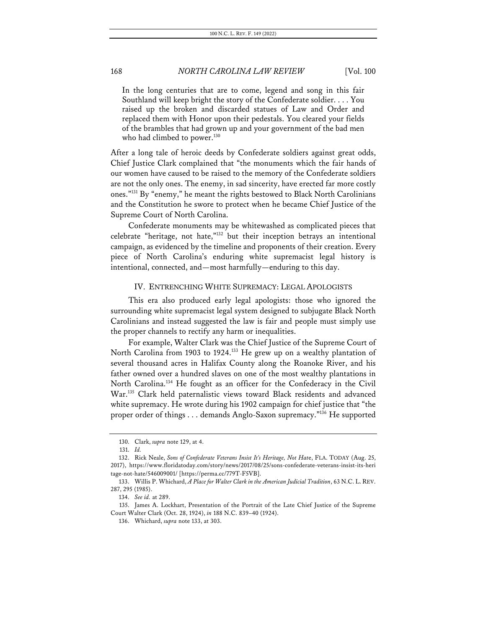In the long centuries that are to come, legend and song in this fair Southland will keep bright the story of the Confederate soldier. . . . You raised up the broken and discarded statues of Law and Order and replaced them with Honor upon their pedestals. You cleared your fields of the brambles that had grown up and your government of the bad men who had climbed to power.<sup>130</sup>

After a long tale of heroic deeds by Confederate soldiers against great odds, Chief Justice Clark complained that "the monuments which the fair hands of our women have caused to be raised to the memory of the Confederate soldiers are not the only ones. The enemy, in sad sincerity, have erected far more costly ones."131 By "enemy," he meant the rights bestowed to Black North Carolinians and the Constitution he swore to protect when he became Chief Justice of the Supreme Court of North Carolina.

Confederate monuments may be whitewashed as complicated pieces that celebrate "heritage, not hate,"132 but their inception betrays an intentional campaign, as evidenced by the timeline and proponents of their creation. Every piece of North Carolina's enduring white supremacist legal history is intentional, connected, and—most harmfully—enduring to this day.

#### IV. ENTRENCHING WHITE SUPREMACY: LEGAL APOLOGISTS

This era also produced early legal apologists: those who ignored the surrounding white supremacist legal system designed to subjugate Black North Carolinians and instead suggested the law is fair and people must simply use the proper channels to rectify any harm or inequalities.

For example, Walter Clark was the Chief Justice of the Supreme Court of North Carolina from 1903 to 1924.<sup>133</sup> He grew up on a wealthy plantation of several thousand acres in Halifax County along the Roanoke River, and his father owned over a hundred slaves on one of the most wealthy plantations in North Carolina.<sup>134</sup> He fought as an officer for the Confederacy in the Civil War.135 Clark held paternalistic views toward Black residents and advanced white supremacy. He wrote during his 1902 campaign for chief justice that "the proper order of things . . . demands Anglo-Saxon supremacy."136 He supported

<sup>130.</sup> Clark, *supra* note 129, at 4.

<sup>131.</sup> *Id.*

<sup>132.</sup> Rick Neale, *Sons of Confederate Veterans Insist It's Heritage, Not Hat*e, FLA. TODAY (Aug. 25, 2017), https://www.floridatoday.com/story/news/2017/08/25/sons-confederate-veterans-insist-its-heri tage-not-hate/546009001/ [https://perma.cc/779T-F5VB].

<sup>133.</sup> Willis P. Whichard, *A Place for Walter Clark in the American Judicial Tradition*, 63 N.C. L. REV. 287, 295 (1985).

<sup>134.</sup> *See id.* at 289.

<sup>135.</sup> James A. Lockhart, Presentation of the Portrait of the Late Chief Justice of the Supreme Court Walter Clark (Oct. 28, 1924), *in* 188 N.C. 839–40 (1924).

<sup>136.</sup> Whichard, *supra* note 133, at 303.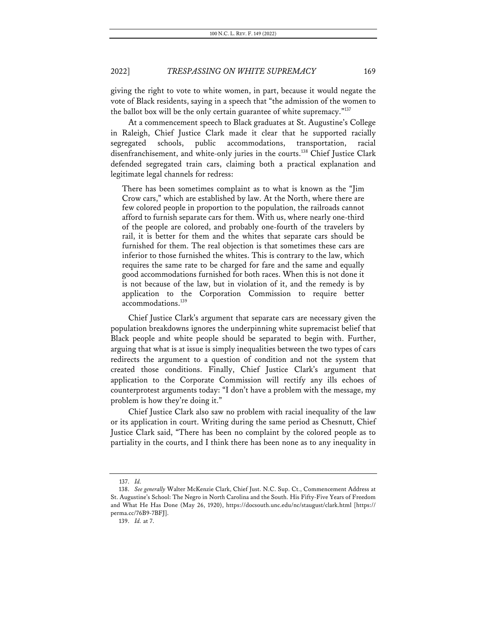giving the right to vote to white women, in part, because it would negate the vote of Black residents, saying in a speech that "the admission of the women to the ballot box will be the only certain guarantee of white supremacy."137

At a commencement speech to Black graduates at St. Augustine's College in Raleigh, Chief Justice Clark made it clear that he supported racially segregated schools, public accommodations, transportation, racial disenfranchisement, and white-only juries in the courts.<sup>138</sup> Chief Justice Clark defended segregated train cars, claiming both a practical explanation and legitimate legal channels for redress:

There has been sometimes complaint as to what is known as the "Jim Crow cars," which are established by law. At the North, where there are few colored people in proportion to the population, the railroads cannot afford to furnish separate cars for them. With us, where nearly one-third of the people are colored, and probably one-fourth of the travelers by rail, it is better for them and the whites that separate cars should be furnished for them. The real objection is that sometimes these cars are inferior to those furnished the whites. This is contrary to the law, which requires the same rate to be charged for fare and the same and equally good accommodations furnished for both races. When this is not done it is not because of the law, but in violation of it, and the remedy is by application to the Corporation Commission to require better accommodations.<sup>139</sup>

Chief Justice Clark's argument that separate cars are necessary given the population breakdowns ignores the underpinning white supremacist belief that Black people and white people should be separated to begin with. Further, arguing that what is at issue is simply inequalities between the two types of cars redirects the argument to a question of condition and not the system that created those conditions. Finally, Chief Justice Clark's argument that application to the Corporate Commission will rectify any ills echoes of counterprotest arguments today: "I don't have a problem with the message, my problem is how they're doing it."

Chief Justice Clark also saw no problem with racial inequality of the law or its application in court. Writing during the same period as Chesnutt, Chief Justice Clark said, "There has been no complaint by the colored people as to partiality in the courts, and I think there has been none as to any inequality in

<sup>137.</sup> *Id.*

<sup>138.</sup> *See generally* Walter McKenzie Clark, Chief Just. N.C. Sup. Ct., Commencement Address at St. Augustine's School: The Negro in North Carolina and the South. His Fifty-Five Years of Freedom and What He Has Done (May 26, 1920), https://docsouth.unc.edu/nc/staugust/clark.html [https:// perma.cc/76B9-7BFJ].

<sup>139.</sup> *Id.* at 7.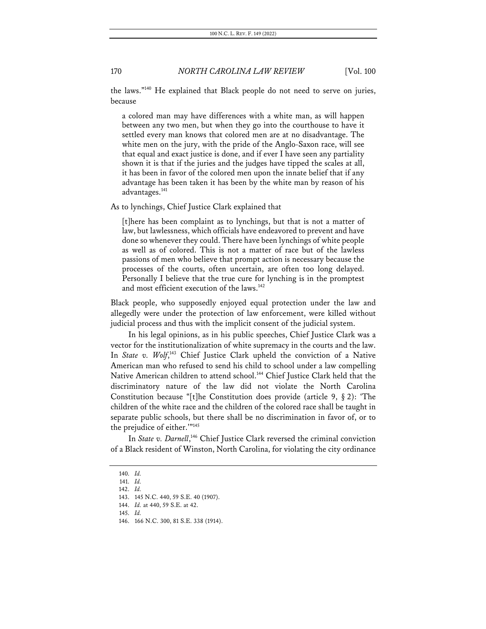the laws."140 He explained that Black people do not need to serve on juries, because

a colored man may have differences with a white man, as will happen between any two men, but when they go into the courthouse to have it settled every man knows that colored men are at no disadvantage. The white men on the jury, with the pride of the Anglo-Saxon race, will see that equal and exact justice is done, and if ever I have seen any partiality shown it is that if the juries and the judges have tipped the scales at all, it has been in favor of the colored men upon the innate belief that if any advantage has been taken it has been by the white man by reason of his advantages.141

As to lynchings, Chief Justice Clark explained that

[t]here has been complaint as to lynchings, but that is not a matter of law, but lawlessness, which officials have endeavored to prevent and have done so whenever they could. There have been lynchings of white people as well as of colored. This is not a matter of race but of the lawless passions of men who believe that prompt action is necessary because the processes of the courts, often uncertain, are often too long delayed. Personally I believe that the true cure for lynching is in the promptest and most efficient execution of the laws.<sup>142</sup>

Black people, who supposedly enjoyed equal protection under the law and allegedly were under the protection of law enforcement, were killed without judicial process and thus with the implicit consent of the judicial system.

In his legal opinions, as in his public speeches, Chief Justice Clark was a vector for the institutionalization of white supremacy in the courts and the law. In *State v. Wolf*,<sup>143</sup> Chief Justice Clark upheld the conviction of a Native American man who refused to send his child to school under a law compelling Native American children to attend school.<sup>144</sup> Chief Justice Clark held that the discriminatory nature of the law did not violate the North Carolina Constitution because "[t]he Constitution does provide (article 9, § 2): 'The children of the white race and the children of the colored race shall be taught in separate public schools, but there shall be no discrimination in favor of, or to the prejudice of either.'"145

In State v. Darnell,<sup>146</sup> Chief Justice Clark reversed the criminal conviction of a Black resident of Winston, North Carolina, for violating the city ordinance

<sup>140.</sup> *Id.*

<sup>141.</sup> *Id.*

<sup>142.</sup> *Id.*

<sup>143.</sup> 145 N.C. 440, 59 S.E. 40 (1907).

<sup>144.</sup> *Id.* at 440, 59 S.E. at 42.

<sup>145.</sup> *Id.*

<sup>146.</sup> 166 N.C. 300, 81 S.E. 338 (1914).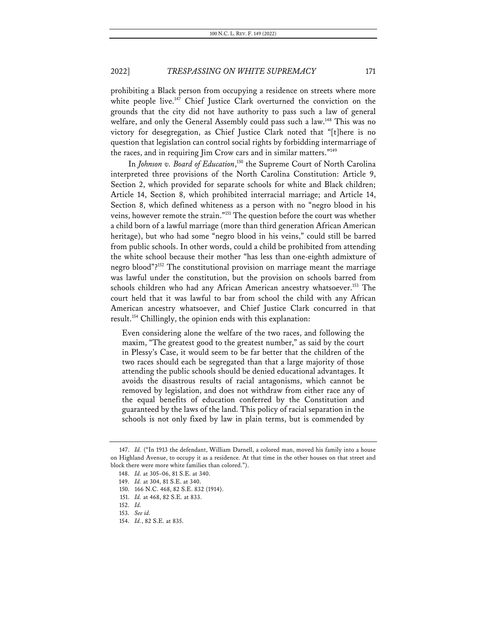prohibiting a Black person from occupying a residence on streets where more white people live.<sup>147</sup> Chief Justice Clark overturned the conviction on the grounds that the city did not have authority to pass such a law of general welfare, and only the General Assembly could pass such a law.<sup>148</sup> This was no victory for desegregation, as Chief Justice Clark noted that "[t]here is no question that legislation can control social rights by forbidding intermarriage of the races, and in requiring Jim Crow cars and in similar matters."<sup>149</sup>

In *Johnson v. Board of Education*,<sup>150</sup> the Supreme Court of North Carolina interpreted three provisions of the North Carolina Constitution: Article 9, Section 2, which provided for separate schools for white and Black children; Article 14, Section 8, which prohibited interracial marriage; and Article 14, Section 8, which defined whiteness as a person with no "negro blood in his veins, however remote the strain."151 The question before the court was whether a child born of a lawful marriage (more than third generation African American heritage), but who had some "negro blood in his veins," could still be barred from public schools. In other words, could a child be prohibited from attending the white school because their mother "has less than one-eighth admixture of negro blood"?152 The constitutional provision on marriage meant the marriage was lawful under the constitution, but the provision on schools barred from schools children who had any African American ancestry whatsoever.<sup>153</sup> The court held that it was lawful to bar from school the child with any African American ancestry whatsoever, and Chief Justice Clark concurred in that result.154 Chillingly, the opinion ends with this explanation:

Even considering alone the welfare of the two races, and following the maxim, "The greatest good to the greatest number," as said by the court in Plessy's Case, it would seem to be far better that the children of the two races should each be segregated than that a large majority of those attending the public schools should be denied educational advantages. It avoids the disastrous results of racial antagonisms, which cannot be removed by legislation, and does not withdraw from either race any of the equal benefits of education conferred by the Constitution and guaranteed by the laws of the land. This policy of racial separation in the schools is not only fixed by law in plain terms, but is commended by

<sup>147.</sup> *Id.* ("In 1913 the defendant, William Darnell, a colored man, moved his family into a house on Highland Avenue, to occupy it as a residence. At that time in the other houses on that street and block there were more white families than colored.").

<sup>148.</sup> *Id.* at 305–06, 81 S.E. at 340.

<sup>149.</sup> *Id.* at 304, 81 S.E. at 340.

<sup>150.</sup> 166 N.C. 468, 82 S.E. 832 (1914).

<sup>151.</sup> *Id.* at 468, 82 S.E. at 833.

<sup>152.</sup> *Id.*

<sup>153.</sup> *See id.*

<sup>154.</sup> *Id.*, 82 S.E. at 835.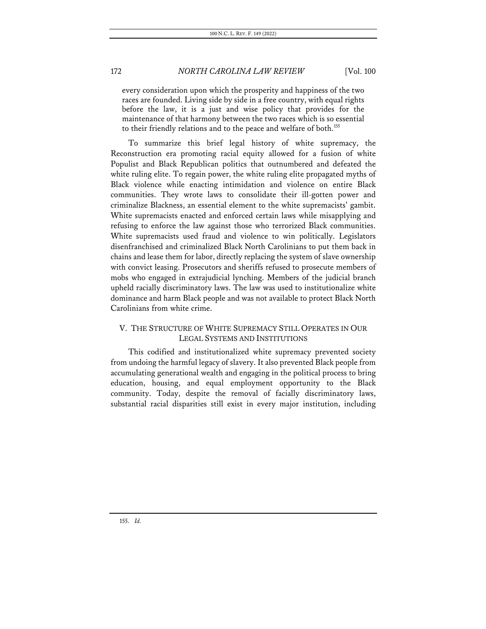every consideration upon which the prosperity and happiness of the two races are founded. Living side by side in a free country, with equal rights before the law, it is a just and wise policy that provides for the maintenance of that harmony between the two races which is so essential to their friendly relations and to the peace and welfare of both.<sup>155</sup>

To summarize this brief legal history of white supremacy, the Reconstruction era promoting racial equity allowed for a fusion of white Populist and Black Republican politics that outnumbered and defeated the white ruling elite. To regain power, the white ruling elite propagated myths of Black violence while enacting intimidation and violence on entire Black communities. They wrote laws to consolidate their ill-gotten power and criminalize Blackness, an essential element to the white supremacists' gambit. White supremacists enacted and enforced certain laws while misapplying and refusing to enforce the law against those who terrorized Black communities. White supremacists used fraud and violence to win politically. Legislators disenfranchised and criminalized Black North Carolinians to put them back in chains and lease them for labor, directly replacing the system of slave ownership with convict leasing. Prosecutors and sheriffs refused to prosecute members of mobs who engaged in extrajudicial lynching. Members of the judicial branch upheld racially discriminatory laws. The law was used to institutionalize white dominance and harm Black people and was not available to protect Black North Carolinians from white crime.

# V. THE STRUCTURE OF WHITE SUPREMACY STILL OPERATES IN OUR LEGAL SYSTEMS AND INSTITUTIONS

This codified and institutionalized white supremacy prevented society from undoing the harmful legacy of slavery. It also prevented Black people from accumulating generational wealth and engaging in the political process to bring education, housing, and equal employment opportunity to the Black community. Today, despite the removal of facially discriminatory laws, substantial racial disparities still exist in every major institution, including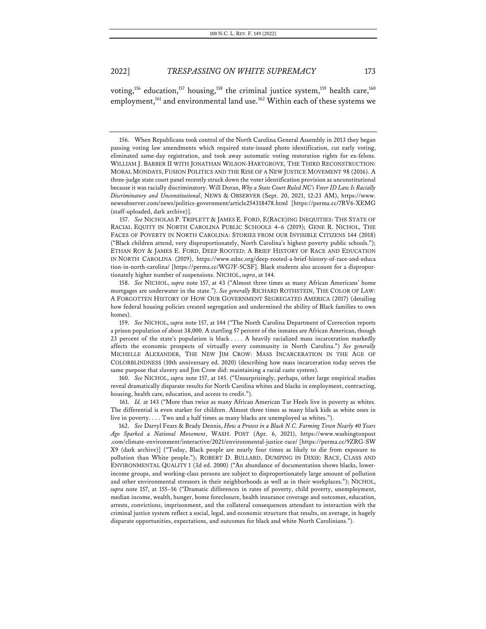voting,<sup>156</sup> education,<sup>157</sup> housing,<sup>158</sup> the criminal justice system,<sup>159</sup> health care,<sup>160</sup> employment,<sup>161</sup> and environmental land use.<sup>162</sup> Within each of these systems we

157. *See* NICHOLAS P. TRIPLETT & JAMES E. FORD, E(RACE)ING INEQUITIES: THE STATE OF RACIAL EQUITY IN NORTH CAROLINA PUBLIC SCHOOLS 4–6 (2019); GENE R. NICHOL, THE FACES OF POVERTY IN NORTH CAROLINA: STORIES FROM OUR INVISIBLE CITIZENS 144 (2018) ("Black children attend, very disproportionately, North Carolina's highest poverty public schools."); ETHAN ROY & JAMES E. FORD, DEEP ROOTED: A BRIEF HISTORY OF RACE AND EDUCATION IN NORTH CAROLINA (2019), https://www.ednc.org/deep-rooted-a-brief-history-of-race-and-educa tion-in-north-carolina/ [https://perma.cc/WG7F-5CSF]. Black students also account for a disproportionately higher number of suspensions. NICHOL, *supra*, at 144.

158. *See* NICHOL, *supra* note 157, at 43 ("Almost three times as many African Americans' home mortgages are underwater in the state."). *See generally* RICHARD ROTHSTEIN, THE COLOR OF LAW: A FORGOTTEN HISTORY OF HOW OUR GOVERNMENT SEGREGATED AMERICA (2017) (detailing how federal housing policies created segregation and undermined the ability of Black families to own homes).

159. *See* NICHOL, *supra* note 157, at 144 ("The North Carolina Department of Correction reports a prison population of about 38,000. A startling 57 percent of the inmates are African American, though 23 percent of the state's population is black . . . . A heavily racialized mass incarceration markedly affects the economic prospects of virtually every community in North Carolina.") *See generally* MICHELLE ALEXANDER, THE NEW JIM CROW: MASS INCARCERATION IN THE AGE OF COLORBLINDNESS (10th anniversary ed. 2020) (describing how mass incarceration today serves the same purpose that slavery and Jim Crow did: maintaining a racial caste system).

160. *See* NICHOL, *supra* note 157, at 145. ("Unsurprisingly, perhaps, other large empirical studies reveal dramatically disparate results for North Carolina whites and blacks in employment, contracting, housing, health care, education, and access to credit.").

161. *Id.* at 143 ("More than twice as many African American Tar Heels live in poverty as whites. The differential is even starker for children. Almost three times as many black kids as white ones in live in poverty. . . . Two and a half times as many blacks are unemployed as whites.").

162. *See* Darryl Fears & Brady Dennis, *How a Protest in a Black N.C. Farming Town Nearly 40 Years Ago Sparked a National Movement*, WASH. POST (Apr. 6, 2021), https://www.washingtonpost .com/climate-environment/interactive/2021/environmental-justice-race/ [https://perma.cc/9ZRG-SW X9 (dark archive)] ("Today, Black people are nearly four times as likely to die from exposure to pollution than White people."); ROBERT D. BULLARD, DUMPING IN DIXIE: RACE, CLASS AND ENVIRONMENTAL QUALITY 1 (3d ed. 2000) ("An abundance of documentation shows blacks, lowerincome groups, and working-class persons are subject to disproportionately large amount of pollution and other environmental stressors in their neighborhoods as well as in their workplaces."); NICHOL, *supra* note 157, at 155–56 ("Dramatic differences in rates of poverty, child poverty, unemployment, median income, wealth, hunger, home foreclosure, health insurance coverage and outcomes, education, arrests, convictions, imprisonment, and the collateral consequences attendant to interaction with the criminal justice system reflect a social, legal, and economic structure that results, on average, in hugely disparate opportunities, expectations, and outcomes for black and white North Carolinians.").

<sup>156.</sup> When Republicans took control of the North Carolina General Assembly in 2013 they began passing voting law amendments which required state-issued photo identification, cut early voting, eliminated same-day registration, and took away automatic voting restoration rights for ex-felons. WILLIAM J. BARBER II WITH JONATHAN WILSON-HARTGROVE, THE THIRD RECONSTRUCTION: MORAL MONDAYS, FUSION POLITICS AND THE RISE OF A NEW JUSTICE MOVEMENT 98 (2016). A three-judge state court panel recently struck down the voter identification provision as unconstitutional because it was racially discriminatory. Will Doran, *Why a State Court Ruled NC's Voter ID Law Is Racially Discriminatory and Unconstitutional*, NEWS & OBSERVER (Sept. 20, 2021, 12:23 AM), https://www. newsobserver.com/news/politics-government/article254318478.html [https://perma.cc/7RV6-XEMG (staff-uploaded, dark archive)].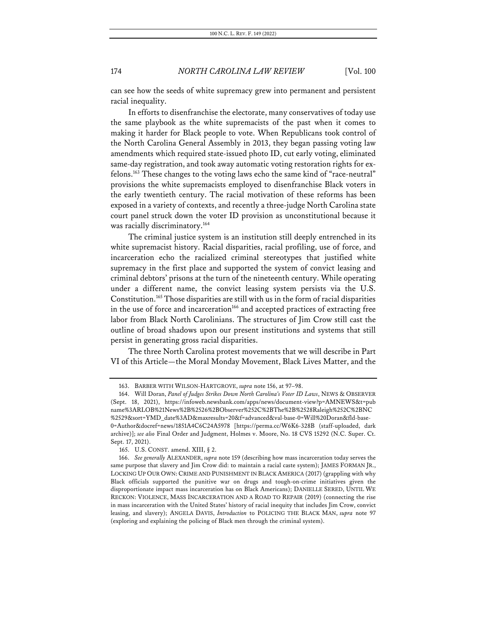can see how the seeds of white supremacy grew into permanent and persistent racial inequality.

In efforts to disenfranchise the electorate, many conservatives of today use the same playbook as the white supremacists of the past when it comes to making it harder for Black people to vote. When Republicans took control of the North Carolina General Assembly in 2013, they began passing voting law amendments which required state-issued photo ID, cut early voting, eliminated same-day registration, and took away automatic voting restoration rights for exfelons.163 These changes to the voting laws echo the same kind of "race-neutral" provisions the white supremacists employed to disenfranchise Black voters in the early twentieth century. The racial motivation of these reforms has been exposed in a variety of contexts, and recently a three-judge North Carolina state court panel struck down the voter ID provision as unconstitutional because it was racially discriminatory.<sup>164</sup>

The criminal justice system is an institution still deeply entrenched in its white supremacist history. Racial disparities, racial profiling, use of force, and incarceration echo the racialized criminal stereotypes that justified white supremacy in the first place and supported the system of convict leasing and criminal debtors' prisons at the turn of the nineteenth century. While operating under a different name, the convict leasing system persists via the U.S. Constitution.165 Those disparities are still with us in the form of racial disparities in the use of force and incarceration<sup>166</sup> and accepted practices of extracting free labor from Black North Carolinians. The structures of Jim Crow still cast the outline of broad shadows upon our present institutions and systems that still persist in generating gross racial disparities.

The three North Carolina protest movements that we will describe in Part VI of this Article—the Moral Monday Movement, Black Lives Matter, and the

<sup>163.</sup> BARBER WITH WILSON-HARTGROVE, *supra* note 156, at 97–98.

<sup>164.</sup> Will Doran, *Panel of Judges Strikes Down North Carolina's Voter ID Laws*, NEWS & OBSERVER (Sept. 18, 2021), https://infoweb.newsbank.com/apps/news/document-view?p=AMNEWS&t=pub name%3ARLOB%21News%2B%2526%2BObserver%252C%2BThe%2B%2528Raleigh%252C%2BNC %2529&sort=YMD\_date%3AD&maxresults=20&f=advanced&val-base-0=Will%20Doran&fld-base-0=Author&docref=news/1851A4C6C24A5978 [https://perma.cc/W6K6-328B (staff-uploaded, dark archive)]; *see also* Final Order and Judgment, Holmes v. Moore, No. 18 CVS 15292 (N.C. Super. Ct. Sept. 17, 2021).

<sup>165.</sup> U.S. CONST. amend. XIII, § 2.

<sup>166.</sup> *See generally* ALEXANDER, *supra* note 159 (describing how mass incarceration today serves the same purpose that slavery and Jim Crow did: to maintain a racial caste system); JAMES FORMAN JR., LOCKING UP OUR OWN: CRIME AND PUNISHMENT IN BLACK AMERICA (2017) (grappling with why Black officials supported the punitive war on drugs and tough-on-crime initiatives given the disproportionate impact mass incarceration has on Black Americans); DANIELLE SERED, UNTIL WE RECKON: VIOLENCE, MASS INCARCERATION AND A ROAD TO REPAIR (2019) (connecting the rise in mass incarceration with the United States' history of racial inequity that includes Jim Crow, convict leasing, and slavery); ANGELA DAVIS, *Introduction* to POLICING THE BLACK MAN, *supra* note 97 (exploring and explaining the policing of Black men through the criminal system).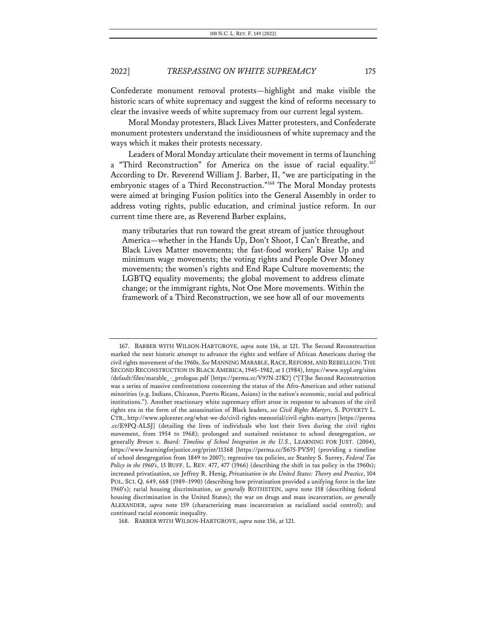Confederate monument removal protests—highlight and make visible the historic scars of white supremacy and suggest the kind of reforms necessary to clear the invasive weeds of white supremacy from our current legal system.

Moral Monday protesters, Black Lives Matter protesters, and Confederate monument protesters understand the insidiousness of white supremacy and the ways which it makes their protests necessary.

Leaders of Moral Monday articulate their movement in terms of launching a "Third Reconstruction" for America on the issue of racial equality.<sup>167</sup> According to Dr. Reverend William J. Barber, II, "we are participating in the embryonic stages of a Third Reconstruction."168 The Moral Monday protests were aimed at bringing Fusion politics into the General Assembly in order to address voting rights, public education, and criminal justice reform. In our current time there are, as Reverend Barber explains,

many tributaries that run toward the great stream of justice throughout America—whether in the Hands Up, Don't Shoot, I Can't Breathe, and Black Lives Matter movements; the fast-food workers' Raise Up and minimum wage movements; the voting rights and People Over Money movements; the women's rights and End Rape Culture movements; the LGBTQ equality movements; the global movement to address climate change; or the immigrant rights, Not One More movements. Within the framework of a Third Reconstruction, we see how all of our movements

<sup>167.</sup> BARBER WITH WILSON-HARTGROVE, *supra* note 156, at 121. The Second Reconstruction marked the next historic attempt to advance the rights and welfare of African Americans during the civil rights movement of the 1960s. See MANNING MARABLE, RACE, REFORM, AND REBELLION: THE SECOND RECONSTRUCTION IN BLACK AMERICA, 1945–1982, at 1 (1984), https://www.nypl.org/sites /default/files/marable\_-\_prologue.pdf [https://perma.cc/V97N-27K7] ("[T]he Second Reconstruction was a series of massive confrontations concerning the status of the Afro-American and other national minorities (e.g. Indians, Chicanos, Puerto Ricans, Asians) in the nation's economic, social and political institutions."). Another reactionary white supremacy effort arose in response to advances of the civil rights era in the form of the assassination of Black leaders, *see Civil Rights Martyrs*, S. POVERTY L. CTR., http://www.splcenter.org/what-we-do/civil-rights-memorial/civil-rights-martyrs [https://perma .cc/E9PQ-ALSJ] (detailing the lives of individuals who lost their lives during the civil rights movement, from 1954 to 1968); prolonged and sustained resistance to school desegregation, *see* generally *Brown v. Board: Timeline of School Integration in the U.S.*, LEARNING FOR JUST. (2004), https://www.learningforjustice.org/print/11368 [https://perma.cc/S675-PVS9] (providing a timeline of school desegregation from 1849 to 2007); regressive tax policies, *see* Stanley S. Surrey, *Federal Tax Policy in the 1960's*, 15 BUFF. L. REV. 477, 477 (1966) (describing the shift in tax policy in the 1960s); increased privatization, *see* Jeffrey R. Henig, *Privatization in the United States: Theory and Practice*, 104 POL. SCI. Q. 649, 668 (1989–1990) (describing how privatization provided a unifying force in the late 1960's); racial housing discrimination, *see generally* ROTHSTEIN, *supra* note 158 (describing federal housing discrimination in the United States); the war on drugs and mass incarceration, *see generally* ALEXANDER, *supra* note 159 (characterizing mass incarceration as racialized social control); and continued racial economic inequality.

<sup>168.</sup> BARBER WITH WILSON-HARTGROVE, *supra* note 156, at 121.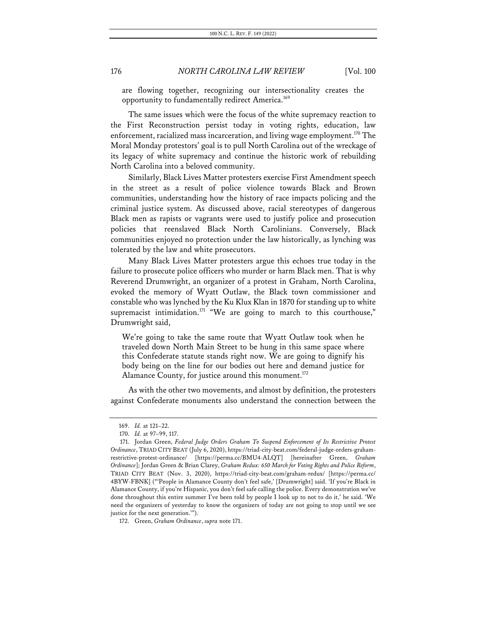are flowing together, recognizing our intersectionality creates the opportunity to fundamentally redirect America.<sup>169</sup>

The same issues which were the focus of the white supremacy reaction to the First Reconstruction persist today in voting rights, education, law enforcement, racialized mass incarceration, and living wage employment.<sup>170</sup> The Moral Monday protestors' goal is to pull North Carolina out of the wreckage of its legacy of white supremacy and continue the historic work of rebuilding North Carolina into a beloved community.

Similarly, Black Lives Matter protesters exercise First Amendment speech in the street as a result of police violence towards Black and Brown communities, understanding how the history of race impacts policing and the criminal justice system. As discussed above, racial stereotypes of dangerous Black men as rapists or vagrants were used to justify police and prosecution policies that reenslaved Black North Carolinians. Conversely, Black communities enjoyed no protection under the law historically, as lynching was tolerated by the law and white prosecutors.

Many Black Lives Matter protesters argue this echoes true today in the failure to prosecute police officers who murder or harm Black men. That is why Reverend Drumwright, an organizer of a protest in Graham, North Carolina, evoked the memory of Wyatt Outlaw, the Black town commissioner and constable who was lynched by the Ku Klux Klan in 1870 for standing up to white supremacist intimidation.<sup>171</sup> "We are going to march to this courthouse," Drumwright said,

We're going to take the same route that Wyatt Outlaw took when he traveled down North Main Street to be hung in this same space where this Confederate statute stands right now. We are going to dignify his body being on the line for our bodies out here and demand justice for Alamance County, for justice around this monument.<sup>172</sup>

As with the other two movements, and almost by definition, the protesters against Confederate monuments also understand the connection between the

<sup>169.</sup> *Id.* at 121–22.

<sup>170.</sup> *Id.* at 97–99, 117.

<sup>171.</sup> Jordan Green, *Federal Judge Orders Graham To Suspend Enforcement of Its Restrictive Protest Ordinance*, TRIAD CITY BEAT (July 6, 2020), https://triad-city-beat.com/federal-judge-orders-grahamrestrictive-protest-ordinance/ [https://perma.cc/BMU4-ALQT] [hereinafter Green, *Graham Ordinance*]; Jordan Green & Brian Clarey, *Graham Redux: 650 March for Voting Rights and Police Reform*, TRIAD CITY BEAT (Nov. 3, 2020), https://triad-city-beat.com/graham-redux/ [https://perma.cc/ 4BYW-FBNK] ("'People in Alamance County don't feel safe,' [Drumwright] said. 'If you're Black in Alamance County, if you're Hispanic, you don't feel safe calling the police. Every demonstration we've done throughout this entire summer I've been told by people I look up to not to do it,' he said. 'We need the organizers of yesterday to know the organizers of today are not going to stop until we see justice for the next generation.'").

<sup>172.</sup> Green, *Graham Ordinance*, *supra* note 171.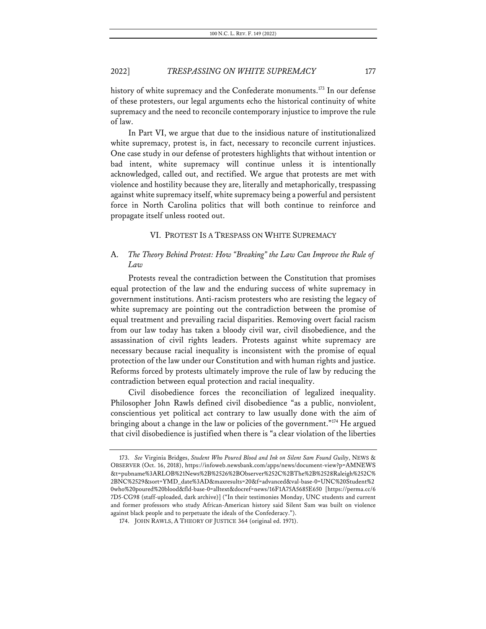history of white supremacy and the Confederate monuments.<sup>173</sup> In our defense of these protesters, our legal arguments echo the historical continuity of white supremacy and the need to reconcile contemporary injustice to improve the rule of law.

In Part VI, we argue that due to the insidious nature of institutionalized white supremacy, protest is, in fact, necessary to reconcile current injustices. One case study in our defense of protesters highlights that without intention or bad intent, white supremacy will continue unless it is intentionally acknowledged, called out, and rectified. We argue that protests are met with violence and hostility because they are, literally and metaphorically, trespassing against white supremacy itself, white supremacy being a powerful and persistent force in North Carolina politics that will both continue to reinforce and propagate itself unless rooted out.

### VI. PROTEST IS A TRESPASS ON WHITE SUPREMACY

# A. *The Theory Behind Protest: How "Breaking" the Law Can Improve the Rule of Law*

Protests reveal the contradiction between the Constitution that promises equal protection of the law and the enduring success of white supremacy in government institutions. Anti-racism protesters who are resisting the legacy of white supremacy are pointing out the contradiction between the promise of equal treatment and prevailing racial disparities. Removing overt facial racism from our law today has taken a bloody civil war, civil disobedience, and the assassination of civil rights leaders. Protests against white supremacy are necessary because racial inequality is inconsistent with the promise of equal protection of the law under our Constitution and with human rights and justice. Reforms forced by protests ultimately improve the rule of law by reducing the contradiction between equal protection and racial inequality.

Civil disobedience forces the reconciliation of legalized inequality. Philosopher John Rawls defined civil disobedience "as a public, nonviolent, conscientious yet political act contrary to law usually done with the aim of bringing about a change in the law or policies of the government."<sup>174</sup> He argued that civil disobedience is justified when there is "a clear violation of the liberties

<sup>173.</sup> *See* Virginia Bridges, *Student Who Poured Blood and Ink on Silent Sam Found Guilty*, NEWS & OBSERVER (Oct. 16, 2018), https://infoweb.newsbank.com/apps/news/document-view?p=AMNEWS &t=pubname%3ARLOB%21News%2B%2526%2BObserver%252C%2BThe%2B%2528Raleigh%252C% 2BNC%2529&sort=YMD\_date%3AD&maxresults=20&f=advanced&val-base-0=UNC%20Student%2 0who%20poured%20blood&fld-base-0=alltext&docref=news/16F1A75A5685E650 [https://perma.cc/6 7D5-CG98 (staff-uploaded, dark archive)] ("In their testimonies Monday, UNC students and current and former professors who study African-American history said Silent Sam was built on violence against black people and to perpetuate the ideals of the Confederacy.").

<sup>174.</sup> JOHN RAWLS, A THEORY OF JUSTICE 364 (original ed. 1971).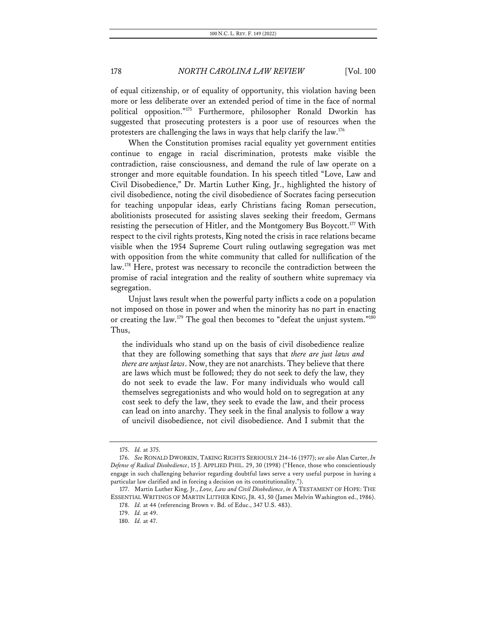of equal citizenship, or of equality of opportunity, this violation having been more or less deliberate over an extended period of time in the face of normal political opposition."175 Furthermore, philosopher Ronald Dworkin has suggested that prosecuting protesters is a poor use of resources when the protesters are challenging the laws in ways that help clarify the law.176

When the Constitution promises racial equality yet government entities continue to engage in racial discrimination, protests make visible the contradiction, raise consciousness, and demand the rule of law operate on a stronger and more equitable foundation. In his speech titled "Love, Law and Civil Disobedience," Dr. Martin Luther King, Jr., highlighted the history of civil disobedience, noting the civil disobedience of Socrates facing persecution for teaching unpopular ideas, early Christians facing Roman persecution, abolitionists prosecuted for assisting slaves seeking their freedom, Germans resisting the persecution of Hitler, and the Montgomery Bus Boycott.<sup>177</sup> With respect to the civil rights protests, King noted the crisis in race relations became visible when the 1954 Supreme Court ruling outlawing segregation was met with opposition from the white community that called for nullification of the law.<sup>178</sup> Here, protest was necessary to reconcile the contradiction between the promise of racial integration and the reality of southern white supremacy via segregation.

Unjust laws result when the powerful party inflicts a code on a population not imposed on those in power and when the minority has no part in enacting or creating the law.<sup>179</sup> The goal then becomes to "defeat the unjust system."<sup>180</sup> Thus,

the individuals who stand up on the basis of civil disobedience realize that they are following something that says that *there are just laws and there are unjust laws*. Now, they are not anarchists. They believe that there are laws which must be followed; they do not seek to defy the law, they do not seek to evade the law. For many individuals who would call themselves segregationists and who would hold on to segregation at any cost seek to defy the law, they seek to evade the law, and their process can lead on into anarchy. They seek in the final analysis to follow a way of uncivil disobedience, not civil disobedience. And I submit that the

<sup>175.</sup> *Id.* at 375.

<sup>176.</sup> *See* RONALD DWORKIN, TAKING RIGHTS SERIOUSLY 214–16 (1977); *see also* Alan Carter, *In Defense of Radical Disobedience*, 15 J. APPLIED PHIL. 29, 30 (1998) ("Hence, those who conscientiously engage in such challenging behavior regarding doubtful laws serve a very useful purpose in having a particular law clarified and in forcing a decision on its constitutionality.").

<sup>177.</sup> Martin Luther King, Jr., *Love, Law and Civil Disobedience*, *in* A TESTAMENT OF HOPE: THE ESSENTIAL WRITINGS OF MARTIN LUTHER KING, JR. 43, 50 (James Melvin Washington ed., 1986). 178. *Id.* at 44 (referencing Brown v. Bd. of Educ., 347 U.S. 483).

<sup>179.</sup> *Id.* at 49.

<sup>180.</sup> *Id.* at 47.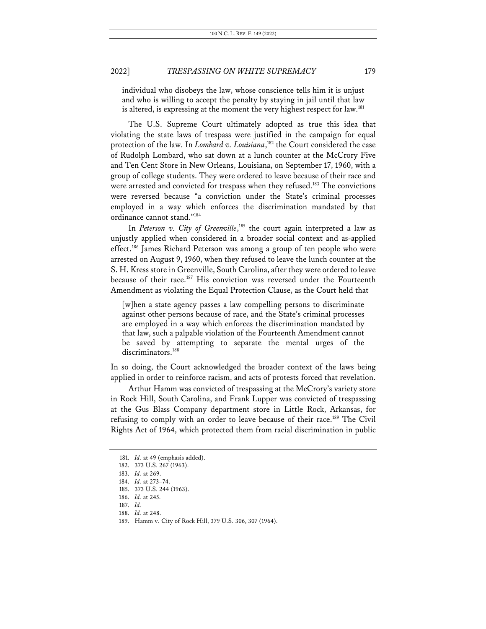individual who disobeys the law, whose conscience tells him it is unjust and who is willing to accept the penalty by staying in jail until that law is altered, is expressing at the moment the very highest respect for law.<sup>181</sup>

The U.S. Supreme Court ultimately adopted as true this idea that violating the state laws of trespass were justified in the campaign for equal protection of the law. In *Lombard v. Louisiana*, <sup>182</sup> the Court considered the case of Rudolph Lombard, who sat down at a lunch counter at the McCrory Five and Ten Cent Store in New Orleans, Louisiana, on September 17, 1960, with a group of college students. They were ordered to leave because of their race and were arrested and convicted for trespass when they refused.<sup>183</sup> The convictions were reversed because "a conviction under the State's criminal processes employed in a way which enforces the discrimination mandated by that ordinance cannot stand."184

In *Peterson v. City of Greenville*, <sup>185</sup> the court again interpreted a law as unjustly applied when considered in a broader social context and as-applied effect.<sup>186</sup> James Richard Peterson was among a group of ten people who were arrested on August 9, 1960, when they refused to leave the lunch counter at the S. H. Kress store in Greenville, South Carolina, after they were ordered to leave because of their race.<sup>187</sup> His conviction was reversed under the Fourteenth Amendment as violating the Equal Protection Clause, as the Court held that

[w]hen a state agency passes a law compelling persons to discriminate against other persons because of race, and the State's criminal processes are employed in a way which enforces the discrimination mandated by that law, such a palpable violation of the Fourteenth Amendment cannot be saved by attempting to separate the mental urges of the discriminators.<sup>188</sup>

In so doing, the Court acknowledged the broader context of the laws being applied in order to reinforce racism, and acts of protests forced that revelation.

Arthur Hamm was convicted of trespassing at the McCrory's variety store in Rock Hill, South Carolina, and Frank Lupper was convicted of trespassing at the Gus Blass Company department store in Little Rock, Arkansas, for refusing to comply with an order to leave because of their race.<sup>189</sup> The Civil Rights Act of 1964, which protected them from racial discrimination in public

<sup>181.</sup> *Id.* at 49 (emphasis added).

<sup>182.</sup> 373 U.S. 267 (1963).

<sup>183.</sup> *Id.* at 269.

<sup>184.</sup> *Id.* at 273–74.

<sup>185.</sup> 373 U.S. 244 (1963).

<sup>186.</sup> *Id.* at 245.

<sup>187.</sup> *Id.*

<sup>188.</sup> *Id.* at 248.

<sup>189.</sup> Hamm v. City of Rock Hill, 379 U.S. 306, 307 (1964).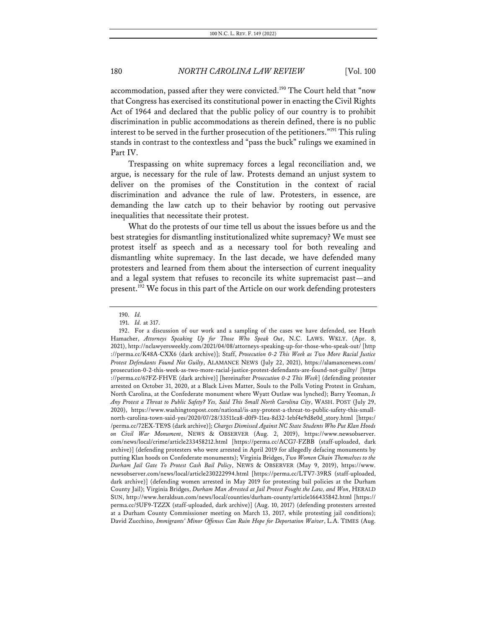accommodation, passed after they were convicted.<sup>190</sup> The Court held that "now that Congress has exercised its constitutional power in enacting the Civil Rights Act of 1964 and declared that the public policy of our country is to prohibit discrimination in public accommodations as therein defined, there is no public interest to be served in the further prosecution of the petitioners."191 This ruling stands in contrast to the contextless and "pass the buck" rulings we examined in Part IV.

Trespassing on white supremacy forces a legal reconciliation and, we argue, is necessary for the rule of law. Protests demand an unjust system to deliver on the promises of the Constitution in the context of racial discrimination and advance the rule of law. Protesters, in essence, are demanding the law catch up to their behavior by rooting out pervasive inequalities that necessitate their protest.

What do the protests of our time tell us about the issues before us and the best strategies for dismantling institutionalized white supremacy? We must see protest itself as speech and as a necessary tool for both revealing and dismantling white supremacy. In the last decade, we have defended many protesters and learned from them about the intersection of current inequality and a legal system that refuses to reconcile its white supremacist past—and present.<sup>192</sup> We focus in this part of the Article on our work defending protesters

<sup>190.</sup> *Id.*

<sup>191.</sup> *Id.* at 317.

<sup>192.</sup> For a discussion of our work and a sampling of the cases we have defended, see Heath Hamacher, *Attorneys Speaking Up for Those Who Speak Out*, N.C. LAWS. WKLY. (Apr. 8, 2021), http://nclawyersweekly.com/2021/04/08/attorneys-speaking-up-for-those-who-speak-out/ [http ://perma.cc/K48A-CXX6 (dark archive)]; Staff, *Prosecution 0-2 This Week as Two More Racial Justice Protest Defendants Found Not Guilty*, ALAMANCE NEWS (July 22, 2021), https://alamancenews.com/ prosecution-0-2-this-week-as-two-more-racial-justice-protest-defendants-are-found-not-guilty/ [https ://perma.cc/67FZ-FHVE (dark archive)] [hereinafter *Prosecution 0-2 This Week*] (defending protester arrested on October 31, 2020, at a Black Lives Matter, Souls to the Polls Voting Protest in Graham, North Carolina, at the Confederate monument where Wyatt Outlaw was lynched); Barry Yeoman, *Is Any Protest a Threat to Public Safety? Yes, Said This Small North Carolina City*, WASH. POST (July 29, 2020), https://www.washingtonpost.com/national/is-any-protest-a-threat-to-public-safety-this-smallnorth-carolina-town-said-yes/2020/07/28/33511ca8-d0f9-11ea-8d32-1ebf4e9d8e0d\_story.html [https:/ /perma.cc/72EX-TE9S (dark archive)]; *Charges Dismissed Against NC State Students Who Put Klan Hoods on Civil War Monument*, NEWS & OBSERVER (Aug. 2, 2019), https://www.newsobserver. com/news/local/crime/article233458212.html [https://perma.cc/ACG7-FZBB (staff-uploaded, dark archive)] (defending protesters who were arrested in April 2019 for allegedly defacing monuments by putting Klan hoods on Confederate monuments); Virginia Bridges, *Two Women Chain Themselves to the Durham Jail Gate To Protest Cash Bail Policy*, NEWS & OBSERVER (May 9, 2019), https://www. newsobserver.com/news/local/article230222994.html [https://perma.cc/LTV7-39RS (staff-uploaded, dark archive)] (defending women arrested in May 2019 for protesting bail policies at the Durham County Jail); Virginia Bridges, *Durham Man Arrested at Jail Protest Fought the Law, and Won*, HERALD SUN, http://www.heraldsun.com/news/local/counties/durham-county/article166435842.html [https:// perma.cc/5UF9-TZZX (staff-uploaded, dark archive)] (Aug. 10, 2017) (defending protesters arrested at a Durham County Commissioner meeting on March 13, 2017, while protesting jail conditions); David Zucchino, *Immigrants' Minor Offenses Can Ruin Hope for Deportation Waiver*, L.A. TIMES (Aug.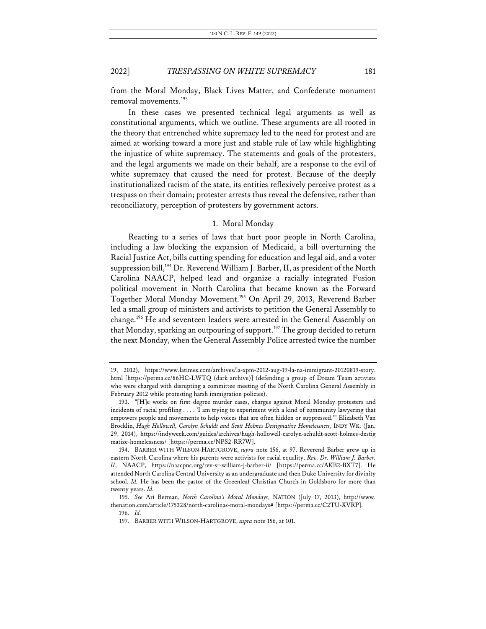from the Moral Monday, Black Lives Matter, and Confederate monument removal movements. 193

In these cases we presented technical legal arguments as well as constitutional arguments, which we outline. These arguments are all rooted in the theory that entrenched white supremacy led to the need for protest and are aimed at working toward a more just and stable rule of law while highlighting the injustice of white supremacy. The statements and goals of the protesters, and the legal arguments we made on their behalf, are a response to the evil of white supremacy that caused the need for protest. Because of the deeply institutionalized racism of the state, its entities reflexively perceive protest as a trespass on their domain; protester arrests thus reveal the defensive, rather than reconciliatory, perception of protesters by government actors.

#### 1. Moral Monday

Reacting to a series of laws that hurt poor people in North Carolina, including a law blocking the expansion of Medicaid, a bill overturning the Racial Justice Act, bills cutting spending for education and legal aid, and a voter suppression bill,<sup>194</sup> Dr. Reverend William J. Barber, II, as president of the North Carolina NAACP, helped lead and organize a racially integrated Fusion political movement in North Carolina that became known as the Forward Together Moral Monday Movement. <sup>195</sup> On April 29, 2013, Reverend Barber led a small group of ministers and activists to petition the General Assembly to change.196 He and seventeen leaders were arrested in the General Assembly on that Monday, sparking an outpouring of support.<sup>197</sup> The group decided to return the next Monday, when the General Assembly Police arrested twice the number

<sup>19, 2012),</sup> https://www.latimes.com/archives/la-xpm-2012-aug-19-la-na-immigrant-20120819-story. html [https://perma.cc/86HC-LWTQ (dark archive)] (defending a group of Dream Team activists who were charged with disrupting a committee meeting of the North Carolina General Assembly in February 2012 while protesting harsh immigration policies).

<sup>193.</sup> "[H]e works on first degree murder cases, charges against Moral Monday protesters and incidents of racial profiling . . . . 'I am trying to experiment with a kind of community lawyering that empowers people and movements to help voices that are often hidden or suppressed.'" Elizabeth Van Brocklin, *Hugh Hollowell, Carolyn Schuldt and Scott Holmes Destigmatize Homelessness*, INDY WK. (Jan. 29, 2014), https://indyweek.com/guides/archives/hugh-hollowell-carolyn-schuldt-scott-holmes-destig matize-homelessness/ [https://perma.cc/NPS2-RR7W].

<sup>194.</sup> BARBER WITH WILSON-HARTGROVE, *supra* note 156, at 97. Reverend Barber grew up in eastern North Carolina where his parents were activists for racial equality. *Rev. Dr. William J. Barber, II*, NAACP, https://naacpnc.org/rev-sr-william-j-barber-ii/ [https://perma.cc/AKB2-BXT7]. He attended North Carolina Central University as an undergraduate and then Duke University for divinity school. *Id.* He has been the pastor of the Greenleaf Christian Church in Goldsboro for more than twenty years. *Id.*

<sup>195.</sup> *See* Ari Berman, *North Carolina's Moral Mondays*, NATION (July 17, 2013), http://www. thenation.com/article/175328/north-carolinas-moral-mondays# [https://perma.cc/C2TU-XVRP].

<sup>196.</sup> *Id.*

<sup>197.</sup> BARBER WITH WILSON-HARTGROVE, *supra* note 156, at 101.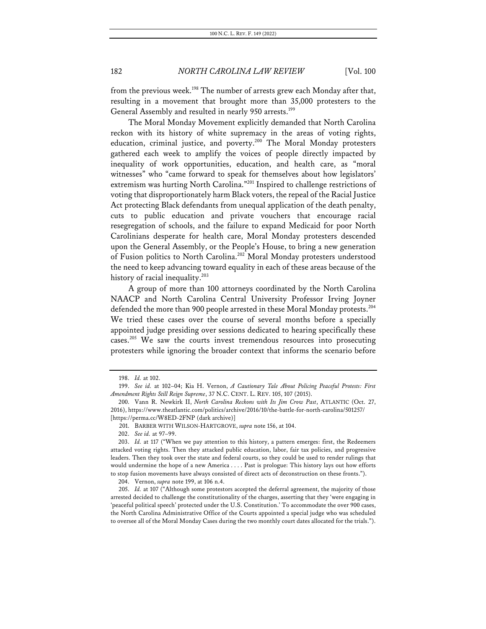from the previous week.<sup>198</sup> The number of arrests grew each Monday after that, resulting in a movement that brought more than 35,000 protesters to the General Assembly and resulted in nearly 950 arrests.<sup>199</sup>

The Moral Monday Movement explicitly demanded that North Carolina reckon with its history of white supremacy in the areas of voting rights, education, criminal justice, and poverty.<sup>200</sup> The Moral Monday protesters gathered each week to amplify the voices of people directly impacted by inequality of work opportunities, education, and health care, as "moral witnesses" who "came forward to speak for themselves about how legislators' extremism was hurting North Carolina."201 Inspired to challenge restrictions of voting that disproportionately harm Black voters, the repeal of the Racial Justice Act protecting Black defendants from unequal application of the death penalty, cuts to public education and private vouchers that encourage racial resegregation of schools, and the failure to expand Medicaid for poor North Carolinians desperate for health care, Moral Monday protesters descended upon the General Assembly, or the People's House, to bring a new generation of Fusion politics to North Carolina.<sup>202</sup> Moral Monday protesters understood the need to keep advancing toward equality in each of these areas because of the history of racial inequality.<sup>203</sup>

A group of more than 100 attorneys coordinated by the North Carolina NAACP and North Carolina Central University Professor Irving Joyner defended the more than 900 people arrested in these Moral Monday protests. 204 We tried these cases over the course of several months before a specially appointed judge presiding over sessions dedicated to hearing specifically these cases.<sup>205</sup> We saw the courts invest tremendous resources into prosecuting protesters while ignoring the broader context that informs the scenario before

<sup>198.</sup> *Id.* at 102.

<sup>199.</sup> *See id.* at 102–04; Kia H. Vernon, *A Cautionary Tale About Policing Peaceful Protests: First Amendment Rights Still Reign Supreme*, 37 N.C. CENT. L. REV. 105, 107 (2015).

<sup>200.</sup> Vann R. Newkirk II, *North Carolina Reckons with Its Jim Crow Past*, ATLANTIC (Oct. 27, 2016), https://www.theatlantic.com/politics/archive/2016/10/the-battle-for-north-carolina/501257/ [https://perma.cc/W8ED-2FNP (dark archive)]

<sup>201.</sup> BARBER WITH WILSON-HARTGROVE, *supra* note 156, at 104.

<sup>202.</sup> *See id.* at 97–99.

<sup>203.</sup> *Id.* at 117 ("When we pay attention to this history, a pattern emerges: first, the Redeemers attacked voting rights. Then they attacked public education, labor, fair tax policies, and progressive leaders. Then they took over the state and federal courts, so they could be used to render rulings that would undermine the hope of a new America . . . . Past is prologue: This history lays out how efforts to stop fusion movements have always consisted of direct acts of deconstruction on these fronts.").

<sup>204.</sup> Vernon, *supra* note 199, at 106 n.4.

<sup>205.</sup> *Id.* at 107 ("Although some protestors accepted the deferral agreement, the majority of those arrested decided to challenge the constitutionality of the charges, asserting that they 'were engaging in 'peaceful political speech' protected under the U.S. Constitution.' To accommodate the over 900 cases, the North Carolina Administrative Office of the Courts appointed a special judge who was scheduled to oversee all of the Moral Monday Cases during the two monthly court dates allocated for the trials.").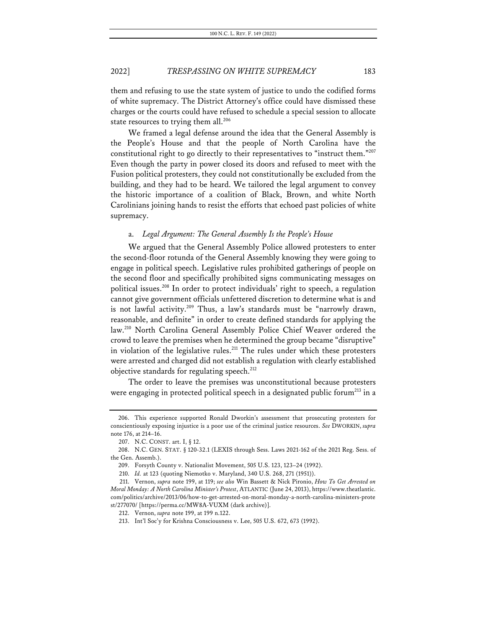them and refusing to use the state system of justice to undo the codified forms of white supremacy. The District Attorney's office could have dismissed these charges or the courts could have refused to schedule a special session to allocate state resources to trying them all.<sup>206</sup>

We framed a legal defense around the idea that the General Assembly is the People's House and that the people of North Carolina have the constitutional right to go directly to their representatives to "instruct them."207 Even though the party in power closed its doors and refused to meet with the Fusion political protesters, they could not constitutionally be excluded from the building, and they had to be heard. We tailored the legal argument to convey the historic importance of a coalition of Black, Brown, and white North Carolinians joining hands to resist the efforts that echoed past policies of white supremacy.

#### a. *Legal Argument: The General Assembly Is the People's House*

We argued that the General Assembly Police allowed protesters to enter the second-floor rotunda of the General Assembly knowing they were going to engage in political speech. Legislative rules prohibited gatherings of people on the second floor and specifically prohibited signs communicating messages on political issues.208 In order to protect individuals' right to speech, a regulation cannot give government officials unfettered discretion to determine what is and is not lawful activity.<sup>209</sup> Thus, a law's standards must be "narrowly drawn, reasonable, and definite" in order to create defined standards for applying the law.<sup>210</sup> North Carolina General Assembly Police Chief Weaver ordered the crowd to leave the premises when he determined the group became "disruptive" in violation of the legislative rules.<sup>211</sup> The rules under which these protesters were arrested and charged did not establish a regulation with clearly established objective standards for regulating speech.<sup>212</sup>

The order to leave the premises was unconstitutional because protesters were engaging in protected political speech in a designated public forum<sup>213</sup> in a

<sup>206.</sup> This experience supported Ronald Dworkin's assessment that prosecuting protesters for conscientiously exposing injustice is a poor use of the criminal justice resources. *See* DWORKIN, *supra*  note 176, at 214–16.

<sup>207.</sup> N.C. CONST. art. I, § 12.

<sup>208.</sup> N.C. GEN. STAT. § 120-32.1 (LEXIS through Sess. Laws 2021-162 of the 2021 Reg. Sess. of the Gen. Assemb.).

<sup>209.</sup> Forsyth County v. Nationalist Movement, 505 U.S. 123, 123–24 (1992).

<sup>210.</sup> *Id.* at 123 (quoting Niemotko v. Maryland, 340 U.S. 268, 271 (1951)).

<sup>211.</sup> Vernon, *supra* note 199, at 119; *see also* Win Bassett & Nick Pironio, *How To Get Arrested on Moral Monday: A North Carolina Minister's Protest*, ATLANTIC (June 24, 2013), https://www.theatlantic. com/politics/archive/2013/06/how-to-get-arrested-on-moral-monday-a-north-carolina-ministers-prote st/277070/ [https://perma.cc/MW8A-VUXM (dark archive)].

<sup>212.</sup> Vernon, *supra* note 199, at 199 n.122.

<sup>213.</sup> Int'l Soc'y for Krishna Consciousness v. Lee, 505 U.S. 672, 673 (1992).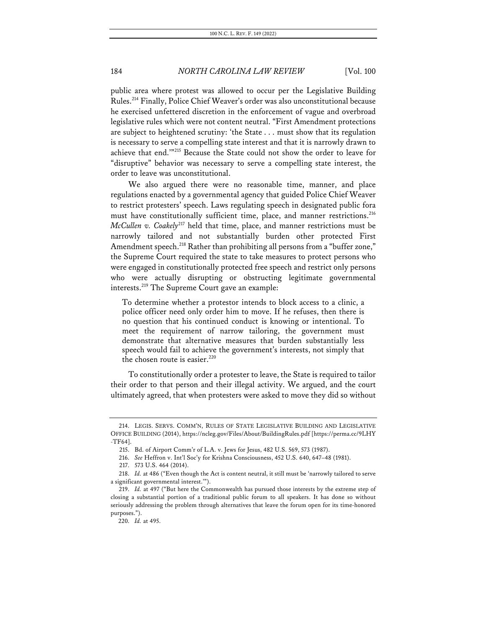public area where protest was allowed to occur per the Legislative Building Rules.214 Finally, Police Chief Weaver's order was also unconstitutional because he exercised unfettered discretion in the enforcement of vague and overbroad legislative rules which were not content neutral. "First Amendment protections are subject to heightened scrutiny: 'the State . . . must show that its regulation is necessary to serve a compelling state interest and that it is narrowly drawn to achieve that end.'"215 Because the State could not show the order to leave for "disruptive" behavior was necessary to serve a compelling state interest, the order to leave was unconstitutional.

We also argued there were no reasonable time, manner, and place regulations enacted by a governmental agency that guided Police Chief Weaver to restrict protesters' speech. Laws regulating speech in designated public fora must have constitutionally sufficient time, place, and manner restrictions.<sup>216</sup> *McCullen v. Coakely<sup>217</sup>* held that time, place, and manner restrictions must be narrowly tailored and not substantially burden other protected First Amendment speech.<sup>218</sup> Rather than prohibiting all persons from a "buffer zone," the Supreme Court required the state to take measures to protect persons who were engaged in constitutionally protected free speech and restrict only persons who were actually disrupting or obstructing legitimate governmental interests.219 The Supreme Court gave an example:

To determine whether a protestor intends to block access to a clinic, a police officer need only order him to move. If he refuses, then there is no question that his continued conduct is knowing or intentional. To meet the requirement of narrow tailoring, the government must demonstrate that alternative measures that burden substantially less speech would fail to achieve the government's interests, not simply that the chosen route is easier. $220$ 

To constitutionally order a protester to leave, the State is required to tailor their order to that person and their illegal activity. We argued, and the court ultimately agreed, that when protesters were asked to move they did so without

<sup>214.</sup> LEGIS. SERVS. COMM'N, RULES OF STATE LEGISLATIVE BUILDING AND LEGISLATIVE OFFICE BUILDING (2014), https://ncleg.gov/Files/About/BuildingRules.pdf [https://perma.cc/9LHY -TF64].

<sup>215.</sup> Bd. of Airport Comm'r of L.A. v. Jews for Jesus, 482 U.S. 569, 573 (1987).

<sup>216.</sup> *See* Heffron v. Int'l Soc'y for Krishna Consciousness, 452 U.S. 640, 647–48 (1981).

<sup>217.</sup> 573 U.S. 464 (2014).

<sup>218.</sup> *Id.* at 486 ("Even though the Act is content neutral, it still must be 'narrowly tailored to serve a significant governmental interest.'").

<sup>219.</sup> *Id.* at 497 ("But here the Commonwealth has pursued those interests by the extreme step of closing a substantial portion of a traditional public forum to all speakers. It has done so without seriously addressing the problem through alternatives that leave the forum open for its time-honored purposes.").

<sup>220.</sup> *Id.* at 495.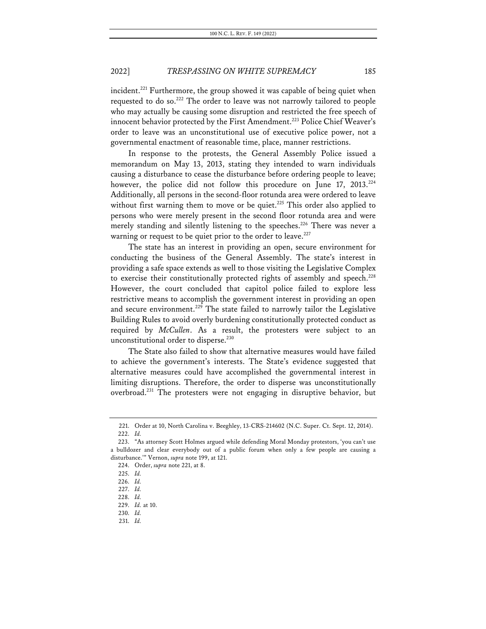incident.<sup>221</sup> Furthermore, the group showed it was capable of being quiet when requested to do so.<sup>222</sup> The order to leave was not narrowly tailored to people who may actually be causing some disruption and restricted the free speech of innocent behavior protected by the First Amendment.<sup>223</sup> Police Chief Weaver's order to leave was an unconstitutional use of executive police power, not a governmental enactment of reasonable time, place, manner restrictions.

In response to the protests, the General Assembly Police issued a memorandum on May 13, 2013, stating they intended to warn individuals causing a disturbance to cease the disturbance before ordering people to leave; however, the police did not follow this procedure on June 17, 2013.<sup>224</sup> Additionally, all persons in the second-floor rotunda area were ordered to leave without first warning them to move or be quiet.<sup>225</sup> This order also applied to persons who were merely present in the second floor rotunda area and were merely standing and silently listening to the speeches.<sup>226</sup> There was never a warning or request to be quiet prior to the order to leave. $227$ 

The state has an interest in providing an open, secure environment for conducting the business of the General Assembly. The state's interest in providing a safe space extends as well to those visiting the Legislative Complex to exercise their constitutionally protected rights of assembly and speech.<sup>228</sup> However, the court concluded that capitol police failed to explore less restrictive means to accomplish the government interest in providing an open and secure environment.<sup>229</sup> The state failed to narrowly tailor the Legislative Building Rules to avoid overly burdening constitutionally protected conduct as required by *McCullen*. As a result, the protesters were subject to an unconstitutional order to disperse.<sup>230</sup>

The State also failed to show that alternative measures would have failed to achieve the government's interests. The State's evidence suggested that alternative measures could have accomplished the governmental interest in limiting disruptions. Therefore, the order to disperse was unconstitutionally overbroad.231 The protesters were not engaging in disruptive behavior, but

<sup>221.</sup> Order at 10, North Carolina v. Beeghley, 13-CRS-214602 (N.C. Super. Ct. Sept. 12, 2014). 222. *Id.*

<sup>223.</sup> "As attorney Scott Holmes argued while defending Moral Monday protestors, 'you can't use a bulldozer and clear everybody out of a public forum when only a few people are causing a disturbance.'" Vernon, *supra* note 199, at 121.

<sup>224.</sup> Order, *supra* note 221, at 8.

<sup>225.</sup> *Id.*

<sup>226.</sup> *Id.*

<sup>227.</sup> *Id.*

<sup>228.</sup> *Id.*

<sup>229.</sup> *Id.* at 10.

<sup>230.</sup> *Id.*

<sup>231.</sup> *Id.*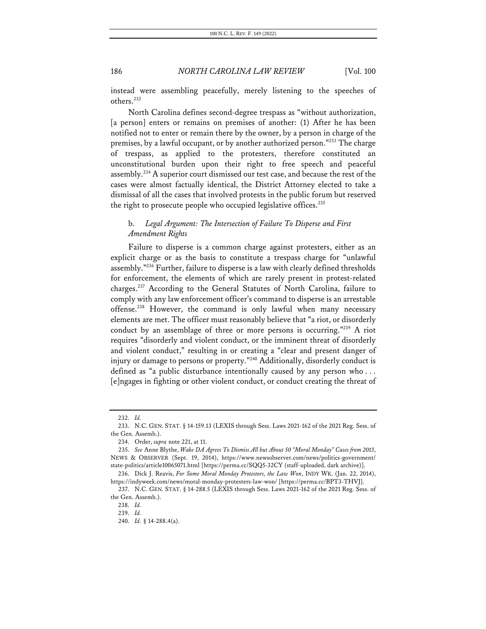instead were assembling peacefully, merely listening to the speeches of others.232

North Carolina defines second-degree trespass as "without authorization, [a person] enters or remains on premises of another: (1) After he has been notified not to enter or remain there by the owner, by a person in charge of the premises, by a lawful occupant, or by another authorized person."233 The charge of trespass, as applied to the protesters, therefore constituted an unconstitutional burden upon their right to free speech and peaceful assembly.234 A superior court dismissed our test case, and because the rest of the cases were almost factually identical, the District Attorney elected to take a dismissal of all the cases that involved protests in the public forum but reserved the right to prosecute people who occupied legislative offices.<sup>235</sup>

# b. *Legal Argument: The Intersection of Failure To Disperse and First Amendment Rights*

Failure to disperse is a common charge against protesters, either as an explicit charge or as the basis to constitute a trespass charge for "unlawful assembly."236 Further, failure to disperse is a law with clearly defined thresholds for enforcement, the elements of which are rarely present in protest-related charges.237 According to the General Statutes of North Carolina, failure to comply with any law enforcement officer's command to disperse is an arrestable offense.<sup>238</sup> However, the command is only lawful when many necessary elements are met. The officer must reasonably believe that "a riot, or disorderly conduct by an assemblage of three or more persons is occurring."239 A riot requires "disorderly and violent conduct, or the imminent threat of disorderly and violent conduct," resulting in or creating a "clear and present danger of injury or damage to persons or property."<sup>240</sup> Additionally, disorderly conduct is defined as "a public disturbance intentionally caused by any person who . . . [e]ngages in fighting or other violent conduct, or conduct creating the threat of

<sup>232.</sup> *Id.*

<sup>233.</sup> N.C. GEN. STAT. § 14-159.13 (LEXIS through Sess. Laws 2021-162 of the 2021 Reg. Sess. of the Gen. Assemb.).

<sup>234.</sup> Order, *supra* note 221, at 11.

<sup>235.</sup> *See* Anne Blythe, *Wake DA Agrees To Dismiss All but About 50 "Moral Monday" Cases from 2013*, NEWS & OBSERVER (Sept. 19, 2014), https://www.newsobserver.com/news/politics-government/ state-politics/article10065071.html [https://perma.cc/SQQ5-32CY (staff-uploaded, dark archive)].

<sup>236.</sup> Dick J. Reavis, *For Some Moral Monday Protestors, the Law Won*, INDY WK. (Jan. 22, 2014), https://indyweek.com/news/moral-monday-protesters-law-won/ [https://perma.cc/BPT3-THVJ].

<sup>237.</sup> N.C. GEN. STAT. § 14-288.5 (LEXIS through Sess. Laws 2021-162 of the 2021 Reg. Sess. of the Gen. Assemb.).

<sup>238.</sup> *Id.*

<sup>239.</sup> *Id.*

<sup>240.</sup> *Id.* § 14-288.4(a).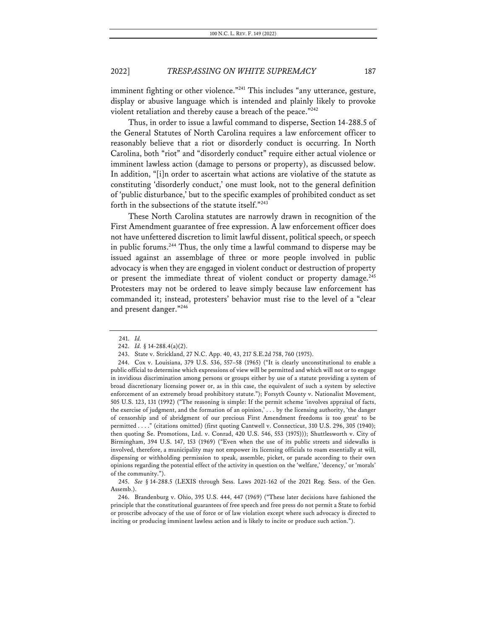imminent fighting or other violence."<sup>241</sup> This includes "any utterance, gesture, display or abusive language which is intended and plainly likely to provoke violent retaliation and thereby cause a breach of the peace."<sup>242</sup>

Thus, in order to issue a lawful command to disperse, Section 14-288.5 of the General Statutes of North Carolina requires a law enforcement officer to reasonably believe that a riot or disorderly conduct is occurring. In North Carolina, both "riot" and "disorderly conduct" require either actual violence or imminent lawless action (damage to persons or property), as discussed below. In addition, "[i]n order to ascertain what actions are violative of the statute as constituting 'disorderly conduct,' one must look, not to the general definition of 'public disturbance,' but to the specific examples of prohibited conduct as set forth in the subsections of the statute itself."243

These North Carolina statutes are narrowly drawn in recognition of the First Amendment guarantee of free expression. A law enforcement officer does not have unfettered discretion to limit lawful dissent, political speech, or speech in public forums.<sup>244</sup> Thus, the only time a lawful command to disperse may be issued against an assemblage of three or more people involved in public advocacy is when they are engaged in violent conduct or destruction of property or present the immediate threat of violent conduct or property damage.<sup>245</sup> Protesters may not be ordered to leave simply because law enforcement has commanded it; instead, protesters' behavior must rise to the level of a "clear and present danger."246

<sup>241.</sup> *Id.*

<sup>242.</sup> *Id.* § 14-288.4(a)(2).

<sup>243.</sup> State v. Strickland, 27 N.C. App. 40, 43, 217 S.E.2d 758, 760 (1975).

<sup>244.</sup> Cox v. Louisiana, 379 U.S. 536, 557–58 (1965) ("It is clearly unconstitutional to enable a public official to determine which expressions of view will be permitted and which will not or to engage in invidious discrimination among persons or groups either by use of a statute providing a system of broad discretionary licensing power or, as in this case, the equivalent of such a system by selective enforcement of an extremely broad prohibitory statute."); Forsyth County v. Nationalist Movement, 505 U.S. 123, 131 (1992) ("The reasoning is simple: If the permit scheme 'involves appraisal of facts, the exercise of judgment, and the formation of an opinion,' . . . by the licensing authority, 'the danger of censorship and of abridgment of our precious First Amendment freedoms is too great' to be permitted . . . ." (citations omitted) (first quoting Cantwell v. Connecticut, 310 U.S. 296, 305 (1940); then quoting Se. Promotions, Ltd. v. Conrad, 420 U.S. 546, 553 (1975))); Shuttlesworth v. City of Birmingham, 394 U.S. 147, 153 (1969) ("Even when the use of its public streets and sidewalks is involved, therefore, a municipality may not empower its licensing officials to roam essentially at will, dispensing or withholding permission to speak, assemble, picket, or parade according to their own opinions regarding the potential effect of the activity in question on the 'welfare,' 'decency,' or 'morals' of the community.").

<sup>245.</sup> *See* § 14-288.5 (LEXIS through Sess. Laws 2021-162 of the 2021 Reg. Sess. of the Gen. Assemb.).

<sup>246.</sup> Brandenburg v. Ohio, 395 U.S. 444, 447 (1969) ("These later decisions have fashioned the principle that the constitutional guarantees of free speech and free press do not permit a State to forbid or proscribe advocacy of the use of force or of law violation except where such advocacy is directed to inciting or producing imminent lawless action and is likely to incite or produce such action.").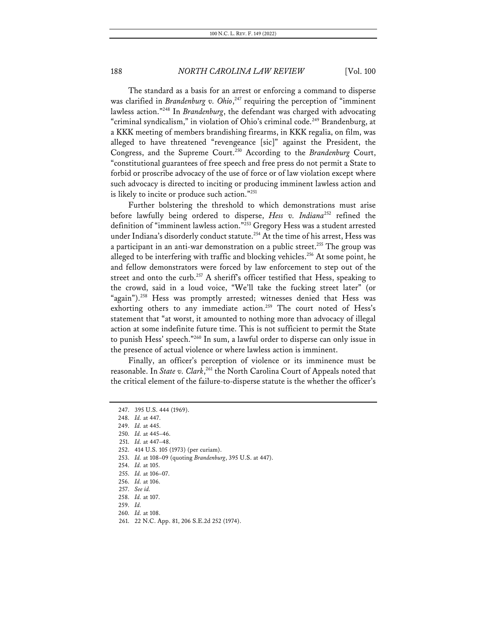The standard as a basis for an arrest or enforcing a command to disperse was clarified in *Brandenburg v. Ohio*,<sup>247</sup> requiring the perception of "imminent lawless action."248 In *Brandenburg*, the defendant was charged with advocating "criminal syndicalism," in violation of Ohio's criminal code.<sup>249</sup> Brandenburg, at a KKK meeting of members brandishing firearms, in KKK regalia, on film, was alleged to have threatened "revengeance [sic]" against the President, the Congress, and the Supreme Court.<sup>250</sup> According to the *Brandenburg* Court, "constitutional guarantees of free speech and free press do not permit a State to forbid or proscribe advocacy of the use of force or of law violation except where such advocacy is directed to inciting or producing imminent lawless action and is likely to incite or produce such action."251

Further bolstering the threshold to which demonstrations must arise before lawfully being ordered to disperse, *Hess v. Indiana*<sup>252</sup> refined the definition of "imminent lawless action."253 Gregory Hess was a student arrested under Indiana's disorderly conduct statute.<sup>254</sup> At the time of his arrest, Hess was a participant in an anti-war demonstration on a public street.<sup>255</sup> The group was alleged to be interfering with traffic and blocking vehicles.<sup>256</sup> At some point, he and fellow demonstrators were forced by law enforcement to step out of the street and onto the curb.<sup>257</sup> A sheriff's officer testified that Hess, speaking to the crowd, said in a loud voice, "We'll take the fucking street later" (or "again").<sup>258</sup> Hess was promptly arrested; witnesses denied that Hess was exhorting others to any immediate action.<sup>259</sup> The court noted of Hess's statement that "at worst, it amounted to nothing more than advocacy of illegal action at some indefinite future time. This is not sufficient to permit the State to punish Hess' speech."260 In sum, a lawful order to disperse can only issue in the presence of actual violence or where lawless action is imminent.

Finally, an officer's perception of violence or its imminence must be reasonable. In *State v. Clark*, <sup>261</sup> the North Carolina Court of Appeals noted that the critical element of the failure-to-disperse statute is the whether the officer's

253. *Id.* at 108–09 (quoting *Brandenburg*, 395 U.S. at 447).

<sup>247.</sup> 395 U.S. 444 (1969).

<sup>248.</sup> *Id.* at 447.

<sup>249.</sup> *Id.* at 445.

<sup>250.</sup> *Id.* at 445–46.

<sup>251.</sup> *Id.* at 447–48.

<sup>252.</sup> 414 U.S. 105 (1973) (per curiam).

<sup>254.</sup> *Id.* at 105.

<sup>255.</sup> *Id.* at 106–07.

<sup>256.</sup> *Id.* at 106.

<sup>257.</sup> *See id.*

<sup>258.</sup> *Id.* at 107.

<sup>259.</sup> *Id.*

<sup>260.</sup> *Id.* at 108.

<sup>261.</sup> 22 N.C. App. 81, 206 S.E.2d 252 (1974).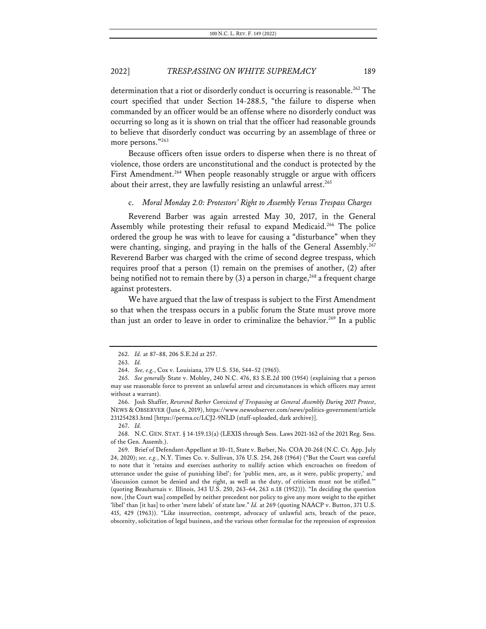determination that a riot or disorderly conduct is occurring is reasonable.<sup>262</sup> The court specified that under Section 14-288.5, "the failure to disperse when commanded by an officer would be an offense where no disorderly conduct was occurring so long as it is shown on trial that the officer had reasonable grounds to believe that disorderly conduct was occurring by an assemblage of three or more persons."263

Because officers often issue orders to disperse when there is no threat of violence, those orders are unconstitutional and the conduct is protected by the First Amendment.<sup>264</sup> When people reasonably struggle or argue with officers about their arrest, they are lawfully resisting an unlawful arrest.<sup>265</sup>

#### c. *Moral Monday 2.0: Protestors' Right to Assembly Versus Trespass Charges*

Reverend Barber was again arrested May 30, 2017, in the General Assembly while protesting their refusal to expand Medicaid.<sup>266</sup> The police ordered the group he was with to leave for causing a "disturbance" when they were chanting, singing, and praying in the halls of the General Assembly.<sup>267</sup> Reverend Barber was charged with the crime of second degree trespass, which requires proof that a person (1) remain on the premises of another, (2) after being notified not to remain there by  $(3)$  a person in charge,<sup>268</sup> a frequent charge against protesters.

We have argued that the law of trespass is subject to the First Amendment so that when the trespass occurs in a public forum the State must prove more than just an order to leave in order to criminalize the behavior.<sup>269</sup> In a public

267. *Id.*

<sup>262.</sup> *Id.* at 87–88, 206 S.E.2d at 257.

<sup>263.</sup> *Id.*

<sup>264.</sup> *See, e.g.*, Cox v. Louisiana, 379 U.S. 536, 544–52 (1965).

<sup>265.</sup> *See generally* State v. Mobley, 240 N.C. 476, 83 S.E.2d 100 (1954) (explaining that a person may use reasonable force to prevent an unlawful arrest and circumstances in which officers may arrest without a warrant).

<sup>266.</sup> Josh Shaffer, *Reverend Barber Convicted of Trespassing at General Assembly During 2017 Protest*, NEWS & OBSERVER (June 6, 2019), https://www.newsobserver.com/news/politics-government/article 231254283.html [https://perma.cc/LCJ2-9NLD (staff-uploaded, dark archive)].

<sup>268.</sup> N.C. GEN. STAT. § 14-159.13(a) (LEXIS through Sess. Laws 2021-162 of the 2021 Reg. Sess. of the Gen. Assemb.).

<sup>269.</sup> Brief of Defendant-Appellant at 10–11, State v. Barber, No. COA 20-268 (N.C. Ct. App. July 24, 2020); *see, e.g.*, N.Y. Times Co. v. Sullivan, 376 U.S. 254, 268 (1964) ("But the Court was careful to note that it 'retains and exercises authority to nullify action which encroaches on freedom of utterance under the guise of punishing libel'; for 'public men, are, as it were, public property,' and 'discussion cannot be denied and the right, as well as the duty, of criticism must not be stifled.'" (quoting Beauharnais v. Illinois, 343 U.S. 250, 263–64, 263 n.18 (1952))). "In deciding the question now, [the Court was] compelled by neither precedent nor policy to give any more weight to the epithet 'libel' than [it has] to other 'mere labels' of state law." *Id.* at 269 (quoting NAACP v. Button, 371 U.S. 415, 429 (1963)). "Like insurrection, contempt, advocacy of unlawful acts, breach of the peace, obscenity, solicitation of legal business, and the various other formulae for the repression of expression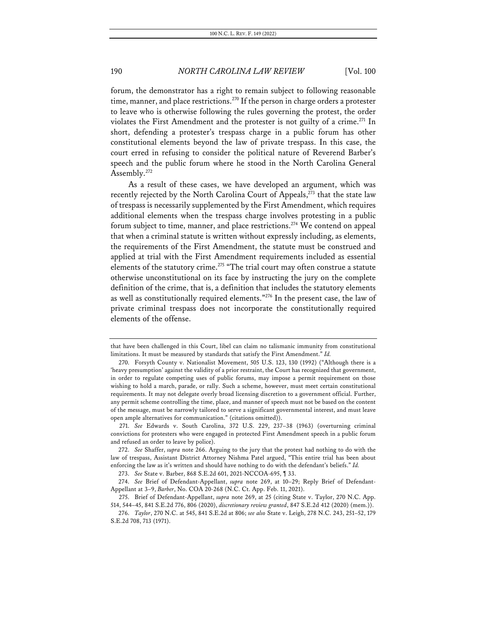forum, the demonstrator has a right to remain subject to following reasonable time, manner, and place restrictions.<sup>270</sup> If the person in charge orders a protester to leave who is otherwise following the rules governing the protest, the order violates the First Amendment and the protester is not guilty of a crime.<sup>271</sup> In short, defending a protester's trespass charge in a public forum has other constitutional elements beyond the law of private trespass. In this case, the court erred in refusing to consider the political nature of Reverend Barber's speech and the public forum where he stood in the North Carolina General Assembly.<sup>272</sup>

As a result of these cases, we have developed an argument, which was recently rejected by the North Carolina Court of Appeals, $273$  that the state law of trespass is necessarily supplemented by the First Amendment, which requires additional elements when the trespass charge involves protesting in a public forum subject to time, manner, and place restrictions.<sup>274</sup> We contend on appeal that when a criminal statute is written without expressly including, as elements, the requirements of the First Amendment, the statute must be construed and applied at trial with the First Amendment requirements included as essential elements of the statutory crime.<sup>275</sup> "The trial court may often construe a statute otherwise unconstitutional on its face by instructing the jury on the complete definition of the crime, that is, a definition that includes the statutory elements as well as constitutionally required elements."276 In the present case, the law of private criminal trespass does not incorporate the constitutionally required elements of the offense.

that have been challenged in this Court, libel can claim no talismanic immunity from constitutional limitations. It must be measured by standards that satisfy the First Amendment." *Id.*

<sup>270.</sup> Forsyth County v. Nationalist Movement, 505 U.S. 123, 130 (1992) ("Although there is a 'heavy presumption' against the validity of a prior restraint, the Court has recognized that government, in order to regulate competing uses of public forums, may impose a permit requirement on those wishing to hold a march, parade, or rally. Such a scheme, however, must meet certain constitutional requirements. It may not delegate overly broad licensing discretion to a government official. Further, any permit scheme controlling the time, place, and manner of speech must not be based on the content of the message, must be narrowly tailored to serve a significant governmental interest, and must leave open ample alternatives for communication." (citations omitted)).

<sup>271.</sup> *See* Edwards v. South Carolina, 372 U.S. 229, 237–38 (1963) (overturning criminal convictions for protesters who were engaged in protected First Amendment speech in a public forum and refused an order to leave by police).

<sup>272.</sup> *See* Shaffer, *supra* note 266. Arguing to the jury that the protest had nothing to do with the law of trespass, Assistant District Attorney Nishma Patel argued, "This entire trial has been about enforcing the law as it's written and should have nothing to do with the defendant's beliefs." *Id.*

<sup>273.</sup> *See* State v. Barber, 868 S.E.2d 601, 2021-NCCOA-695, ¶ 33.

<sup>274.</sup> *See* Brief of Defendant-Appellant, *supra* note 269, at 10–29; Reply Brief of Defendant-Appellant at 3–9, *Barber*, No. COA 20-268 (N.C. Ct. App. Feb. 11, 2021).

<sup>275.</sup> Brief of Defendant-Appellant, *supra* note 269, at 25 (citing State v. Taylor, 270 N.C. App. 514, 544–45, 841 S.E.2d 776, 806 (2020), *discretionary review granted*, 847 S.E.2d 412 (2020) (mem.)).

<sup>276.</sup> *Taylor*, 270 N.C. at 545, 841 S.E.2d at 806; *see also* State v. Leigh, 278 N.C. 243, 251–52, 179 S.E.2d 708, 713 (1971).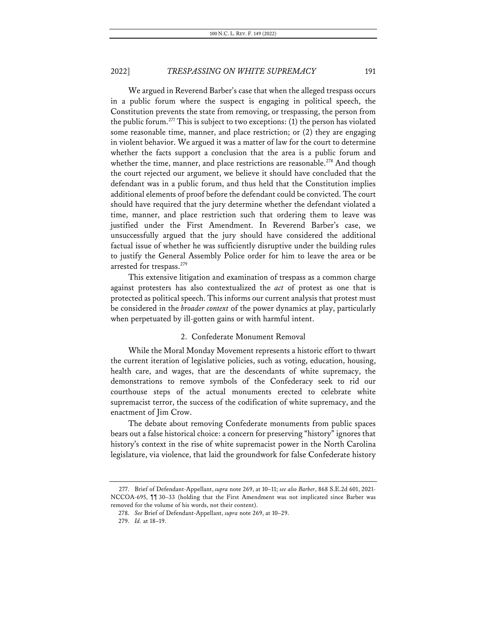We argued in Reverend Barber's case that when the alleged trespass occurs in a public forum where the suspect is engaging in political speech, the Constitution prevents the state from removing, or trespassing, the person from the public forum. <sup>277</sup> This is subject to two exceptions: (1) the person has violated some reasonable time, manner, and place restriction; or (2) they are engaging in violent behavior. We argued it was a matter of law for the court to determine whether the facts support a conclusion that the area is a public forum and whether the time, manner, and place restrictions are reasonable.<sup>278</sup> And though the court rejected our argument, we believe it should have concluded that the defendant was in a public forum, and thus held that the Constitution implies additional elements of proof before the defendant could be convicted. The court should have required that the jury determine whether the defendant violated a time, manner, and place restriction such that ordering them to leave was justified under the First Amendment. In Reverend Barber's case, we unsuccessfully argued that the jury should have considered the additional factual issue of whether he was sufficiently disruptive under the building rules to justify the General Assembly Police order for him to leave the area or be arrested for trespass.<sup>279</sup>

This extensive litigation and examination of trespass as a common charge against protesters has also contextualized the *act* of protest as one that is protected as political speech. This informs our current analysis that protest must be considered in the *broader context* of the power dynamics at play, particularly when perpetuated by ill-gotten gains or with harmful intent.

#### 2. Confederate Monument Removal

While the Moral Monday Movement represents a historic effort to thwart the current iteration of legislative policies, such as voting, education, housing, health care, and wages, that are the descendants of white supremacy, the demonstrations to remove symbols of the Confederacy seek to rid our courthouse steps of the actual monuments erected to celebrate white supremacist terror, the success of the codification of white supremacy, and the enactment of Jim Crow.

The debate about removing Confederate monuments from public spaces bears out a false historical choice: a concern for preserving "history" ignores that history's context in the rise of white supremacist power in the North Carolina legislature, via violence, that laid the groundwork for false Confederate history

<sup>277.</sup> Brief of Defendant-Appellant, *supra* note 269, at 10–11; *see also Barber*, 868 S.E.2d 601, 2021- NCCOA-695, ¶¶ 30–33 (holding that the First Amendment was not implicated since Barber was removed for the volume of his words, not their content).

<sup>278.</sup> *See* Brief of Defendant-Appellant, *supra* note 269, at 10–29.

<sup>279.</sup> *Id.* at 18–19.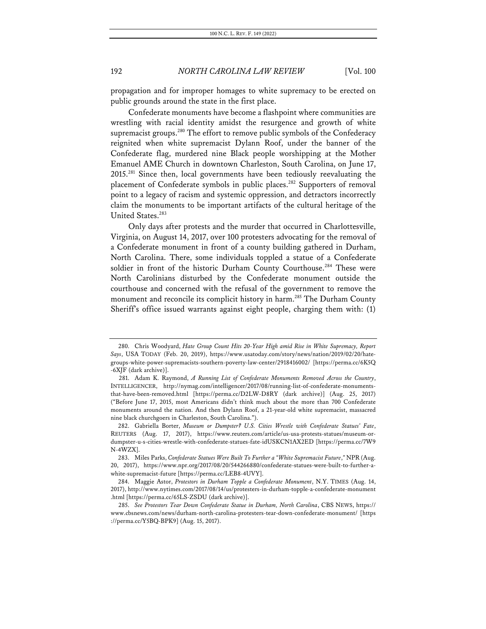propagation and for improper homages to white supremacy to be erected on public grounds around the state in the first place.

Confederate monuments have become a flashpoint where communities are wrestling with racial identity amidst the resurgence and growth of white supremacist groups.<sup>280</sup> The effort to remove public symbols of the Confederacy reignited when white supremacist Dylann Roof, under the banner of the Confederate flag, murdered nine Black people worshipping at the Mother Emanuel AME Church in downtown Charleston, South Carolina, on June 17, 2015.281 Since then, local governments have been tediously reevaluating the placement of Confederate symbols in public places.<sup>282</sup> Supporters of removal point to a legacy of racism and systemic oppression, and detractors incorrectly claim the monuments to be important artifacts of the cultural heritage of the United States.<sup>283</sup>

Only days after protests and the murder that occurred in Charlottesville, Virginia, on August 14, 2017, over 100 protesters advocating for the removal of a Confederate monument in front of a county building gathered in Durham, North Carolina. There, some individuals toppled a statue of a Confederate soldier in front of the historic Durham County Courthouse.<sup>284</sup> These were North Carolinians disturbed by the Confederate monument outside the courthouse and concerned with the refusal of the government to remove the monument and reconcile its complicit history in harm.<sup>285</sup> The Durham County Sheriff's office issued warrants against eight people, charging them with: (1)

<sup>280.</sup> Chris Woodyard, *Hate Group Count Hits 20-Year High amid Rise in White Supremacy, Report Says*, USA TODAY (Feb. 20, 2019), https://www.usatoday.com/story/news/nation/2019/02/20/hategroups-white-power-supremacists-southern-poverty-law-center/2918416002/ [https://perma.cc/6K5Q -6XJF (dark archive)].

<sup>281.</sup> Adam K. Raymond, *A Running List of Confederate Monuments Removed Across the Country*, INTELLIGENCER, http://nymag.com/intelligencer/2017/08/running-list-of-confederate-monumentsthat-have-been-removed.html [https://perma.cc/D2LW-D8RY (dark archive)] (Aug. 25, 2017) ("Before June 17, 2015, most Americans didn't think much about the more than 700 Confederate monuments around the nation. And then Dylann Roof, a 21-year-old white supremacist, massacred nine black churchgoers in Charleston, South Carolina.").

<sup>282.</sup> Gabriella Borter, *Museum or Dumpster? U.S. Cities Wrestle with Confederate Statues' Fate*, REUTERS (Aug. 17, 2017), https://www.reuters.com/article/us-usa-protests-statues/museum-ordumpster-u-s-cities-wrestle-with-confederate-statues-fate-idUSKCN1AX2ED [https://perma.cc/7W9 N-4WZX].

<sup>283.</sup> Miles Parks, *Confederate Statues Were Built To Further a "White Supremacist Future*,*"* NPR (Aug. 20, 2017), https://www.npr.org/2017/08/20/544266880/confederate-statues-were-built-to-further-awhite-supremacist-future [https://perma.cc/LEB8-4UVY].

<sup>284.</sup> Maggie Astor, *Protestors in Durham Topple a Confederate Monument*, N.Y. TIMES (Aug. 14, 2017), http://www.nytimes.com/2017/08/14/us/protesters-in-durham-topple-a-confederate-monument .html [https://perma.cc/65LS-ZSDU (dark archive)].

<sup>285.</sup> *See Protestors Tear Down Confederate Statue in Durham, North Carolina*, CBS NEWS, https:// www.cbsnews.com/news/durham-north-carolina-protesters-tear-down-confederate-monument/ [https ://perma.cc/Y5BQ-BPK9] (Aug. 15, 2017).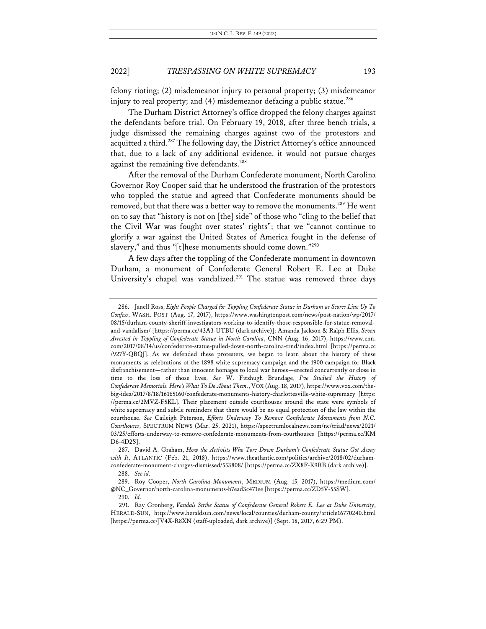felony rioting; (2) misdemeanor injury to personal property; (3) misdemeanor injury to real property; and  $(4)$  misdemeanor defacing a public statue.<sup>286</sup>

The Durham District Attorney's office dropped the felony charges against the defendants before trial. On February 19, 2018, after three bench trials, a judge dismissed the remaining charges against two of the protestors and acquitted a third.<sup>287</sup> The following day, the District Attorney's office announced that, due to a lack of any additional evidence, it would not pursue charges against the remaining five defendants.<sup>288</sup>

After the removal of the Durham Confederate monument, North Carolina Governor Roy Cooper said that he understood the frustration of the protestors who toppled the statue and agreed that Confederate monuments should be removed, but that there was a better way to remove the monuments.<sup>289</sup> He went on to say that "history is not on [the] side" of those who "cling to the belief that the Civil War was fought over states' rights"; that we "cannot continue to glorify a war against the United States of America fought in the defense of slavery," and thus "[t]hese monuments should come down."290

A few days after the toppling of the Confederate monument in downtown Durham, a monument of Confederate General Robert E. Lee at Duke University's chapel was vandalized.<sup>291</sup> The statue was removed three days

<sup>286.</sup> Janell Ross, *Eight People Charged for Toppling Confederate Statue in Durham as Scores Line Up To Confess*, WASH. POST (Aug. 17, 2017), https://www.washingtonpost.com/news/post-nation/wp/2017/ 08/15/durham-county-sheriff-investigators-working-to-identify-those-responsible-for-statue-removaland-vandalism/ [https://perma.cc/43A3-UTBU (dark archive)]; Amanda Jackson & Ralph Ellis, *Seven Arrested in Toppling of Confederate Statue in North Carolina*, CNN (Aug. 16, 2017), https://www.cnn. com/2017/08/14/us/confederate-statue-pulled-down-north-carolina-trnd/index.html [https://perma.cc /927Y-QBQJ]. As we defended these protesters, we began to learn about the history of these monuments as celebrations of the 1898 white supremacy campaign and the 1900 campaign for Black disfranchisement—rather than innocent homages to local war heroes—erected concurrently or close in time to the loss of those lives. *See* W. Fitzhugh Brundage, *I've Studied the History of Confederate Memorials. Here's What To Do About Them.*, VOX (Aug. 18, 2017), https://www.vox.com/thebig-idea/2017/8/18/16165160/confederate-monuments-history-charlottesville-white-supremacy [https: //perma.cc/2MVZ-F5KL]. Their placement outside courthouses around the state were symbols of white supremacy and subtle reminders that there would be no equal protection of the law within the courthouse. *See* Caileigh Peterson, *Efforts Underway To Remove Confederate Monuments from N.C. Courthouses*, SPECTRUM NEWS (Mar. 25, 2021), https://spectrumlocalnews.com/nc/triad/news/2021/ 03/25/efforts-underway-to-remove-confederate-monuments-from-courthouses [https://perma.cc/KM D6-4D2S].

<sup>287.</sup> David A. Graham, *How the Activists Who Tore Down Durham's Confederate Statue Got Away with It*, ATLANTIC (Feb. 21, 2018), https://www.theatlantic.com/politics/archive/2018/02/durhamconfederate-monument-charges-dismissed/553808/ [https://perma.cc/ZX8F-K9RB (dark archive)].

<sup>288.</sup> *See id.*

<sup>289.</sup> Roy Cooper, *North Carolina Monuments*, MEDIUM (Aug. 15, 2017), https://medium.com/ @NC\_Governor/north-carolina-monuments-b7ead3c471ee [https://perma.cc/ZD5V-55SW].

<sup>290.</sup> *Id.*

<sup>291.</sup> Ray Gronberg, *Vandals Strike Statue of Confederate General Robert E. Lee at Duke University*, HERALD-SUN, http://www.heraldsun.com/news/local/counties/durham-county/article16770240.html [https://perma.cc/JV4X-R8XN (staff-uploaded, dark archive)] (Sept. 18, 2017, 6:29 PM).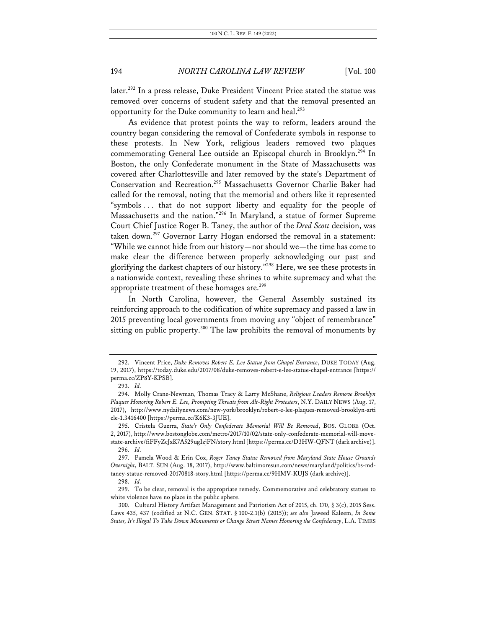later.<sup>292</sup> In a press release, Duke President Vincent Price stated the statue was removed over concerns of student safety and that the removal presented an opportunity for the Duke community to learn and heal.<sup>293</sup>

As evidence that protest points the way to reform, leaders around the country began considering the removal of Confederate symbols in response to these protests. In New York, religious leaders removed two plaques commemorating General Lee outside an Episcopal church in Brooklyn.<sup>294</sup> In Boston, the only Confederate monument in the State of Massachusetts was covered after Charlottesville and later removed by the state's Department of Conservation and Recreation.295 Massachusetts Governor Charlie Baker had called for the removal, noting that the memorial and others like it represented "symbols . . . that do not support liberty and equality for the people of Massachusetts and the nation."296 In Maryland, a statue of former Supreme Court Chief Justice Roger B. Taney, the author of the *Dred Scott* decision, was taken down.<sup>297</sup> Governor Larry Hogan endorsed the removal in a statement: "While we cannot hide from our history—nor should we—the time has come to make clear the difference between properly acknowledging our past and glorifying the darkest chapters of our history."298 Here, we see these protests in a nationwide context, revealing these shrines to white supremacy and what the appropriate treatment of these homages are.<sup>299</sup>

In North Carolina, however, the General Assembly sustained its reinforcing approach to the codification of white supremacy and passed a law in 2015 preventing local governments from moving any "object of remembrance" sitting on public property.<sup>300</sup> The law prohibits the removal of monuments by

<sup>292.</sup> Vincent Price, *Duke Removes Robert E. Lee Statue from Chapel Entrance*, DUKE TODAY (Aug. 19, 2017), https://today.duke.edu/2017/08/duke-removes-robert-e-lee-statue-chapel-entrance [https:// perma.cc/ZP8Y-KPSB].

<sup>293.</sup> *Id.*

<sup>294.</sup> Molly Crane-Newman, Thomas Tracy & Larry McShane, *Religious Leaders Remove Brooklyn Plaques Honoring Robert E. Lee, Prompting Threats from Alt-Right Protesters*, N.Y. DAILY NEWS (Aug. 17, 2017), http://www.nydailynews.com/new-york/brooklyn/robert-e-lee-plaques-removed-brooklyn-arti cle-1.3416400 [https://perma.cc/K6K3-3JUE].

<sup>295.</sup> Cristela Guerra, *State's Only Confederate Memorial Will Be Removed*, BOS. GLOBE (Oct. 2, 2017), http://www.bostonglobe.com/metro/2017/10/02/state-only-confederate-memorial-will-movestate-archive/fiFFyZcJxK7A529ugIzjFN/story.html [https://perma.cc/D3HW-QFNT (dark archive)]. 296. *Id.*

<sup>297.</sup> Pamela Wood & Erin Cox, *Roger Taney Statue Removed from Maryland State House Grounds Overnight*, BALT. SUN (Aug. 18, 2017), http://www.baltimoresun.com/news/maryland/politics/bs-mdtaney-statue-removed-20170818-story.html [https://perma.cc/9HMV-KUJS (dark archive)].

<sup>298.</sup> *Id.*

<sup>299.</sup> To be clear, removal is the appropriate remedy. Commemorative and celebratory statues to white violence have no place in the public sphere.

<sup>300.</sup> Cultural History Artifact Management and Patriotism Act of 2015, ch. 170, § 3(c), 2015 Sess. Laws 435, 437 (codified at N.C. GEN. STAT. § 100-2.1(b) (2015)); *see also* Jaweed Kaleem, *In Some States, It's Illegal To Take Down Monuments or Change Street Names Honoring the Confederacy*, L.A. TIMES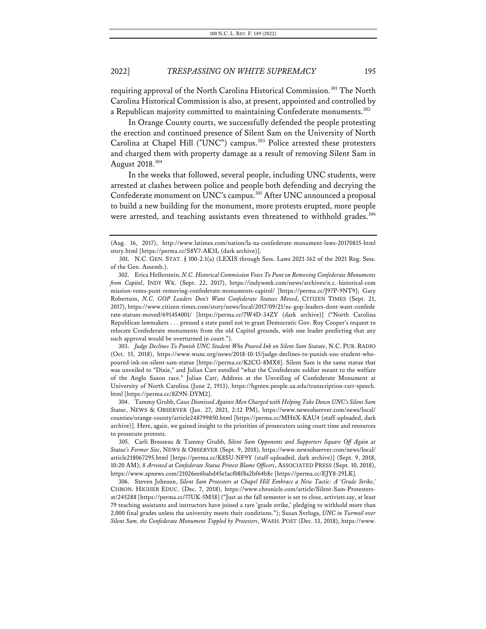requiring approval of the North Carolina Historical Commission.<sup>301</sup> The North Carolina Historical Commission is also, at present, appointed and controlled by a Republican majority committed to maintaining Confederate monuments.<sup>302</sup>

In Orange County courts, we successfully defended the people protesting the erection and continued presence of Silent Sam on the University of North Carolina at Chapel Hill ("UNC") campus.<sup>303</sup> Police arrested these protesters and charged them with property damage as a result of removing Silent Sam in August 2018.304

In the weeks that followed, several people, including UNC students, were arrested at clashes between police and people both defending and decrying the Confederate monument on UNC's campus.<sup>305</sup> After UNC announced a proposal to build a new building for the monument, more protests erupted, more people were arrested, and teaching assistants even threatened to withhold grades.<sup>306</sup>

303. *Judge Declines To Punish UNC Student Who Poured Ink on Silent Sam Statute*, N.C. PUB. RADIO (Oct. 15, 2018), https://www.wunc.org/news/2018-10-15/judge-declines-to-punish-unc-student-whopoured-ink-on-silent-sam-statue [https://perma.cc/K2CG-8MX8]. Silent Sam is the same statue that was unveiled to "Dixie," and Julian Carr extolled "what the Confederate soldier meant to the welfare of the Anglo Saxon race." Julian Carr, Address at the Unveiling of Confederate Monument at University of North Carolina (June 2, 1913), https://hgreen.people.ua.edu/transcription-carr-speech. html [https://perma.cc/8Z9N-DYM2].

304. Tammy Grubb, *Cases Dismissed Against Men Charged with Helping Take Down UNC's Silent Sam Statue*, NEWS & OBSERVER (Jan. 27, 2021, 2:12 PM), https://www.newsobserver.com/news/local/ counties/orange-county/article248799850.html [https://perma.cc/MH6X-KAU4 (staff-uploaded, dark archive)]. Here, again, we gained insight to the priorities of prosecutors using court time and resources to prosecute protests.

305. Carli Brosseau & Tammy Grubb, *Silent Sam Opponents and Supporters Square Off Again at Statue's Former Site*, NEWS & OBSERVER (Sept. 9, 2018), https://www.newsobserver.com/news/local/ article218067295.html [https://perma.cc/K8SU-NF9Y (staff-uploaded, dark archive)] (Sept. 9, 2018, 10:20 AM); *8 Arrested at Confederate Statue Protest Blame Officers*, ASSOCIATED PRESS (Sept. 10, 2018), https://www.apnews.com/21026ee6babd45e1acf08f8a2bf64b8c [https://perma.cc/EJY8-29LK].

306. Steven Johnson, *Silent Sam Protesters at Chapel Hill Embrace a New Tactic: A 'Grade Strike*,*'* CHRON. HIGHER EDUC. (Dec. 7, 2018), https://www.chronicle.com/article/Silent-Sam-Protestersat/245288 [https://perma.cc/77UK-5M58] ("Just as the fall semester is set to close, activists say, at least 79 teaching assistants and instructors have joined a rare 'grade strike,' pledging to withhold more than 2,000 final grades unless the university meets their conditions."); Susan Svrluga, *UNC in Turmoil over Silent Sam, the Confederate Monument Toppled by Protesters*, WASH. POST (Dec. 13, 2018), https://www.

<sup>(</sup>Aug. 16, 2017), http://www.latimes.com/nation/la-na-confederate-monument-laws-20170815-html story.html [https://perma.cc/S8V7-AK3L (dark archive)].

<sup>301.</sup> N.C. GEN. STAT. § 100-2.1(a) (LEXIS through Sess. Laws 2021-162 of the 2021 Reg. Sess. of the Gen. Assemb.).

<sup>302.</sup> Erica Hellerstein, *N.C. Historical Commission Votes To Punt on Removing Confederate Monuments from Capitol*, INDY WK. (Sept. 22, 2017), https://indyweek.com/news/archives/n.c.-historical-com mission-votes-punt-removing-confederate-monuments-capitol/ [https://perma.cc/J97P-9NT9]; Gary Robertson, *N.C. GOP Leaders Don't Want Confederate Statues Moved*, CITIZEN TIMES (Sept. 21, 2017), https://www.citizen-times.com/story/news/local/2017/09/21/nc-gop-leaders-dont-want-confede rate-statues-moved/691454001/ [https://perma.cc/7W4D-34ZY (dark archive)] ("North Carolina Republican lawmakers . . . pressed a state panel not to grant Democratic Gov. Roy Cooper's request to relocate Confederate monuments from the old Capitol grounds, with one leader predicting that any such approval would be overturned in court.").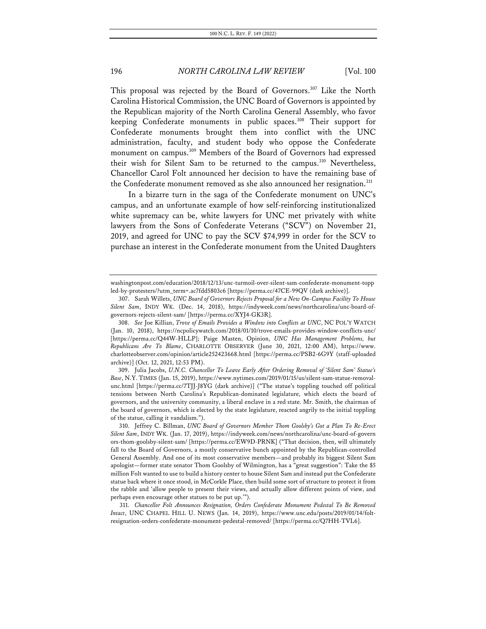This proposal was rejected by the Board of Governors.<sup>307</sup> Like the North Carolina Historical Commission, the UNC Board of Governors is appointed by the Republican majority of the North Carolina General Assembly, who favor keeping Confederate monuments in public spaces.<sup>308</sup> Their support for Confederate monuments brought them into conflict with the UNC administration, faculty, and student body who oppose the Confederate monument on campus.309 Members of the Board of Governors had expressed their wish for Silent Sam to be returned to the campus.<sup>310</sup> Nevertheless, Chancellor Carol Folt announced her decision to have the remaining base of the Confederate monument removed as she also announced her resignation.<sup>311</sup>

In a bizarre turn in the saga of the Confederate monument on UNC's campus, and an unfortunate example of how self-reinforcing institutionalized white supremacy can be, white lawyers for UNC met privately with white lawyers from the Sons of Confederate Veterans ("SCV") on November 21, 2019, and agreed for UNC to pay the SCV \$74,999 in order for the SCV to purchase an interest in the Confederate monument from the United Daughters

309. Julia Jacobs, *U.N.C. Chancellor To Leave Early After Ordering Removal of 'Silent Sam' Statue's Base*, N.Y. TIMES (Jan. 15, 2019), https://www.nytimes.com/2019/01/15/us/silent-sam-statue-removalunc.html [https://perma.cc/7TJJ-J8YG (dark archive)] ("The statue's toppling touched off political tensions between North Carolina's Republican-dominated legislature, which elects the board of governors, and the university community, a liberal enclave in a red state. Mr. Smith, the chairman of the board of governors, which is elected by the state legislature, reacted angrily to the initial toppling of the statue, calling it vandalism.").

washingtonpost.com/education/2018/12/13/unc-turmoil-over-silent-sam-confederate-monument-topp led-by-protesters/?utm\_term=.ac7fdd5803c6 [https://perma.cc/47CE-99QV (dark archive)].

<sup>307.</sup> Sarah Willets, *UNC Board of Governors Rejects Proposal for a New On-Campus Facility To House Silent Sam*, INDY WK. (Dec. 14, 2018), https://indyweek.com/news/northcarolina/unc-board-ofgovernors-rejects-silent-sam/ [https://perma.cc/XYJ4-GK3R].

<sup>308.</sup> *See* Joe Killian, *Trove of Emails Provides a Window into Conflicts at UNC*, NC POL'Y WATCH (Jan. 10, 2018), https://ncpolicywatch.com/2018/01/10/trove-emails-provides-window-conflicts-unc/ [https://perma.cc/Q44W-HLLP]; Paige Masten, Opinion, *UNC Has Management Problems, but Republicans Are To Blame*, CHARLOTTE OBSERVER (June 30, 2021, 12:00 AM), https://www. charlotteobserver.com/opinion/article252423668.html [https://perma.cc/PSB2-6G9Y (staff-uploaded archive)] (Oct. 12, 2021, 12:53 PM).

<sup>310.</sup> Jeffrey C. Billman, *UNC Board of Governors Member Thom Goolsby's Got a Plan To Re-Erect Silent Sam*, INDY WK. (Jan. 17, 2019), https://indyweek.com/news/northcarolina/unc-board-of-govern ors-thom-goolsby-silent-sam/ [https://perma.cc/EW9D-PRNK] ("That decision, then, will ultimately fall to the Board of Governors, a mostly conservative bunch appointed by the Republican-controlled General Assembly. And one of its most conservative members—and probably its biggest Silent Sam apologist—former state senator Thom Goolsby of Wilmington, has a "great suggestion": Take the \$5 million Folt wanted to use to build a history center to house Silent Sam and instead put the Confederate statue back where it once stood, in McCorkle Place, then build some sort of structure to protect it from the rabble and 'allow people to present their views, and actually allow different points of view, and perhaps even encourage other statues to be put up.'").

<sup>311.</sup> *Chancellor Folt Announces Resignation, Orders Confederate Monument Pedestal To Be Removed Intact*, UNC CHAPEL HILL U. NEWS (Jan. 14, 2019), https://www.unc.edu/posts/2019/01/14/foltresignation-orders-confederate-monument-pedestal-removed/ [https://perma.cc/Q7HH-TVL6].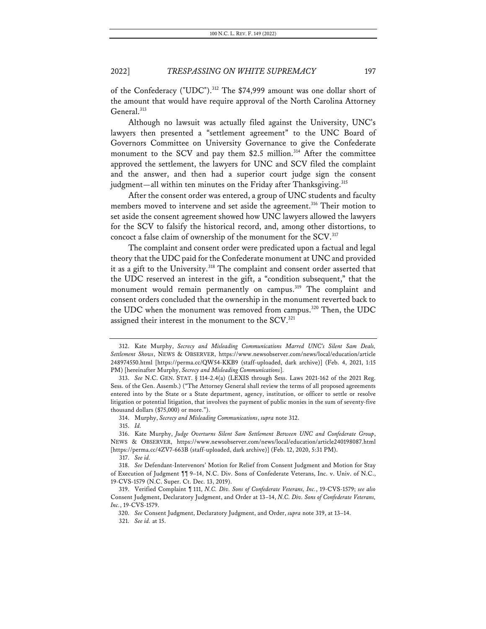of the Confederacy ("UDC"). <sup>312</sup> The \$74,999 amount was one dollar short of the amount that would have require approval of the North Carolina Attorney General.<sup>313</sup>

Although no lawsuit was actually filed against the University, UNC's lawyers then presented a "settlement agreement" to the UNC Board of Governors Committee on University Governance to give the Confederate monument to the SCV and pay them  $$2.5$  million.<sup>314</sup> After the committee approved the settlement, the lawyers for UNC and SCV filed the complaint and the answer, and then had a superior court judge sign the consent judgment—all within ten minutes on the Friday after Thanksgiving.<sup>315</sup>

After the consent order was entered, a group of UNC students and faculty members moved to intervene and set aside the agreement.<sup>316</sup> Their motion to set aside the consent agreement showed how UNC lawyers allowed the lawyers for the SCV to falsify the historical record, and, among other distortions, to concoct a false claim of ownership of the monument for the SCV.<sup>317</sup>

The complaint and consent order were predicated upon a factual and legal theory that the UDC paid for the Confederate monument at UNC and provided it as a gift to the University.<sup>318</sup> The complaint and consent order asserted that the UDC reserved an interest in the gift, a "condition subsequent," that the monument would remain permanently on campus.<sup>319</sup> The complaint and consent orders concluded that the ownership in the monument reverted back to the UDC when the monument was removed from campus.<sup>320</sup> Then, the UDC assigned their interest in the monument to the SCV.<sup>321</sup>

<sup>312.</sup> Kate Murphy, *Secrecy and Misleading Communications Marred UNC's Silent Sam Deals, Settlement Shows*, NEWS & OBSERVER, https://www.newsobserver.com/news/local/education/article 248974550.html [https://perma.cc/QW54-KKB9 (staff-uploaded, dark archive)] (Feb. 4, 2021, 1:15 PM) [hereinafter Murphy, *Secrecy and Misleading Communications*].

<sup>313.</sup> *See* N.C. GEN. STAT. § 114-2.4(a) (LEXIS through Sess. Laws 2021-162 of the 2021 Reg. Sess. of the Gen. Assemb.) ("The Attorney General shall review the terms of all proposed agreements entered into by the State or a State department, agency, institution, or officer to settle or resolve litigation or potential litigation, that involves the payment of public monies in the sum of seventy-five thousand dollars (\$75,000) or more.").

<sup>314.</sup> Murphy, *Secrecy and Misleading Communications*, *supra* note 312.

<sup>315.</sup> *Id.*

<sup>316.</sup> Kate Murphy, *Judge Overturns Silent Sam Settlement Between UNC and Confederate Group*, NEWS & OBSERVER, https://www.newsobserver.com/news/local/education/article240198087.html [https://perma.cc/4ZV7-663B (staff-uploaded, dark archive)] (Feb. 12, 2020, 5:31 PM).

<sup>317.</sup> *See id.*

<sup>318.</sup> *See* Defendant-Intervenors' Motion for Relief from Consent Judgment and Motion for Stay of Execution of Judgment ¶¶ 9–14, N.C. Div. Sons of Confederate Veterans, Inc. v. Univ. of N.C., 19-CVS-1579 (N.C. Super. Ct. Dec. 13, 2019).

<sup>319.</sup> Verified Complaint ¶ 111, *N.C. Div. Sons of Confederate Veterans, Inc.*, 19-CVS-1579; *see also* Consent Judgment, Declaratory Judgment, and Order at 13–14, *N.C. Div. Sons of Confederate Veterans, Inc.*, 19-CVS-1579.

<sup>320.</sup> *See* Consent Judgment, Declaratory Judgment, and Order, *supra* note 319, at 13–14. 321. *See id.* at 15.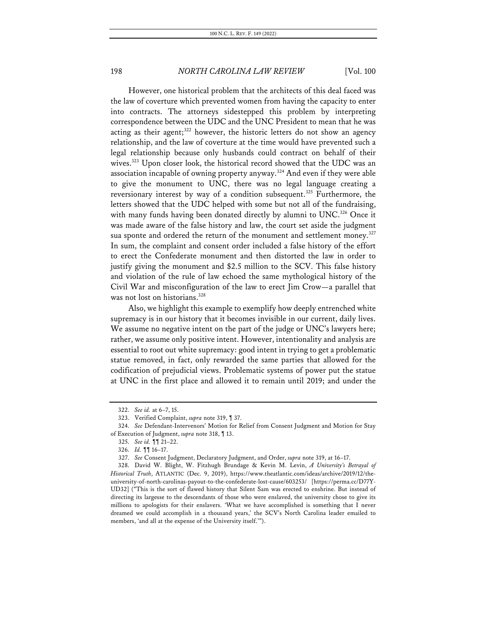However, one historical problem that the architects of this deal faced was the law of coverture which prevented women from having the capacity to enter into contracts. The attorneys sidestepped this problem by interpreting correspondence between the UDC and the UNC President to mean that he was acting as their agent; <sup>322</sup> however, the historic letters do not show an agency relationship, and the law of coverture at the time would have prevented such a legal relationship because only husbands could contract on behalf of their wives.<sup>323</sup> Upon closer look, the historical record showed that the UDC was an association incapable of owning property anyway.<sup>324</sup> And even if they were able to give the monument to UNC, there was no legal language creating a reversionary interest by way of a condition subsequent.<sup>325</sup> Furthermore, the letters showed that the UDC helped with some but not all of the fundraising, with many funds having been donated directly by alumni to UNC.<sup>326</sup> Once it was made aware of the false history and law, the court set aside the judgment sua sponte and ordered the return of the monument and settlement money.<sup>327</sup> In sum, the complaint and consent order included a false history of the effort to erect the Confederate monument and then distorted the law in order to justify giving the monument and \$2.5 million to the SCV. This false history and violation of the rule of law echoed the same mythological history of the Civil War and misconfiguration of the law to erect Jim Crow—a parallel that was not lost on historians.<sup>328</sup>

Also, we highlight this example to exemplify how deeply entrenched white supremacy is in our history that it becomes invisible in our current, daily lives. We assume no negative intent on the part of the judge or UNC's lawyers here; rather, we assume only positive intent. However, intentionality and analysis are essential to root out white supremacy: good intent in trying to get a problematic statue removed, in fact, only rewarded the same parties that allowed for the codification of prejudicial views. Problematic systems of power put the statue at UNC in the first place and allowed it to remain until 2019; and under the

<sup>322.</sup> *See id.* at 6–7, 15.

<sup>323.</sup> Verified Complaint, *supra* note 319, ¶ 37.

<sup>324.</sup> *See* Defendant-Intervenors' Motion for Relief from Consent Judgment and Motion for Stay of Execution of Judgment, *supra* note 318, ¶ 13.

<sup>325.</sup> *See id.* ¶¶ 21–22.

<sup>326.</sup> *Id.* ¶¶ 16–17.

<sup>327.</sup> *See* Consent Judgment, Declaratory Judgment, and Order, *supra* note 319, at 16–17.

<sup>328.</sup> David W. Blight, W. Fitzhugh Brundage & Kevin M. Levin, *A University's Betrayal of Historical Truth*, ATLANTIC (Dec. 9, 2019), https://www.theatlantic.com/ideas/archive/2019/12/theuniversity-of-north-carolinas-payout-to-the-confederate-lost-cause/603253/ [https://perma.cc/D77Y-UD32] ("This is the sort of flawed history that Silent Sam was erected to enshrine. But instead of directing its largesse to the descendants of those who were enslaved, the university chose to give its millions to apologists for their enslavers. 'What we have accomplished is something that I never dreamed we could accomplish in a thousand years,' the SCV's North Carolina leader emailed to members, 'and all at the expense of the University itself.'").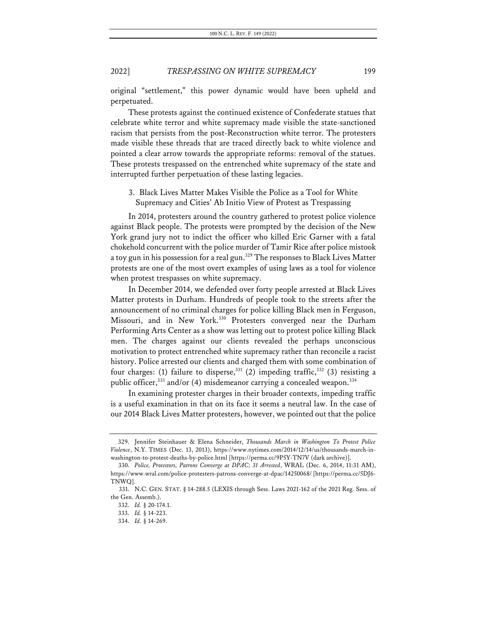original "settlement," this power dynamic would have been upheld and perpetuated.

These protests against the continued existence of Confederate statues that celebrate white terror and white supremacy made visible the state-sanctioned racism that persists from the post-Reconstruction white terror. The protesters made visible these threads that are traced directly back to white violence and pointed a clear arrow towards the appropriate reforms: removal of the statues. These protests trespassed on the entrenched white supremacy of the state and interrupted further perpetuation of these lasting legacies.

3. Black Lives Matter Makes Visible the Police as a Tool for White Supremacy and Cities' Ab Initio View of Protest as Trespassing

In 2014, protesters around the country gathered to protest police violence against Black people. The protests were prompted by the decision of the New York grand jury not to indict the officer who killed Eric Garner with a fatal chokehold concurrent with the police murder of Tamir Rice after police mistook a toy gun in his possession for a real gun.<sup>329</sup> The responses to Black Lives Matter protests are one of the most overt examples of using laws as a tool for violence when protest trespasses on white supremacy.

In December 2014, we defended over forty people arrested at Black Lives Matter protests in Durham. Hundreds of people took to the streets after the announcement of no criminal charges for police killing Black men in Ferguson, Missouri, and in New York.<sup>330</sup> Protesters converged near the Durham Performing Arts Center as a show was letting out to protest police killing Black men. The charges against our clients revealed the perhaps unconscious motivation to protect entrenched white supremacy rather than reconcile a racist history. Police arrested our clients and charged them with some combination of four charges: (1) failure to disperse,<sup>331</sup> (2) impeding traffic,<sup>332</sup> (3) resisting a public officer,<sup>333</sup> and/or (4) misdemeanor carrying a concealed weapon.<sup>334</sup>

In examining protester charges in their broader contexts, impeding traffic is a useful examination in that on its face it seems a neutral law. In the case of our 2014 Black Lives Matter protesters, however, we pointed out that the police

<sup>329.</sup> Jennifer Steinhauer & Elena Schneider, *Thousands March in Washington To Protest Police Violence*, N.Y. TIMES (Dec. 13, 2013), https://www.nytimes.com/2014/12/14/us/thousands-march-inwashington-to-protest-deaths-by-police.html [https://perma.cc/9P5Y-TN7V (dark archive)].

<sup>330.</sup> *Police, Protestors, Patrons Converge at DPAC; 31 Arrested*, WRAL (Dec. 6, 2014, 11:31 AM), https://www.wral.com/police-protesters-patrons-converge-at-dpac/14250068/ [https://perma.cc/5DJ6- TNWQ].

<sup>331.</sup> N.C. GEN. STAT. § 14-288.5 (LEXIS through Sess. Laws 2021-162 of the 2021 Reg. Sess. of the Gen. Assemb.).

<sup>332.</sup> *Id.* § 20-174.1.

<sup>333.</sup> *Id.* § 14-223.

<sup>334.</sup> *Id.* § 14-269.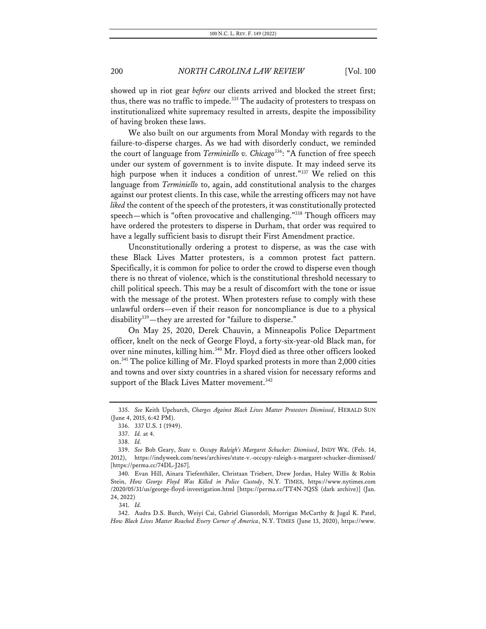showed up in riot gear *before* our clients arrived and blocked the street first; thus, there was no traffic to impede.<sup>335</sup> The audacity of protesters to trespass on institutionalized white supremacy resulted in arrests, despite the impossibility of having broken these laws.

We also built on our arguments from Moral Monday with regards to the failure-to-disperse charges. As we had with disorderly conduct, we reminded the court of language from *Terminiello v. Chicago*336: "A function of free speech under our system of government is to invite dispute. It may indeed serve its high purpose when it induces a condition of unrest."337 We relied on this language from *Terminiello* to, again, add constitutional analysis to the charges against our protest clients. In this case, while the arresting officers may not have liked the content of the speech of the protesters, it was constitutionally protected speech—which is "often provocative and challenging."338 Though officers may have ordered the protesters to disperse in Durham, that order was required to have a legally sufficient basis to disrupt their First Amendment practice.

Unconstitutionally ordering a protest to disperse, as was the case with these Black Lives Matter protesters, is a common protest fact pattern. Specifically, it is common for police to order the crowd to disperse even though there is no threat of violence, which is the constitutional threshold necessary to chill political speech. This may be a result of discomfort with the tone or issue with the message of the protest. When protesters refuse to comply with these unlawful orders—even if their reason for noncompliance is due to a physical disability<sup>339</sup>—they are arrested for "failure to disperse."

On May 25, 2020, Derek Chauvin, a Minneapolis Police Department officer, knelt on the neck of George Floyd, a forty-six-year-old Black man, for over nine minutes, killing him.<sup>340</sup> Mr. Floyd died as three other officers looked on.341 The police killing of Mr. Floyd sparked protests in more than 2,000 cities and towns and over sixty countries in a shared vision for necessary reforms and support of the Black Lives Matter movement.<sup>342</sup>

341. *Id.*

<sup>335.</sup> *See* Keith Upchurch, *Charges Against Black Lives Matter Protesters Dismissed*, HERALD SUN (June 4, 2015, 6:42 PM).

<sup>336.</sup> 337 U.S. 1 (1949).

<sup>337.</sup> *Id.* at 4.

<sup>338.</sup> *Id.*

<sup>339.</sup> *See* Bob Geary, *State v. Occupy Raleigh's Margaret Schucker: Dismissed*, INDY WK. (Feb. 14, 2012), https://indyweek.com/news/archives/state-v.-occupy-raleigh-s-margaret-schucker-dismissed/ [https://perma.cc/74DL-J267].

<sup>340.</sup> Evan Hill, Ainara Tiefenthäler, Christaan Triebert, Drew Jordan, Haley Willis & Robin Stein, *How George Floyd Was Killed in Police Custody*, N.Y. TIMES, https://www.nytimes.com /2020/05/31/us/george-floyd-investigation.html [https://perma.cc/TT4N-7Q5S (dark archive)] (Jan. 24, 2022)

<sup>342.</sup> Audra D.S. Burch, Weiyi Cai, Gabriel Gianordoli, Morrigan McCarthy & Jugal K. Patel, *How Black Lives Matter Reached Every Corner of America*, N.Y. TIMES (June 13, 2020), https://www.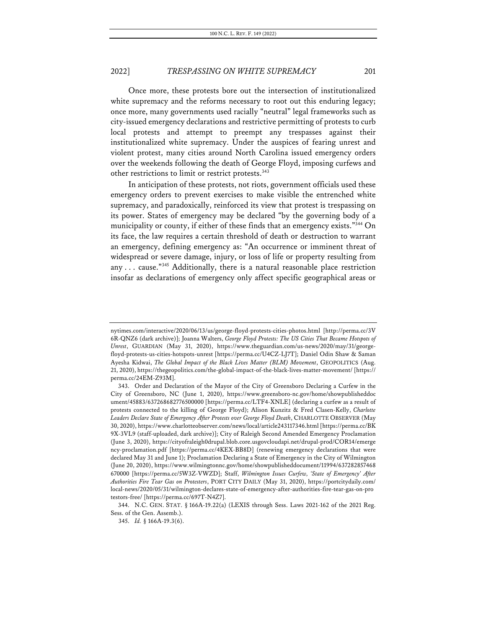Once more, these protests bore out the intersection of institutionalized white supremacy and the reforms necessary to root out this enduring legacy; once more, many governments used racially "neutral" legal frameworks such as city-issued emergency declarations and restrictive permitting of protests to curb local protests and attempt to preempt any trespasses against their institutionalized white supremacy. Under the auspices of fearing unrest and violent protest, many cities around North Carolina issued emergency orders over the weekends following the death of George Floyd, imposing curfews and other restrictions to limit or restrict protests.<sup>343</sup>

In anticipation of these protests, not riots, government officials used these emergency orders to prevent exercises to make visible the entrenched white supremacy, and paradoxically, reinforced its view that protest is trespassing on its power. States of emergency may be declared "by the governing body of a municipality or county, if either of these finds that an emergency exists."344 On its face, the law requires a certain threshold of death or destruction to warrant an emergency, defining emergency as: "An occurrence or imminent threat of widespread or severe damage, injury, or loss of life or property resulting from any ... cause." $345$  Additionally, there is a natural reasonable place restriction insofar as declarations of emergency only affect specific geographical areas or

nytimes.com/interactive/2020/06/13/us/george-floyd-protests-cities-photos.html [http://perma.cc/3V 6R-QNZ6 (dark archive)]; Joanna Walters, *George Floyd Protests: The US Cities That Became Hotspots of Unrest*, GUARDIAN (May 31, 2020), https://www.theguardian.com/us-news/2020/may/31/georgefloyd-protests-us-cities-hotspots-unrest [https://perma.cc/U4CZ-LJ7T]; Daniel Odin Shaw & Saman Ayesha Kidwai, *The Global Impact of the Black Lives Matter (BLM) Movement*, GEOPOLITICS (Aug. 21, 2020), https://thegeopolitics.com/the-global-impact-of-the-black-lives-matter-movement/ [https:// perma.cc/24EM-Z93M].

<sup>343.</sup> Order and Declaration of the Mayor of the City of Greensboro Declaring a Curfew in the City of Greensboro, NC (June 1, 2020), https://www.greensboro-nc.gov/home/showpublisheddoc ument/45883/637268682776500000 [https://perma.cc/LTF4-XNLE] (declaring a curfew as a result of protests connected to the killing of George Floyd); Alison Kunzitz & Fred Clasen-Kelly, *Charlotte Leaders Declare State of Emergency After Protests over George Floyd Death*, CHARLOTTE OBSERVER (May 30, 2020), https://www.charlotteobserver.com/news/local/article243117346.html [https://perma.cc/BK 9X-3VL9 (staff-uploaded, dark archive)]; City of Raleigh Second Amended Emergency Proclamation (June 3, 2020), https://cityofraleigh0drupal.blob.core.usgovcloudapi.net/drupal-prod/COR14/emerge ncy-proclamation.pdf [https://perma.cc/4KEX-BB8D] (renewing emergency declarations that were declared May 31 and June 1); Proclamation Declaring a State of Emergency in the City of Wilmington (June 20, 2020), https://www.wilmingtonnc.gov/home/showpublisheddocument/11994/637282857468 670000 [https://perma.cc/5W3Z-VWZD]; Staff, *Wilmington Issues Curfew, 'State of Emergency' After Authorities Fire Tear Gas on Protesters*, PORT CITY DAILY (May 31, 2020), https://portcitydaily.com/ local-news/2020/05/31/wilmington-declares-state-of-emergency-after-authorities-fire-tear-gas-on-pro testors-free/ [https://perma.cc/697T-N4Z7].

<sup>344.</sup> N.C. GEN. STAT. § 166A-19.22(a) (LEXIS through Sess. Laws 2021-162 of the 2021 Reg. Sess. of the Gen. Assemb.).

<sup>345.</sup> *Id.* § 166A-19.3(6).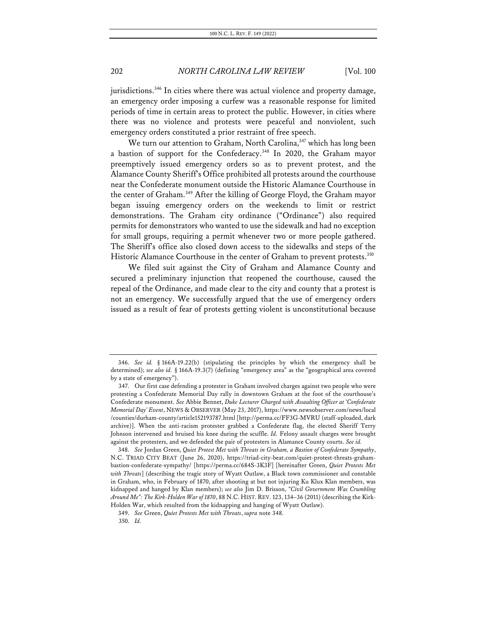jurisdictions.<sup>346</sup> In cities where there was actual violence and property damage, an emergency order imposing a curfew was a reasonable response for limited periods of time in certain areas to protect the public. However, in cities where there was no violence and protests were peaceful and nonviolent, such emergency orders constituted a prior restraint of free speech.

We turn our attention to Graham, North Carolina,<sup>347</sup> which has long been a bastion of support for the Confederacy.348 In 2020, the Graham mayor preemptively issued emergency orders so as to prevent protest, and the Alamance County Sheriff's Office prohibited all protests around the courthouse near the Confederate monument outside the Historic Alamance Courthouse in the center of Graham.<sup>349</sup> After the killing of George Floyd, the Graham mayor began issuing emergency orders on the weekends to limit or restrict demonstrations. The Graham city ordinance ("Ordinance") also required permits for demonstrators who wanted to use the sidewalk and had no exception for small groups, requiring a permit whenever two or more people gathered. The Sheriff's office also closed down access to the sidewalks and steps of the Historic Alamance Courthouse in the center of Graham to prevent protests.<sup>350</sup>

We filed suit against the City of Graham and Alamance County and secured a preliminary injunction that reopened the courthouse, caused the repeal of the Ordinance, and made clear to the city and county that a protest is not an emergency. We successfully argued that the use of emergency orders issued as a result of fear of protests getting violent is unconstitutional because

<sup>346.</sup> *See id.* § 166A-19.22(b) (stipulating the principles by which the emergency shall be determined); *see also id.* § 166A-19.3(7) (defining "emergency area" as the "geographical area covered by a state of emergency").

<sup>347.</sup> Our first case defending a protester in Graham involved charges against two people who were protesting a Confederate Memorial Day rally in downtown Graham at the foot of the courthouse's Confederate monument. *See* Abbie Bennet, *Duke Lecturer Charged with Assaulting Officer at 'Confederate Memorial Day' Event*, NEWS & OBSERVER (May 23, 2017), https://www.newsobserver.com/news/local /counties/durham-county/article152193787.html [http://perma.cc/FF3G-MVRU (staff-uploaded, dark archive)]. When the anti-racism protester grabbed a Confederate flag, the elected Sheriff Terry Johnson intervened and bruised his knee during the scuffle. *Id.* Felony assault charges were brought against the protesters, and we defended the pair of protesters in Alamance County courts. *See id.*

<sup>348.</sup> *See* Jordan Green, *Quiet Protest Met with Threats in Graham, a Bastion of Confederate Sympathy*, N.C. TRIAD CITY BEAT (June 26, 2020), https://triad-city-beat.com/quiet-protest-threats-grahambastion-confederate-sympathy/ [https://perma.cc/684S-3K3F] [hereinafter Green, *Quiet Protests Met with Threats*] (describing the tragic story of Wyatt Outlaw, a Black town commissioner and constable in Graham, who, in February of 1870, after shooting at but not injuring Ku Klux Klan members, was kidnapped and hanged by Klan members); *see also* Jim D. Brisson, *"Civil Government Was Crumbling Around Me": The Kirk-Holden War of 1870*, 88 N.C. HIST. REV. 123, 134–36 (2011) (describing the Kirk-Holden War, which resulted from the kidnapping and hanging of Wyatt Outlaw).

<sup>349.</sup> *See* Green, *Quiet Protests Met with Threats*, *supra* note 348.

<sup>350.</sup> *Id.*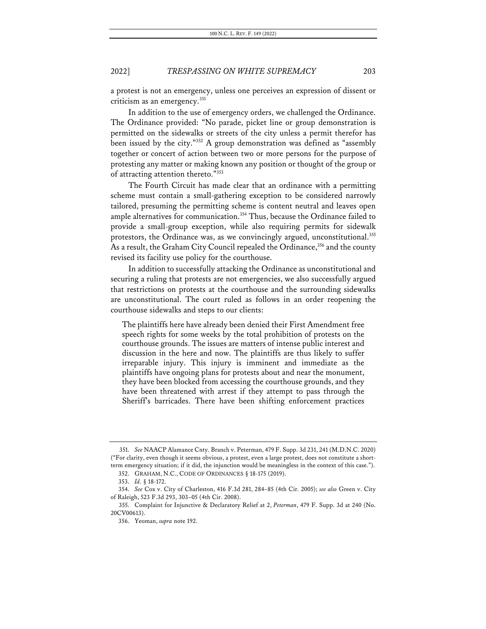a protest is not an emergency, unless one perceives an expression of dissent or criticism as an emergency.<sup>351</sup>

In addition to the use of emergency orders, we challenged the Ordinance. The Ordinance provided: "No parade, picket line or group demonstration is permitted on the sidewalks or streets of the city unless a permit therefor has been issued by the city."352 A group demonstration was defined as "assembly together or concert of action between two or more persons for the purpose of protesting any matter or making known any position or thought of the group or of attracting attention thereto."353

The Fourth Circuit has made clear that an ordinance with a permitting scheme must contain a small-gathering exception to be considered narrowly tailored, presuming the permitting scheme is content neutral and leaves open ample alternatives for communication. <sup>354</sup> Thus, because the Ordinance failed to provide a small-group exception, while also requiring permits for sidewalk protestors, the Ordinance was, as we convincingly argued, unconstitutional.<sup>355</sup> As a result, the Graham City Council repealed the Ordinance,<sup>356</sup> and the county revised its facility use policy for the courthouse.

In addition to successfully attacking the Ordinance as unconstitutional and securing a ruling that protests are not emergencies, we also successfully argued that restrictions on protests at the courthouse and the surrounding sidewalks are unconstitutional. The court ruled as follows in an order reopening the courthouse sidewalks and steps to our clients:

The plaintiffs here have already been denied their First Amendment free speech rights for some weeks by the total prohibition of protests on the courthouse grounds. The issues are matters of intense public interest and discussion in the here and now. The plaintiffs are thus likely to suffer irreparable injury. This injury is imminent and immediate as the plaintiffs have ongoing plans for protests about and near the monument, they have been blocked from accessing the courthouse grounds, and they have been threatened with arrest if they attempt to pass through the Sheriff's barricades. There have been shifting enforcement practices

<sup>351.</sup> *See* NAACP Alamance Cnty. Branch v. Peterman, 479 F. Supp. 3d 231, 241 (M.D.N.C. 2020) ("For clarity, even though it seems obvious, a protest, even a large protest, does not constitute a shortterm emergency situation; if it did, the injunction would be meaningless in the context of this case.").

<sup>352.</sup> GRAHAM, N.C., CODE OF ORDINANCES § 18-175 (2019).

<sup>353.</sup> *Id.* § 18-172.

<sup>354.</sup> *See* Cox v. City of Charleston, 416 F.3d 281, 284–85 (4th Cir. 2005); *see also* Green v. City of Raleigh, 523 F.3d 293, 303–05 (4th Cir. 2008).

<sup>355.</sup> Complaint for Injunctive & Declaratory Relief at 2, *Peterman*, 479 F. Supp. 3d at 240 (No. 20CV00613).

<sup>356.</sup> Yeoman, *supra* note 192.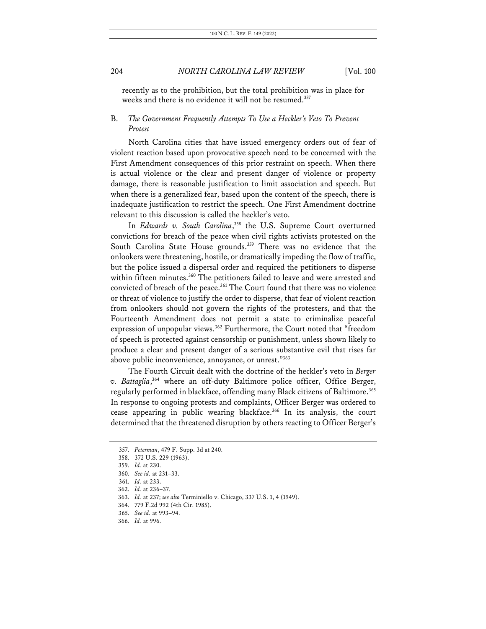recently as to the prohibition, but the total prohibition was in place for weeks and there is no evidence it will not be resumed.<sup>357</sup>

# B. *The Government Frequently Attempts To Use a Heckler's Veto To Prevent Protest*

North Carolina cities that have issued emergency orders out of fear of violent reaction based upon provocative speech need to be concerned with the First Amendment consequences of this prior restraint on speech. When there is actual violence or the clear and present danger of violence or property damage, there is reasonable justification to limit association and speech. But when there is a generalized fear, based upon the content of the speech, there is inadequate justification to restrict the speech. One First Amendment doctrine relevant to this discussion is called the heckler's veto.

In *Edwards v. South Carolina*, <sup>358</sup> the U.S. Supreme Court overturned convictions for breach of the peace when civil rights activists protested on the South Carolina State House grounds.<sup>359</sup> There was no evidence that the onlookers were threatening, hostile, or dramatically impeding the flow of traffic, but the police issued a dispersal order and required the petitioners to disperse within fifteen minutes.<sup>360</sup> The petitioners failed to leave and were arrested and convicted of breach of the peace.<sup>361</sup> The Court found that there was no violence or threat of violence to justify the order to disperse, that fear of violent reaction from onlookers should not govern the rights of the protesters, and that the Fourteenth Amendment does not permit a state to criminalize peaceful expression of unpopular views.<sup>362</sup> Furthermore, the Court noted that "freedom of speech is protected against censorship or punishment, unless shown likely to produce a clear and present danger of a serious substantive evil that rises far above public inconvenience, annoyance, or unrest."<sup>363</sup>

The Fourth Circuit dealt with the doctrine of the heckler's veto in *Berger v. Battaglia*, <sup>364</sup> where an off-duty Baltimore police officer, Office Berger, regularly performed in blackface, offending many Black citizens of Baltimore.<sup>365</sup> In response to ongoing protests and complaints, Officer Berger was ordered to cease appearing in public wearing blackface.366 In its analysis, the court determined that the threatened disruption by others reacting to Officer Berger's

<sup>357.</sup> *Peterman*, 479 F. Supp. 3d at 240.

<sup>358.</sup> 372 U.S. 229 (1963).

<sup>359.</sup> *Id.* at 230.

<sup>360.</sup> *See id.* at 231–33.

<sup>361.</sup> *Id.* at 233.

<sup>362.</sup> *Id.* at 236–37.

<sup>363.</sup> *Id.* at 237; *see also* Terminiello v. Chicago, 337 U.S. 1, 4 (1949).

<sup>364.</sup> 779 F.2d 992 (4th Cir. 1985).

<sup>365.</sup> *See id.* at 993–94.

<sup>366.</sup> *Id.* at 996.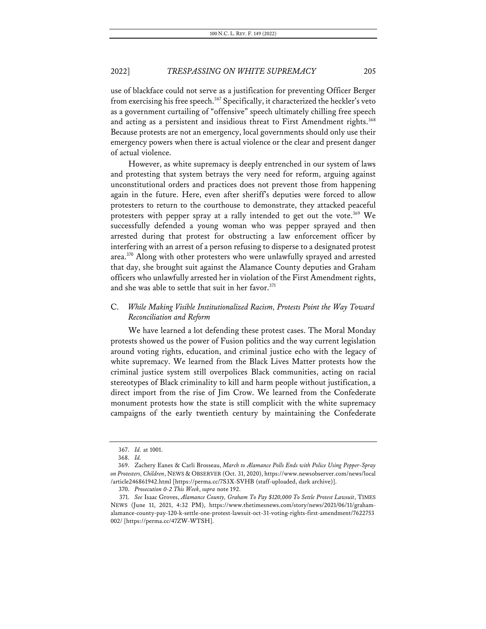use of blackface could not serve as a justification for preventing Officer Berger from exercising his free speech.<sup>367</sup> Specifically, it characterized the heckler's veto as a government curtailing of "offensive" speech ultimately chilling free speech and acting as a persistent and insidious threat to First Amendment rights.<sup>368</sup> Because protests are not an emergency, local governments should only use their emergency powers when there is actual violence or the clear and present danger of actual violence.

However, as white supremacy is deeply entrenched in our system of laws and protesting that system betrays the very need for reform, arguing against unconstitutional orders and practices does not prevent those from happening again in the future. Here, even after sheriff's deputies were forced to allow protesters to return to the courthouse to demonstrate, they attacked peaceful protesters with pepper spray at a rally intended to get out the vote.<sup>369</sup> We successfully defended a young woman who was pepper sprayed and then arrested during that protest for obstructing a law enforcement officer by interfering with an arrest of a person refusing to disperse to a designated protest area.370 Along with other protesters who were unlawfully sprayed and arrested that day, she brought suit against the Alamance County deputies and Graham officers who unlawfully arrested her in violation of the First Amendment rights, and she was able to settle that suit in her favor.<sup>371</sup>

# C. *While Making Visible Institutionalized Racism, Protests Point the Way Toward Reconciliation and Reform*

We have learned a lot defending these protest cases. The Moral Monday protests showed us the power of Fusion politics and the way current legislation around voting rights, education, and criminal justice echo with the legacy of white supremacy. We learned from the Black Lives Matter protests how the criminal justice system still overpolices Black communities, acting on racial stereotypes of Black criminality to kill and harm people without justification, a direct import from the rise of Jim Crow. We learned from the Confederate monument protests how the state is still complicit with the white supremacy campaigns of the early twentieth century by maintaining the Confederate

<sup>367.</sup> *Id.* at 1001.

<sup>368.</sup> *Id.*

<sup>369.</sup> Zachery Eanes & Carli Brosseau, *March to Alamance Polls Ends with Police Using Pepper-Spray on Protesters, Children*, NEWS & OBSERVER (Oct. 31, 2020), https://www.newsobserver.com/news/local /article246861942.html [https://perma.cc/7S3X-SVHB (staff-uploaded, dark archive)].

<sup>370.</sup> *Prosecution 0-2 This Week*, *supra* note 192.

<sup>371.</sup> *See* Isaac Groves, *Alamance County, Graham To Pay \$120,000 To Settle Protest Lawsuit*, TIMES NEWS (June 11, 2021, 4:32 PM), https://www.thetimesnews.com/story/news/2021/06/11/grahamalamance-county-pay-120-k-settle-one-protest-lawsuit-oct-31-voting-rights-first-amendment/7622753 002/ [https://perma.cc/47ZW-WTSH].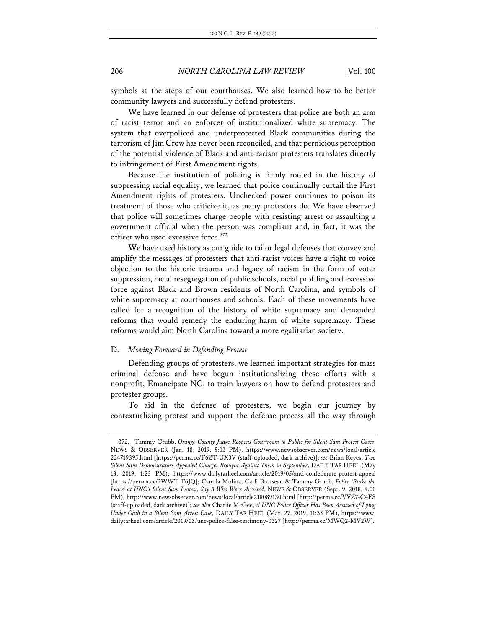symbols at the steps of our courthouses. We also learned how to be better community lawyers and successfully defend protesters.

We have learned in our defense of protesters that police are both an arm of racist terror and an enforcer of institutionalized white supremacy. The system that overpoliced and underprotected Black communities during the terrorism of Jim Crow has never been reconciled, and that pernicious perception of the potential violence of Black and anti-racism protesters translates directly to infringement of First Amendment rights.

Because the institution of policing is firmly rooted in the history of suppressing racial equality, we learned that police continually curtail the First Amendment rights of protesters. Unchecked power continues to poison its treatment of those who criticize it, as many protesters do. We have observed that police will sometimes charge people with resisting arrest or assaulting a government official when the person was compliant and, in fact, it was the officer who used excessive force.<sup>372</sup>

We have used history as our guide to tailor legal defenses that convey and amplify the messages of protesters that anti-racist voices have a right to voice objection to the historic trauma and legacy of racism in the form of voter suppression, racial resegregation of public schools, racial profiling and excessive force against Black and Brown residents of North Carolina, and symbols of white supremacy at courthouses and schools. Each of these movements have called for a recognition of the history of white supremacy and demanded reforms that would remedy the enduring harm of white supremacy. These reforms would aim North Carolina toward a more egalitarian society.

### D. *Moving Forward in Defending Protest*

Defending groups of protesters, we learned important strategies for mass criminal defense and have begun institutionalizing these efforts with a nonprofit, Emancipate NC, to train lawyers on how to defend protesters and protester groups.

To aid in the defense of protesters, we begin our journey by contextualizing protest and support the defense process all the way through

<sup>372.</sup> Tammy Grubb, *Orange County Judge Reopens Courtroom to Public for Silent Sam Protest Cases*, NEWS & OBSERVER (Jan. 18, 2019, 5:03 PM), https://www.newsobserver.com/news/local/article 224719395.html [https://perma.cc/F6ZT-UX3V (staff-uploaded, dark archive)]; *see* Brian Keyes, *Two Silent Sam Demonstrators Appealed Charges Brought Against Them in September*, DAILY TAR HEEL (May 13, 2019, 1:23 PM), https://www.dailytarheel.com/article/2019/05/anti-confederate-protest-appeal [https://perma.cc/2WWT-T6JQ]; Camila Molina, Carli Brosseau & Tammy Grubb, *Police 'Broke the Peace' at UNC's Silent Sam Protest, Say 8 Who Were Arrested*, NEWS & OBSERVER (Sept. 9, 2018, 8:00 PM), http://www.newsobserver.com/news/local/article218089130.html [http://perma.cc/VVZ7-C4FS (staff-uploaded, dark archive)]; *see also* Charlie McGee, *A UNC Police Officer Has Been Accused of Lying Under Oath in a Silent Sam Arrest Case*, DAILY TAR HEEL (Mar. 27, 2019, 11:35 PM), https://www. dailytarheel.com/article/2019/03/unc-police-false-testimony-0327 [http://perma.cc/MWQ2-MV2W].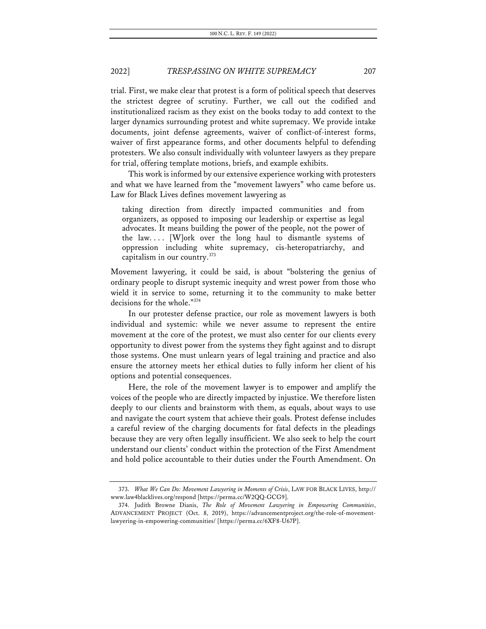trial. First, we make clear that protest is a form of political speech that deserves the strictest degree of scrutiny. Further, we call out the codified and institutionalized racism as they exist on the books today to add context to the larger dynamics surrounding protest and white supremacy. We provide intake documents, joint defense agreements, waiver of conflict-of-interest forms, waiver of first appearance forms, and other documents helpful to defending protesters. We also consult individually with volunteer lawyers as they prepare for trial, offering template motions, briefs, and example exhibits.

This work is informed by our extensive experience working with protesters and what we have learned from the "movement lawyers" who came before us. Law for Black Lives defines movement lawyering as

taking direction from directly impacted communities and from organizers, as opposed to imposing our leadership or expertise as legal advocates. It means building the power of the people, not the power of the law.... [W]ork over the long haul to dismantle systems of oppression including white supremacy, cis-heteropatriarchy, and capitalism in our country.<sup>373</sup>

Movement lawyering, it could be said, is about "bolstering the genius of ordinary people to disrupt systemic inequity and wrest power from those who wield it in service to some, returning it to the community to make better decisions for the whole."374

In our protester defense practice, our role as movement lawyers is both individual and systemic: while we never assume to represent the entire movement at the core of the protest, we must also center for our clients every opportunity to divest power from the systems they fight against and to disrupt those systems. One must unlearn years of legal training and practice and also ensure the attorney meets her ethical duties to fully inform her client of his options and potential consequences.

Here, the role of the movement lawyer is to empower and amplify the voices of the people who are directly impacted by injustice. We therefore listen deeply to our clients and brainstorm with them, as equals, about ways to use and navigate the court system that achieve their goals. Protest defense includes a careful review of the charging documents for fatal defects in the pleadings because they are very often legally insufficient. We also seek to help the court understand our clients' conduct within the protection of the First Amendment and hold police accountable to their duties under the Fourth Amendment. On

<sup>373.</sup> *What We Can Do: Movement Lawyering in Moments of Crisis*, LAW FOR BLACK LIVES, http:// www.law4blacklives.org/respond [https://perma.cc/W2QQ-GCG9].

<sup>374.</sup> Judith Browne Dianis, *The Role of Movement Lawyering in Empowering Communities*, ADVANCEMENT PROJECT (Oct. 8, 2019), https://advancementproject.org/the-role-of-movementlawyering-in-empowering-communities/ [https://perma.cc/6XF8-U67P].